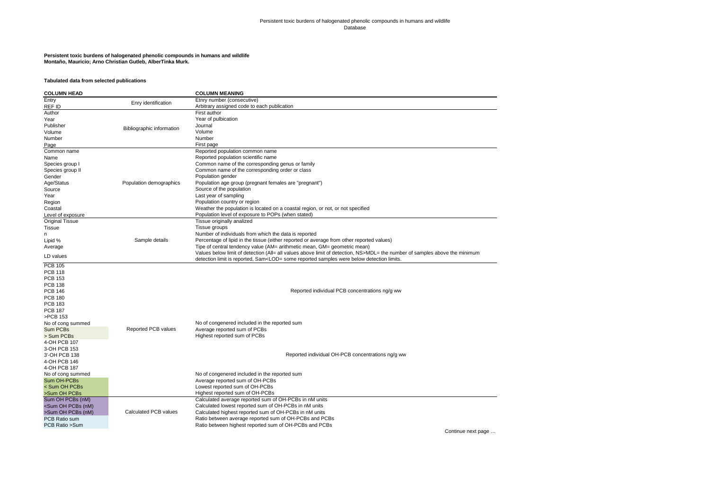#### Persistent toxic burdens of halogenated phenolic compounds in humans and wildlife Database

# **Persistent toxic burdens of halogenated phenolic compounds in humans and wildlife Montaño, Mauricio; Arno Christian Gutleb, AlberTinka Murk.**

### **Tabulated data from selected publications**

| <b>COLUMN HEAD</b>                                                                                              |                           | <b>COLUMN MEANING</b>                                                                                                         |
|-----------------------------------------------------------------------------------------------------------------|---------------------------|-------------------------------------------------------------------------------------------------------------------------------|
| Entry                                                                                                           | Enry identification       | Etnry number (consecutive)                                                                                                    |
| REF ID                                                                                                          |                           | Arbitrary assigned code to each publication                                                                                   |
| Author                                                                                                          |                           | First author                                                                                                                  |
| Year                                                                                                            |                           | Year of pulbication                                                                                                           |
| Publisher                                                                                                       | Bibliographic information | Journal                                                                                                                       |
| Volume                                                                                                          |                           | Volume                                                                                                                        |
| Number                                                                                                          |                           | Number                                                                                                                        |
| Page                                                                                                            |                           | First page                                                                                                                    |
| Common name                                                                                                     |                           | Reported population common name                                                                                               |
| Name                                                                                                            |                           | Reported population scientific name                                                                                           |
| Species group I                                                                                                 |                           | Common name of the corresponding genus or family                                                                              |
| Species group II                                                                                                |                           | Common name of the corresponding order or class                                                                               |
| Gender                                                                                                          |                           | Population gender                                                                                                             |
| Age/Status                                                                                                      | Population demographics   | Population age group (pregnant females are "pregnant")                                                                        |
| Source                                                                                                          |                           | Source of the population                                                                                                      |
| Year                                                                                                            |                           | Last year of sampling                                                                                                         |
| Region                                                                                                          |                           | Population country or region                                                                                                  |
| Coastal                                                                                                         |                           | Weather the population is located on a coastal region, or not, or not specified                                               |
| Level of exposure                                                                                               |                           | Population level of exposure to POPs (when stated)                                                                            |
| <b>Original Tissue</b>                                                                                          |                           | Tissue originally analized                                                                                                    |
| <b>Tissue</b>                                                                                                   |                           | Tissue groups                                                                                                                 |
| n                                                                                                               |                           | Number of individuals from which the data is reported                                                                         |
| Lipid %                                                                                                         | Sample details            | Percentage of lipid in the tissue (either reported or average from other reported values)                                     |
| Average                                                                                                         |                           | Tipe of central tendency value (AM= arithmetic mean, GM= geometric mean)                                                      |
|                                                                                                                 |                           | Values below limit of detection (All= all values above limit of detection, NS>MDL= the number of samples above the minimum    |
| LD values                                                                                                       |                           | detection limit is reported, Sam <lod= below="" detection="" limits.<="" reported="" samples="" some="" td="" were=""></lod=> |
| <b>PCB 105</b>                                                                                                  |                           |                                                                                                                               |
| <b>PCB 118</b>                                                                                                  |                           |                                                                                                                               |
| <b>PCB 153</b>                                                                                                  |                           |                                                                                                                               |
| <b>PCB 138</b>                                                                                                  |                           |                                                                                                                               |
| <b>PCB 146</b>                                                                                                  |                           | Reported individual PCB concentrations ng/g ww                                                                                |
| <b>PCB 180</b>                                                                                                  |                           |                                                                                                                               |
| <b>PCB 183</b>                                                                                                  |                           |                                                                                                                               |
| <b>PCB 187</b>                                                                                                  |                           |                                                                                                                               |
| >PCB 153                                                                                                        |                           |                                                                                                                               |
| No of cong summed                                                                                               |                           | No of congenered included in the reported sum                                                                                 |
| Sum PCBs                                                                                                        | Reported PCB values       | Average reported sum of PCBs                                                                                                  |
| > Sum PCBs                                                                                                      |                           | Highest reported sum of PCBs                                                                                                  |
| 4-OH PCB 107                                                                                                    |                           |                                                                                                                               |
| 3-OH PCB 153                                                                                                    |                           |                                                                                                                               |
| 3'-OH PCB 138                                                                                                   |                           | Reported individual OH-PCB concentrations ng/g ww                                                                             |
| 4-OH PCB 146                                                                                                    |                           |                                                                                                                               |
| 4-OH PCB 187                                                                                                    |                           |                                                                                                                               |
| No of cong summed                                                                                               |                           | No of congenered included in the reported sum                                                                                 |
| Sum OH-PCBs                                                                                                     |                           | Average reported sum of OH-PCBs                                                                                               |
| < Sum OH PCBs                                                                                                   |                           | Lowest reported sum of OH-PCBs                                                                                                |
| >Sum OH PCBs                                                                                                    |                           | Highest reported sum of OH-PCBs                                                                                               |
| Sum OH PCBs (nM)                                                                                                |                           | Calculated average reported sum of OH-PCBs in nM units                                                                        |
| <sum (nm)<="" oh="" pcbs="" td=""><td></td><td>Calculated lowest reported sum of OH-PCBs in nM units</td></sum> |                           | Calculated lowest reported sum of OH-PCBs in nM units                                                                         |
| >Sum OH PCBs (nM)                                                                                               | Calculated PCB values     | Calculated highest reported sum of OH-PCBs in nM units                                                                        |
| PCB Ratio sum                                                                                                   |                           | Ratio between average reported sum of OH-PCBs and PCBs                                                                        |
| PCB Ratio > Sum                                                                                                 |                           | Ratio between highest reported sum of OH-PCBs and PCBs                                                                        |

Continue next page …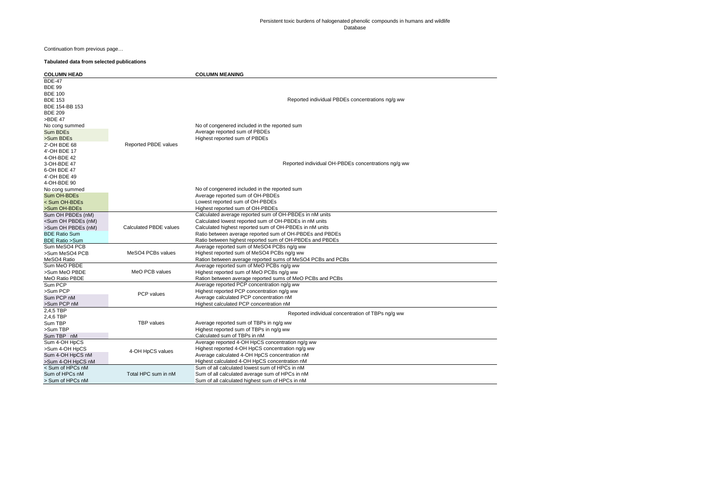# Persistent toxic burdens of halogenated phenolic compounds in humans and wildlife Database

Continuation from previous page…

### **Tabulated data from selected publications**

| <b>COLUMN HEAD</b>                                                                                     |                        | <b>COLUMN MEANING</b>                                                                                                                                                                                  |
|--------------------------------------------------------------------------------------------------------|------------------------|--------------------------------------------------------------------------------------------------------------------------------------------------------------------------------------------------------|
| <b>BDE-47</b><br><b>BDE 99</b><br><b>BDE 100</b><br><b>BDE 153</b><br>BDE 154-BB 153<br><b>BDE 209</b> |                        | Reported individual PBDEs concentrations ng/g ww                                                                                                                                                       |
| >BDE 47<br>No cong summed<br>Sum BDEs<br>>Sum BDEs                                                     |                        | No of congenered included in the reported sum<br>Average reported sum of PBDEs<br>Highest reported sum of PBDEs                                                                                        |
| 2'-OH BDE 68<br>4'-OH BDE 17<br>4-OH-BDE 42                                                            | Reported PBDE values   |                                                                                                                                                                                                        |
| 3-OH-BDE 47<br>6-OH BDE 47<br>4'-OH BDE 49                                                             |                        | Reported individual OH-PBDEs concentrations ng/g ww                                                                                                                                                    |
| 4-OH-BDE 90<br>No cong summed<br>Sum OH-BDEs<br>< Sum OH-BDEs                                          |                        | No of congenered included in the reported sum<br>Average reported sum of OH-PBDEs<br>Lowest reported sum of OH-PBDEs                                                                                   |
| >Sum OH-BDEs                                                                                           |                        | Highest reported sum of OH-PBDEs                                                                                                                                                                       |
| Sum OH PBDEs (nM)<br><sum (nm)<br="" oh="" pbdes="">&gt;Sum OH PBDEs (nM)</sum>                        | Calculated PBDE values | Calculated average reported sum of OH-PBDEs in nM units<br>Calculated lowest reported sum of OH-PBDEs in nM units<br>Calculated highest reported sum of OH-PBDEs in nM units                           |
| <b>BDE Ratio Sum</b><br><b>BDE Ratio &gt;Sum</b>                                                       |                        | Ratio between average reported sum of OH-PBDEs and PBDEs<br>Ratio between highest reported sum of OH-PBDEs and PBDEs                                                                                   |
| Sum MeSO4 PCB                                                                                          |                        | Average reported sum of MeSO4 PCBs ng/g ww                                                                                                                                                             |
| >Sum MeSO4 PCB<br>MeSO4 Ratio                                                                          | MeSO4 PCBs values      | Highest reported sum of MeSO4 PCBs ng/g ww<br>Ration between average reported sums of MeSO4 PCBs and PCBs                                                                                              |
| Sum MeO PBDE<br>>Sum MeO PBDE<br>MeO Ratio PBDE                                                        | MeO PCB values         | Average reported sum of MeO PCBs ng/g ww<br>Highest reported sum of MeO PCBs ng/g ww<br>Ration between average reported sums of MeO PCBs and PCBs                                                      |
| Sum PCP<br>>Sum PCP<br>Sum PCP nM<br>>Sum PCP nM                                                       | PCP values             | Average reported PCP concentration ng/g ww<br>Highest reported PCP concentration ng/g ww<br>Average calculated PCP concentration nM<br>Highest calculated PCP concentration nM                         |
| 2,4,5 TBP<br>2,4,6 TBP                                                                                 |                        | Reported individual concentration of TBPs ng/g ww                                                                                                                                                      |
| Sum TBP<br>>Sum TBP<br>Sum TBP nM                                                                      | <b>TBP</b> values      | Average reported sum of TBPs in ng/g ww<br>Highest reported sum of TBPs in ng/g ww<br>Calculated sum of TBPs in nM                                                                                     |
| Sum 4-OH HpCS<br>>Sum 4-OH HpCS<br>Sum 4-OH HpCS nM<br>>Sum 4-OH HpCS nM                               | 4-OH HpCS values       | Average reported 4-OH HpCS concentration ng/g ww<br>Highest reported 4-OH HpCS concentration ng/g ww<br>Average calculated 4-OH HpCS concentration nM<br>Highest calculated 4-OH HpCS concentration nM |
| < Sum of HPCs nM<br>Sum of HPCs nM<br>> Sum of HPCs nM                                                 | Total HPC sum in nM    | Sum of all calculated lowest sum of HPCs in nM<br>Sum of all calculated average sum of HPCs in nM<br>Sum of all calculated highest sum of HPCs in nM                                                   |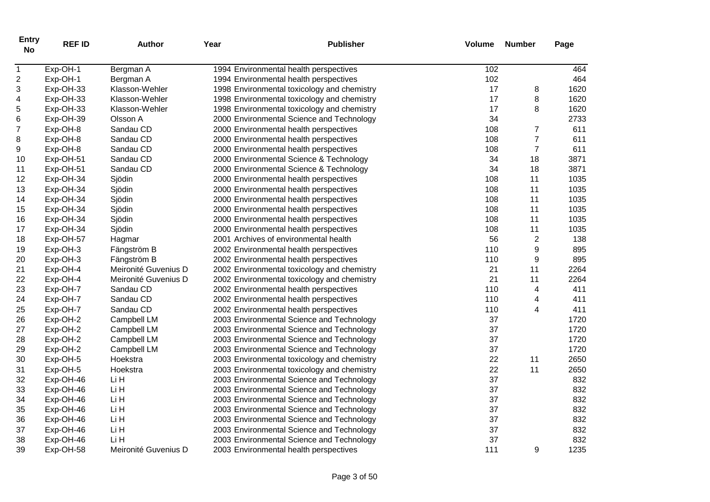| <b>Entry</b><br><b>No</b> | <b>REF ID</b> | <b>Author</b>        | Year | <b>Publisher</b>                            | Volume | <b>Number</b>    | Page |
|---------------------------|---------------|----------------------|------|---------------------------------------------|--------|------------------|------|
| $\mathbf{1}$              | Exp-OH-1      | Bergman A            |      | 1994 Environmental health perspectives      | 102    |                  | 464  |
| $\overline{c}$            | Exp-OH-1      | Bergman A            |      | 1994 Environmental health perspectives      | 102    |                  | 464  |
| 3                         | Exp-OH-33     | Klasson-Wehler       |      | 1998 Environmental toxicology and chemistry | 17     | 8                | 1620 |
| 4                         | Exp-OH-33     | Klasson-Wehler       |      | 1998 Environmental toxicology and chemistry | 17     | 8                | 1620 |
| 5                         | Exp-OH-33     | Klasson-Wehler       |      | 1998 Environmental toxicology and chemistry | 17     | 8                | 1620 |
| 6                         | Exp-OH-39     | Olsson A             |      | 2000 Environmental Science and Technology   | 34     |                  | 2733 |
| $\overline{7}$            | Exp-OH-8      | Sandau CD            |      | 2000 Environmental health perspectives      | 108    | $\overline{7}$   | 611  |
| 8                         | Exp-OH-8      | Sandau CD            |      | 2000 Environmental health perspectives      | 108    | $\overline{7}$   | 611  |
| 9                         | Exp-OH-8      | Sandau CD            |      | 2000 Environmental health perspectives      | 108    | $\overline{7}$   | 611  |
| 10                        | Exp-OH-51     | Sandau CD            |      | 2000 Environmental Science & Technology     | 34     | 18               | 3871 |
| 11                        | Exp-OH-51     | Sandau CD            |      | 2000 Environmental Science & Technology     | 34     | 18               | 3871 |
| 12                        | Exp-OH-34     | Sjödin               |      | 2000 Environmental health perspectives      | 108    | 11               | 1035 |
| 13                        | Exp-OH-34     | Sjödin               |      | 2000 Environmental health perspectives      | 108    | 11               | 1035 |
| 14                        | Exp-OH-34     | Sjödin               |      | 2000 Environmental health perspectives      | 108    | 11               | 1035 |
| 15                        | Exp-OH-34     | Sjödin               |      | 2000 Environmental health perspectives      | 108    | 11               | 1035 |
| 16                        | Exp-OH-34     | Sjödin               |      | 2000 Environmental health perspectives      | 108    | 11               | 1035 |
| 17                        | Exp-OH-34     | Sjödin               |      | 2000 Environmental health perspectives      | 108    | 11               | 1035 |
| 18                        | Exp-OH-57     | Hagmar               |      | 2001 Archives of environmental health       | 56     | $\overline{2}$   | 138  |
| 19                        | Exp-OH-3      | Fängström B          |      | 2002 Environmental health perspectives      | 110    | 9                | 895  |
| 20                        | Exp-OH-3      | Fängström B          |      | 2002 Environmental health perspectives      | 110    | $\boldsymbol{9}$ | 895  |
| 21                        | Exp-OH-4      | Meironité Guvenius D |      | 2002 Environmental toxicology and chemistry | 21     | 11               | 2264 |
| 22                        | Exp-OH-4      | Meironité Guvenius D |      | 2002 Environmental toxicology and chemistry | 21     | 11               | 2264 |
| 23                        | Exp-OH-7      | Sandau CD            |      | 2002 Environmental health perspectives      | 110    | $\overline{4}$   | 411  |
| 24                        | Exp-OH-7      | Sandau CD            |      | 2002 Environmental health perspectives      | 110    | 4                | 411  |
| 25                        | Exp-OH-7      | Sandau CD            |      | 2002 Environmental health perspectives      | 110    | 4                | 411  |
| 26                        | Exp-OH-2      | Campbell LM          |      | 2003 Environmental Science and Technology   | 37     |                  | 1720 |
| 27                        | Exp-OH-2      | Campbell LM          |      | 2003 Environmental Science and Technology   | 37     |                  | 1720 |
| 28                        | Exp-OH-2      | Campbell LM          |      | 2003 Environmental Science and Technology   | 37     |                  | 1720 |
| 29                        | Exp-OH-2      | Campbell LM          |      | 2003 Environmental Science and Technology   | 37     |                  | 1720 |
| 30                        | Exp-OH-5      | Hoekstra             |      | 2003 Environmental toxicology and chemistry | 22     | 11               | 2650 |
| 31                        | Exp-OH-5      | Hoekstra             |      | 2003 Environmental toxicology and chemistry | 22     | 11               | 2650 |
| 32                        | Exp-OH-46     | Li H                 |      | 2003 Environmental Science and Technology   | 37     |                  | 832  |
| 33                        | Exp-OH-46     | Li H                 |      | 2003 Environmental Science and Technology   | 37     |                  | 832  |
| 34                        | Exp-OH-46     | Li H                 |      | 2003 Environmental Science and Technology   | 37     |                  | 832  |
| 35                        | Exp-OH-46     | Li H                 |      | 2003 Environmental Science and Technology   | 37     |                  | 832  |
| 36                        | Exp-OH-46     | Li H                 |      | 2003 Environmental Science and Technology   | 37     |                  | 832  |
| 37                        | Exp-OH-46     | Li H                 |      | 2003 Environmental Science and Technology   | 37     |                  | 832  |
| 38                        | Exp-OH-46     | Li H                 |      | 2003 Environmental Science and Technology   | 37     |                  | 832  |
| 39                        | Exp-OH-58     | Meironité Guvenius D |      | 2003 Environmental health perspectives      | 111    | 9                | 1235 |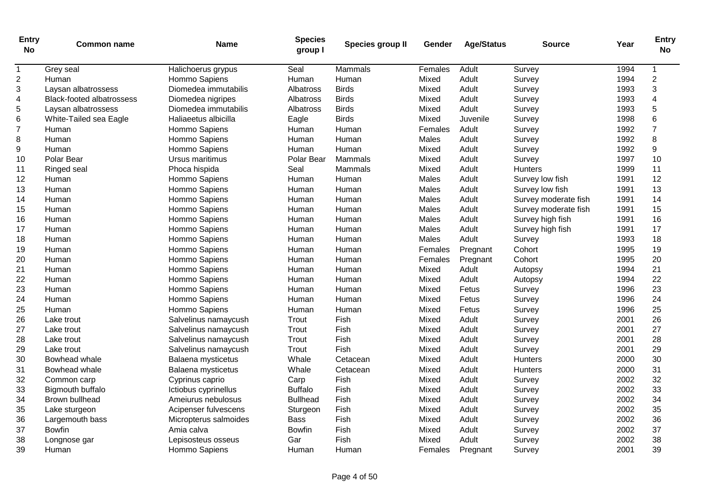| <b>Entry</b><br><b>No</b> | <b>Common name</b>               | <b>Name</b>           | <b>Species</b><br>group I | Species group II | Gender  | <b>Age/Status</b> | <b>Source</b>        | Year | <b>Entry</b><br><b>No</b> |
|---------------------------|----------------------------------|-----------------------|---------------------------|------------------|---------|-------------------|----------------------|------|---------------------------|
| $\mathbf{1}$              | Grey seal                        | Halichoerus grypus    | Seal                      | Mammals          | Females | Adult             | Survey               | 1994 | 1                         |
| 2                         | Human                            | Hommo Sapiens         | Human                     | Human            | Mixed   | Adult             | Survey               | 1994 | $\overline{2}$            |
| 3                         | Laysan albatrossess              | Diomedea immutabilis  | <b>Albatross</b>          | <b>Birds</b>     | Mixed   | Adult             | Survey               | 1993 | 3                         |
| 4                         | <b>Black-footed albatrossess</b> | Diomedea nigripes     | Albatross                 | <b>Birds</b>     | Mixed   | Adult             | Survey               | 1993 | $\overline{4}$            |
| 5                         | Laysan albatrossess              | Diomedea immutabilis  | Albatross                 | <b>Birds</b>     | Mixed   | Adult             | Survey               | 1993 | $\overline{5}$            |
| 6                         | White-Tailed sea Eagle           | Haliaeetus albicilla  | Eagle                     | <b>Birds</b>     | Mixed   | Juvenile          | Survey               | 1998 | $6\phantom{a}$            |
| $\overline{7}$            | Human                            | Hommo Sapiens         | Human                     | Human            | Females | Adult             | Survey               | 1992 | $\overline{7}$            |
| 8                         | Human                            | Hommo Sapiens         | Human                     | Human            | Males   | Adult             | Survey               | 1992 | 8                         |
| 9                         | Human                            | Hommo Sapiens         | Human                     | Human            | Mixed   | Adult             | Survey               | 1992 | 9                         |
| 10                        | Polar Bear                       | Ursus maritimus       | Polar Bear                | Mammals          | Mixed   | Adult             | Survey               | 1997 | 10                        |
| 11                        | Ringed seal                      | Phoca hispida         | Seal                      | Mammals          | Mixed   | Adult             | <b>Hunters</b>       | 1999 | 11                        |
| 12                        | Human                            | Hommo Sapiens         | Human                     | Human            | Males   | Adult             | Survey low fish      | 1991 | 12                        |
| 13                        | Human                            | Hommo Sapiens         | Human                     | Human            | Males   | Adult             | Survey low fish      | 1991 | 13                        |
| 14                        | Human                            | Hommo Sapiens         | Human                     | Human            | Males   | Adult             | Survey moderate fish | 1991 | 14                        |
| 15                        | Human                            | Hommo Sapiens         | Human                     | Human            | Males   | Adult             | Survey moderate fish | 1991 | 15                        |
| 16                        | Human                            | Hommo Sapiens         | Human                     | Human            | Males   | Adult             | Survey high fish     | 1991 | 16                        |
| 17                        | Human                            | Hommo Sapiens         | Human                     | Human            | Males   | Adult             | Survey high fish     | 1991 | 17                        |
| 18                        | Human                            | Hommo Sapiens         | Human                     | Human            | Males   | Adult             | Survey               | 1993 | 18                        |
| 19                        | Human                            | Hommo Sapiens         | Human                     | Human            | Females | Pregnant          | Cohort               | 1995 | 19                        |
| 20                        | Human                            | Hommo Sapiens         | Human                     | Human            | Females | Pregnant          | Cohort               | 1995 | 20                        |
| 21                        | Human                            | Hommo Sapiens         | Human                     | Human            | Mixed   | Adult             | Autopsy              | 1994 | 21                        |
| 22                        | Human                            | Hommo Sapiens         | Human                     | Human            | Mixed   | Adult             | Autopsy              | 1994 | 22                        |
| 23                        | Human                            | Hommo Sapiens         | Human                     | Human            | Mixed   | Fetus             | Survey               | 1996 | 23                        |
| 24                        | Human                            | Hommo Sapiens         | Human                     | Human            | Mixed   | Fetus             | Survey               | 1996 | 24                        |
| 25                        | Human                            | Hommo Sapiens         | Human                     | Human            | Mixed   | Fetus             | Survey               | 1996 | 25                        |
| 26                        | Lake trout                       | Salvelinus namaycush  | Trout                     | Fish             | Mixed   | Adult             | Survey               | 2001 | 26                        |
| 27                        | Lake trout                       | Salvelinus namaycush  | Trout                     | Fish             | Mixed   | Adult             | Survey               | 2001 | 27                        |
| 28                        | Lake trout                       | Salvelinus namaycush  | Trout                     | Fish             | Mixed   | Adult             | Survey               | 2001 | 28                        |
| 29                        | Lake trout                       | Salvelinus namaycush  | Trout                     | Fish             | Mixed   | Adult             | Survey               | 2001 | 29                        |
| 30                        | Bowhead whale                    | Balaena mysticetus    | Whale                     | Cetacean         | Mixed   | Adult             | Hunters              | 2000 | 30                        |
| 31                        | Bowhead whale                    | Balaena mysticetus    | Whale                     | Cetacean         | Mixed   | Adult             | <b>Hunters</b>       | 2000 | 31                        |
| 32                        | Common carp                      | Cyprinus caprio       | Carp                      | Fish             | Mixed   | Adult             | Survey               | 2002 | 32                        |
| 33                        | Bigmouth buffalo                 | Ictiobus cyprinellus  | <b>Buffalo</b>            | Fish             | Mixed   | Adult             | Survey               | 2002 | 33                        |
| 34                        | Brown bullhead                   | Ameiurus nebulosus    | <b>Bullhead</b>           | Fish             | Mixed   | Adult             | Survey               | 2002 | 34                        |
| 35                        | Lake sturgeon                    | Acipenser fulvescens  | Sturgeon                  | Fish             | Mixed   | Adult             | Survey               | 2002 | 35                        |
| 36                        | Largemouth bass                  | Micropterus salmoides | <b>Bass</b>               | Fish             | Mixed   | Adult             | Survey               | 2002 | 36                        |
| 37                        | <b>Bowfin</b>                    | Amia calva            | <b>Bowfin</b>             | Fish             | Mixed   | Adult             | Survey               | 2002 | 37                        |
| 38                        | Longnose gar                     | Lepisosteus osseus    | Gar                       | Fish             | Mixed   | Adult             | Survey               | 2002 | 38                        |
| 39                        | Human                            | Hommo Sapiens         | Human                     | Human            | Females | Pregnant          | Survey               | 2001 | 39                        |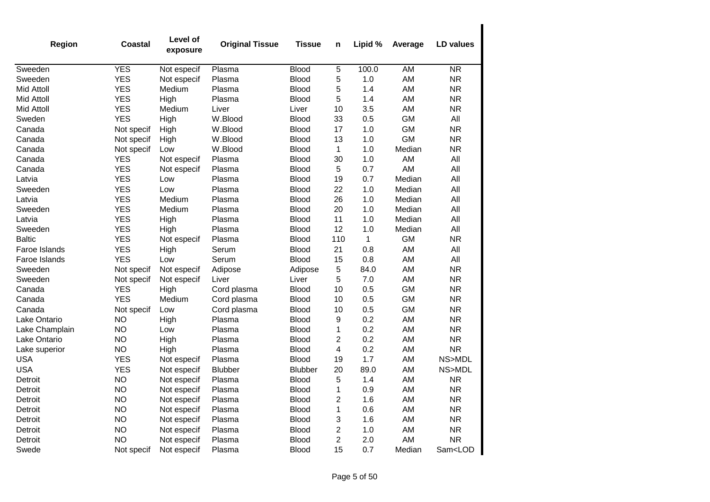| Region            | Coastal    | Level of<br>exposure | <b>Original Tissue</b> | <b>Tissue</b>  | n                       | Lipid %      | Average   | <b>LD</b> values        |
|-------------------|------------|----------------------|------------------------|----------------|-------------------------|--------------|-----------|-------------------------|
| Sweeden           | <b>YES</b> | Not especif          | Plasma                 | <b>Blood</b>   | $\,$ 5 $\,$             | 100.0        | AM        | $\overline{\text{NR}}$  |
| Sweeden           | <b>YES</b> | Not especif          | Plasma                 | <b>Blood</b>   | 5                       | 1.0          | AM        | <b>NR</b>               |
| <b>Mid Attoll</b> | <b>YES</b> | Medium               | Plasma                 | <b>Blood</b>   | 5                       | 1.4          | AM        | <b>NR</b>               |
| Mid Attoll        | <b>YES</b> | High                 | Plasma                 | <b>Blood</b>   | 5                       | 1.4          | AM        | <b>NR</b>               |
| Mid Attoll        | <b>YES</b> | Medium               | Liver                  | Liver          | 10                      | 3.5          | AM        | <b>NR</b>               |
| Sweden            | <b>YES</b> | High                 | W.Blood                | <b>Blood</b>   | 33                      | 0.5          | <b>GM</b> | All                     |
| Canada            | Not specif | High                 | W.Blood                | <b>Blood</b>   | 17                      | 1.0          | <b>GM</b> | <b>NR</b>               |
| Canada            | Not specif | High                 | W.Blood                | <b>Blood</b>   | 13                      | 1.0          | <b>GM</b> | <b>NR</b>               |
| Canada            | Not specif | Low                  | W.Blood                | <b>Blood</b>   | 1                       | 1.0          | Median    | <b>NR</b>               |
| Canada            | <b>YES</b> | Not especif          | Plasma                 | <b>Blood</b>   | 30                      | 1.0          | AM        | All                     |
| Canada            | <b>YES</b> | Not especif          | Plasma                 | <b>Blood</b>   | 5                       | 0.7          | AM        | All                     |
| Latvia            | <b>YES</b> | Low                  | Plasma                 | <b>Blood</b>   | 19                      | 0.7          | Median    | All                     |
| Sweeden           | <b>YES</b> | Low                  | Plasma                 | <b>Blood</b>   | 22                      | 1.0          | Median    | All                     |
| Latvia            | <b>YES</b> | Medium               | Plasma                 | <b>Blood</b>   | 26                      | 1.0          | Median    | All                     |
| Sweeden           | <b>YES</b> | Medium               | Plasma                 | <b>Blood</b>   | 20                      | 1.0          | Median    | All                     |
| Latvia            | <b>YES</b> | High                 | Plasma                 | <b>Blood</b>   | 11                      | 1.0          | Median    | All                     |
| Sweeden           | <b>YES</b> | High                 | Plasma                 | <b>Blood</b>   | 12                      | 1.0          | Median    | All                     |
| <b>Baltic</b>     | <b>YES</b> | Not especif          | Plasma                 | <b>Blood</b>   | 110                     | $\mathbf{1}$ | <b>GM</b> | <b>NR</b>               |
| Faroe Islands     | <b>YES</b> | High                 | Serum                  | <b>Blood</b>   | 21                      | 0.8          | AM        | All                     |
| Faroe Islands     | <b>YES</b> | Low                  | Serum                  | <b>Blood</b>   | 15                      | 0.8          | AM        | All                     |
| Sweeden           | Not specif | Not especif          | Adipose                | Adipose        | 5                       | 84.0         | AM        | <b>NR</b>               |
| Sweeden           | Not specif | Not especif          | Liver                  | Liver          | 5                       | 7.0          | AM        | <b>NR</b>               |
| Canada            | <b>YES</b> | High                 | Cord plasma            | <b>Blood</b>   | 10                      | 0.5          | <b>GM</b> | <b>NR</b>               |
| Canada            | <b>YES</b> | Medium               | Cord plasma            | <b>Blood</b>   | 10                      | 0.5          | <b>GM</b> | <b>NR</b>               |
| Canada            | Not specif | Low                  | Cord plasma            | <b>Blood</b>   | 10                      | 0.5          | <b>GM</b> | <b>NR</b>               |
| Lake Ontario      | <b>NO</b>  | High                 | Plasma                 | <b>Blood</b>   | 9                       | 0.2          | AM        | <b>NR</b>               |
| Lake Champlain    | <b>NO</b>  | Low                  | Plasma                 | <b>Blood</b>   | 1                       | 0.2          | AM        | <b>NR</b>               |
| Lake Ontario      | <b>NO</b>  | High                 | Plasma                 | <b>Blood</b>   | 2                       | 0.2          | AM        | <b>NR</b>               |
| Lake superior     | <b>NO</b>  | High                 | Plasma                 | <b>Blood</b>   | 4                       | 0.2          | AM        | <b>NR</b>               |
| <b>USA</b>        | <b>YES</b> | Not especif          | Plasma                 | <b>Blood</b>   | 19                      | 1.7          | AM        | NS>MDL                  |
| <b>USA</b>        | <b>YES</b> | Not especif          | <b>Blubber</b>         | <b>Blubber</b> | 20                      | 89.0         | AM        | NS>MDL                  |
| Detroit           | <b>NO</b>  | Not especif          | Plasma                 | <b>Blood</b>   | 5                       | 1.4          | AM        | <b>NR</b>               |
| Detroit           | <b>NO</b>  | Not especif          | Plasma                 | <b>Blood</b>   | 1                       | 0.9          | AM        | <b>NR</b>               |
| Detroit           | <b>NO</b>  | Not especif          | Plasma                 | <b>Blood</b>   | 2                       | 1.6          | AM        | <b>NR</b>               |
| Detroit           | <b>NO</b>  | Not especif          | Plasma                 | <b>Blood</b>   | 1                       | 0.6          | AM        | <b>NR</b>               |
| Detroit           | <b>NO</b>  | Not especif          | Plasma                 | <b>Blood</b>   | 3                       | 1.6          | AM        | <b>NR</b>               |
| Detroit           | <b>NO</b>  | Not especif          | Plasma                 | <b>Blood</b>   | $\overline{\mathbf{c}}$ | 1.0          | AM        | <b>NR</b>               |
| Detroit           | <b>NO</b>  | Not especif          | Plasma                 | <b>Blood</b>   | $\overline{c}$          | 2.0          | AM        | <b>NR</b>               |
| Swede             | Not specif | Not especif          | Plasma                 | <b>Blood</b>   | 15                      | 0.7          | Median    | Sam <lod< td=""></lod<> |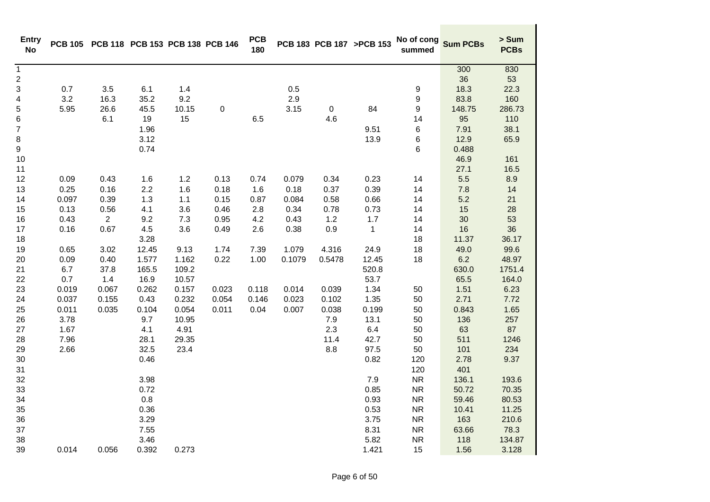| <b>Entry</b><br><b>No</b> |       | PCB 105 PCB 118 PCB 153 PCB 138 PCB 146 |         |       |       | <b>PCB</b><br>180 |        |           | PCB 183 PCB 187 >PCB 153 | No of cong<br>summed | <b>Sum PCBs</b> | > Sum<br><b>PCBs</b> |
|---------------------------|-------|-----------------------------------------|---------|-------|-------|-------------------|--------|-----------|--------------------------|----------------------|-----------------|----------------------|
| $\mathbf{1}$              |       |                                         |         |       |       |                   |        |           |                          |                      | 300             | 830                  |
| $\overline{\mathbf{c}}$   |       |                                         |         |       |       |                   |        |           |                          |                      | 36              | 53                   |
| 3                         | 0.7   | 3.5                                     | 6.1     | 1.4   |       |                   | 0.5    |           |                          | 9                    | 18.3            | 22.3                 |
| 4                         | 3.2   | 16.3                                    | 35.2    | 9.2   |       |                   | 2.9    |           |                          | 9                    | 83.8            | 160                  |
| 5                         | 5.95  | 26.6                                    | 45.5    | 10.15 | 0     |                   | 3.15   | $\pmb{0}$ | 84                       | 9                    | 148.75          | 286.73               |
| 6                         |       | 6.1                                     | 19      | 15    |       | 6.5               |        | 4.6       |                          | 14                   | 95              | 110                  |
| $\boldsymbol{7}$          |       |                                         | 1.96    |       |       |                   |        |           | 9.51                     | 6                    | 7.91            | 38.1                 |
| 8                         |       |                                         | 3.12    |       |       |                   |        |           | 13.9                     | 6                    | 12.9            | 65.9                 |
| 9                         |       |                                         | 0.74    |       |       |                   |        |           |                          | 6                    | 0.488           |                      |
| 10                        |       |                                         |         |       |       |                   |        |           |                          |                      | 46.9            | 161                  |
| 11                        |       |                                         |         |       |       |                   |        |           |                          |                      | 27.1            | 16.5                 |
| 12                        | 0.09  | 0.43                                    | 1.6     | 1.2   | 0.13  | 0.74              | 0.079  | 0.34      | 0.23                     | 14                   | 5.5             | 8.9                  |
| 13                        | 0.25  | 0.16                                    | 2.2     | 1.6   | 0.18  | 1.6               | 0.18   | 0.37      | 0.39                     | 14                   | 7.8             | 14                   |
| 14                        | 0.097 | 0.39                                    | 1.3     | 1.1   | 0.15  | 0.87              | 0.084  | 0.58      | 0.66                     | 14                   | 5.2             | 21                   |
| 15                        | 0.13  | 0.56                                    | 4.1     | 3.6   | 0.46  | 2.8               | 0.34   | 0.78      | 0.73                     | 14                   | 15              | 28                   |
| 16                        | 0.43  | $\overline{2}$                          | 9.2     | 7.3   | 0.95  | 4.2               | 0.43   | 1.2       | 1.7                      | 14                   | 30              | 53                   |
| 17                        | 0.16  | 0.67                                    | 4.5     | 3.6   | 0.49  | 2.6               | 0.38   | 0.9       | $\mathbf{1}$             | 14                   | 16              | 36                   |
| 18                        |       |                                         | 3.28    |       |       |                   |        |           |                          | 18                   | 11.37           | 36.17                |
| 19                        | 0.65  | 3.02                                    | 12.45   | 9.13  | 1.74  | 7.39              | 1.079  | 4.316     | 24.9                     | 18                   | 49.0            | 99.6                 |
| 20                        | 0.09  | 0.40                                    | 1.577   | 1.162 | 0.22  | 1.00              | 0.1079 | 0.5478    | 12.45                    | 18                   | 6.2             | 48.97                |
| 21                        | 6.7   | 37.8                                    | 165.5   | 109.2 |       |                   |        |           | 520.8                    |                      | 630.0           | 1751.4               |
| 22                        | 0.7   | 1.4                                     | 16.9    | 10.57 |       |                   |        |           | 53.7                     |                      | 65.5            | 164.0                |
| 23                        | 0.019 | 0.067                                   | 0.262   | 0.157 | 0.023 | 0.118             | 0.014  | 0.039     | 1.34                     | 50                   | 1.51            | 6.23                 |
| 24                        | 0.037 | 0.155                                   | 0.43    | 0.232 | 0.054 | 0.146             | 0.023  | 0.102     | 1.35                     | 50                   | 2.71            | 7.72                 |
| 25                        | 0.011 | 0.035                                   | 0.104   | 0.054 | 0.011 | 0.04              | 0.007  | 0.038     | 0.199                    | 50                   | 0.843           | 1.65                 |
| 26                        | 3.78  |                                         | 9.7     | 10.95 |       |                   |        | $7.9$     | 13.1                     | 50                   | 136             | 257                  |
| 27                        | 1.67  |                                         | 4.1     | 4.91  |       |                   |        | 2.3       | 6.4                      | 50                   | 63              | 87                   |
| 28                        | 7.96  |                                         | 28.1    | 29.35 |       |                   |        | 11.4      | 42.7                     | 50                   | 511             | 1246                 |
| 29                        | 2.66  |                                         | 32.5    | 23.4  |       |                   |        | 8.8       | 97.5                     | 50                   | 101             | 234                  |
| 30                        |       |                                         | 0.46    |       |       |                   |        |           | 0.82                     | 120                  | 2.78            | 9.37                 |
| 31                        |       |                                         |         |       |       |                   |        |           |                          | 120                  | 401             |                      |
| 32                        |       |                                         | 3.98    |       |       |                   |        |           | $7.9$                    | <b>NR</b>            | 136.1           | 193.6                |
| 33                        |       |                                         | 0.72    |       |       |                   |        |           | 0.85                     | <b>NR</b>            | 50.72           | 70.35                |
| 34                        |       |                                         | $0.8\,$ |       |       |                   |        |           | 0.93                     | NR                   | 59.46           | 80.53                |
| 35                        |       |                                         | 0.36    |       |       |                   |        |           | 0.53                     | <b>NR</b>            | 10.41           | 11.25                |
| 36                        |       |                                         | 3.29    |       |       |                   |        |           | 3.75                     | NR                   | 163             | 210.6                |
| 37                        |       |                                         | 7.55    |       |       |                   |        |           | 8.31                     | <b>NR</b>            | 63.66           | 78.3                 |
| 38                        |       |                                         | 3.46    |       |       |                   |        |           | 5.82                     | NR                   | 118             | 134.87               |
| 39                        | 0.014 | 0.056                                   | 0.392   | 0.273 |       |                   |        |           | 1.421                    | 15                   | 1.56            | 3.128                |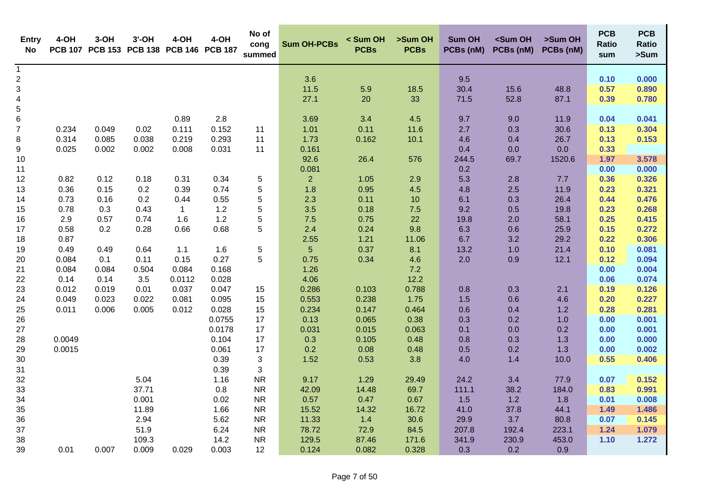| Entry<br>No                             | 4-OH   | $3-OH$ | $3'$ -OH | 4-OH<br>PCB 107 PCB 153 PCB 138 PCB 146 PCB 187 | 4-OH            | No of<br>cong<br>summed   | <b>Sum OH-PCBs</b> | < Sum OH<br><b>PCBs</b> | >Sum OH<br><b>PCBs</b> | <b>Sum OH</b><br>PCBs (nM) | <sum oh<br="">PCBs (nM)</sum> | >Sum OH<br>PCBs (nM) | <b>PCB</b><br><b>Ratio</b><br>sum | <b>PCB</b><br><b>Ratio</b><br>>Sum |
|-----------------------------------------|--------|--------|----------|-------------------------------------------------|-----------------|---------------------------|--------------------|-------------------------|------------------------|----------------------------|-------------------------------|----------------------|-----------------------------------|------------------------------------|
| $\mathbf{1}$<br>$\overline{\mathbf{c}}$ |        |        |          |                                                 |                 |                           | 3.6                |                         |                        | 9.5                        |                               |                      | 0.10                              | 0.000                              |
| 3                                       |        |        |          |                                                 |                 |                           | $11.5$             | 5.9                     | 18.5                   | 30.4                       | 15.6                          | 48.8                 | 0.57                              | 0.890                              |
| $\overline{\mathbf{4}}$                 |        |        |          |                                                 |                 |                           | 27.1               | 20                      | 33                     | 71.5                       | 52.8                          | 87.1                 | 0.39                              | 0.780                              |
| 5                                       |        |        |          |                                                 |                 |                           |                    |                         |                        |                            |                               |                      |                                   |                                    |
| 6                                       |        |        |          | 0.89                                            | 2.8             |                           | 3.69               | 3.4                     | 4.5                    | 9.7                        | 9.0                           | 11.9                 | 0.04                              | 0.041                              |
| $\boldsymbol{7}$                        | 0.234  | 0.049  | 0.02     | 0.111                                           | 0.152           | 11                        | 1.01               | 0.11                    | 11.6                   | 2.7                        | 0.3                           | 30.6                 | 0.13                              | 0.304                              |
| 8                                       | 0.314  | 0.085  | 0.038    | 0.219                                           | 0.293           | 11                        | 1.73               | 0.162                   | 10.1                   | 4.6                        | 0.4                           | 26.7                 | 0.13                              | 0.153                              |
| 9                                       | 0.025  | 0.002  | 0.002    | 0.008                                           | 0.031           | 11                        | 0.161              |                         |                        | 0.4                        | 0.0                           | 0.0                  | 0.33                              |                                    |
| 10                                      |        |        |          |                                                 |                 |                           | 92.6               | 26.4                    | 576                    | 244.5                      | 69.7                          | 1520.6               | 1.97                              | 3.578                              |
| 11                                      |        |        |          |                                                 |                 |                           | 0.081              |                         |                        | 0.2                        |                               |                      | 0.00                              | 0.000                              |
| 12                                      | 0.82   | 0.12   | 0.18     | 0.31                                            | 0.34            | 5                         | $\overline{2}$     | 1.05                    | 2.9                    | 5.3                        | 2.8                           | 7.7                  | 0.36                              | 0.326                              |
| 13                                      | 0.36   | 0.15   | 0.2      | 0.39                                            | 0.74            | 5                         | 1.8                | 0.95                    | 4.5                    | 4.8                        | 2.5                           | 11.9                 | 0.23                              | 0.321                              |
| 14                                      | 0.73   | 0.16   | 0.2      | 0.44                                            | 0.55            | 5                         | 2.3                | 0.11                    | 10                     | 6.1                        | 0.3                           | 26.4                 | 0.44                              | 0.476                              |
| 15                                      | 0.78   | 0.3    | 0.43     | $\mathbf{1}$                                    | 1.2             | 5                         | 3.5                | 0.18                    | 7.5                    | 9.2                        | 0.5                           | 19.8                 | 0.23                              | 0.268                              |
| 16                                      | 2.9    | 0.57   | 0.74     | 1.6                                             | 1.2             | 5                         | 7.5                | 0.75                    | 22                     | 19.8                       | 2.0                           | 58.1                 | 0.25                              | 0.415                              |
| 17                                      | 0.58   | 0.2    | 0.28     | 0.66                                            | 0.68            | 5                         | 2.4                | 0.24                    | 9.8                    | 6.3                        | 0.6                           | 25.9                 | 0.15                              | 0.272                              |
| 18                                      | 0.87   |        |          |                                                 |                 |                           | 2.55               | 1.21                    | 11.06                  | 6.7                        | 3.2                           | 29.2                 | 0.22                              | 0.306                              |
| 19                                      | 0.49   | 0.49   | 0.64     | 1.1                                             | 1.6             | 5                         | 5                  | 0.37                    | 8.1                    | 13.2                       | 1.0                           | 21.4                 | 0.10                              | 0.081                              |
| 20                                      | 0.084  | 0.1    | 0.11     | 0.15                                            | 0.27            | 5                         | 0.75               | 0.34                    | 4.6                    | 2.0                        | 0.9                           | 12.1                 | 0.12                              | 0.094                              |
| 21                                      | 0.084  | 0.084  | 0.504    | 0.084                                           | 0.168           |                           | 1.26               |                         | 7.2                    |                            |                               |                      | 0.00                              | 0.004                              |
| 22                                      | 0.14   | 0.14   | 3.5      | 0.0112                                          | 0.028           |                           | 4.06               |                         | 12.2                   |                            |                               |                      | 0.06                              | 0.074                              |
| 23                                      | 0.012  | 0.019  | 0.01     | 0.037                                           | 0.047           | 15                        | 0.286              | 0.103                   | 0.788                  | 0.8                        | 0.3                           | 2.1                  | 0.19                              | 0.126                              |
| 24                                      | 0.049  | 0.023  | 0.022    | 0.081                                           | 0.095           | 15                        | 0.553              | 0.238                   | 1.75                   | 1.5                        | 0.6                           | 4.6                  | 0.20                              | 0.227                              |
| 25                                      | 0.011  | 0.006  | 0.005    | 0.012                                           | 0.028<br>0.0755 | 15<br>17                  | 0.234<br>0.13      | 0.147<br>0.065          | 0.464<br>0.38          | 0.6                        | 0.4<br>0.2                    | 1.2                  | 0.28<br>0.00                      | 0.281<br>0.001                     |
| 26<br>27                                |        |        |          |                                                 | 0.0178          | 17                        | 0.031              | 0.015                   | 0.063                  | 0.3<br>0.1                 | 0.0                           | 1.0<br>0.2           | 0.00                              | 0.001                              |
| 28                                      | 0.0049 |        |          |                                                 | 0.104           | 17                        | 0.3                | 0.105                   | 0.48                   | 0.8                        | 0.3                           | 1.3                  | 0.00                              | 0.000                              |
| 29                                      | 0.0015 |        |          |                                                 | 0.061           | 17                        | 0.2                | 0.08                    | 0.48                   | 0.5                        | 0.2                           | 1.3                  | 0.00                              | 0.002                              |
| 30                                      |        |        |          |                                                 | 0.39            | $\ensuremath{\mathsf{3}}$ | 1.52               | 0.53                    | 3.8                    | 4.0                        | 1.4                           | 10.0                 | 0.55                              | 0.406                              |
| 31                                      |        |        |          |                                                 | 0.39            | $\ensuremath{\mathsf{3}}$ |                    |                         |                        |                            |                               |                      |                                   |                                    |
| 32                                      |        |        | 5.04     |                                                 | 1.16            | <b>NR</b>                 | 9.17               | 1.29                    | 29.49                  | 24.2                       | 3.4                           | 77.9                 | 0.07                              | 0.152                              |
| 33                                      |        |        | 37.71    |                                                 | 0.8             | <b>NR</b>                 | 42.09              | 14.48                   | 69.7                   | 111.1                      | 38.2                          | 184.0                | 0.83                              | 0.991                              |
| 34                                      |        |        | 0.001    |                                                 | 0.02            | <b>NR</b>                 | 0.57               | 0.47                    | 0.67                   | 1.5                        | 1.2                           | 1.8                  | 0.01                              | 0.008                              |
| 35                                      |        |        | 11.89    |                                                 | 1.66            | <b>NR</b>                 | 15.52              | 14.32                   | 16.72                  | 41.0                       | 37.8                          | 44.1                 | 1.49                              | 1.486                              |
| 36                                      |        |        | 2.94     |                                                 | 5.62            | <b>NR</b>                 | 11.33              | 1.4                     | 30.6                   | 29.9                       | 3.7                           | 80.8                 | 0.07                              | 0.145                              |
| 37                                      |        |        | 51.9     |                                                 | 6.24            | <b>NR</b>                 | 78.72              | 72.9                    | 84.5                   | 207.8                      | 192.4                         | 223.1                | 1.24                              | 1.079                              |
| 38                                      |        |        | 109.3    |                                                 | 14.2            | <b>NR</b>                 | 129.5              | 87.46                   | 171.6                  | 341.9                      | 230.9                         | 453.0                | 1.10                              | 1.272                              |
| 39                                      | 0.01   | 0.007  | 0.009    | 0.029                                           | 0.003           | 12                        | 0.124              | 0.082                   | 0.328                  | 0.3                        | 0.2                           | 0.9                  |                                   |                                    |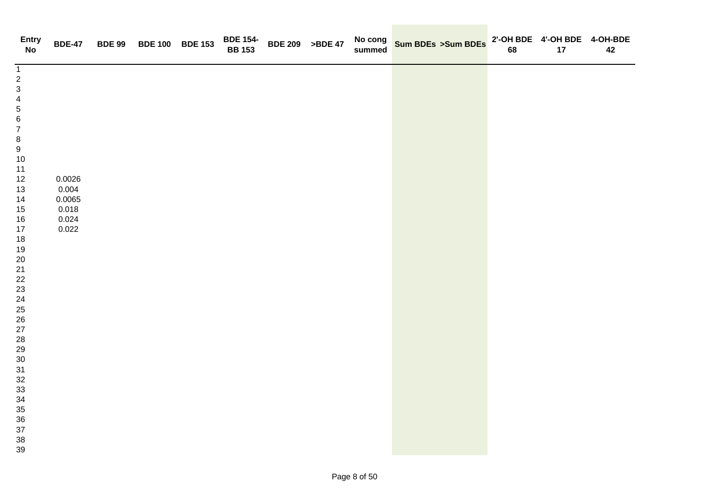| <b>Entry</b><br><b>No</b>                                                                                                                                                                                                                                                                                                                                                                                 | <b>BDE-47</b>                                        | BDE 99 BDE 100 BDE 153 | <b>BDE 154-<br/>BB 153</b> | <b>BDE 209 &gt;BDE 47</b> | No cong<br>summed | Sum BDEs >Sum BDEs | 68 | 2'-OH BDE 4'-OH BDE 4-OH-BDE<br>17 | 42 |
|-----------------------------------------------------------------------------------------------------------------------------------------------------------------------------------------------------------------------------------------------------------------------------------------------------------------------------------------------------------------------------------------------------------|------------------------------------------------------|------------------------|----------------------------|---------------------------|-------------------|--------------------|----|------------------------------------|----|
| $\overline{1}$<br>$\begin{array}{c} 2 \\ 3 \end{array}$<br>$\overline{\mathbf{4}}$<br>$\sqrt{5}$<br>$\,6\,$<br>$\boldsymbol{7}$<br>$\begin{array}{c} 8 \\ 9 \end{array}$<br>10<br>11<br>12<br>13<br>14<br>15<br>16<br>$17$<br>18<br>19<br>$20\,$<br>$21$<br>$22\,$<br>23<br>$\frac{24}{25}$<br>$26\,$<br>27<br>${\bf 28}$<br>29<br>$30\,$<br>31<br>$32\,$<br>$33\,$<br>34<br>35<br>$36\,$<br>$37\,$<br>38 | 0.0026<br>0.004<br>0.0065<br>0.018<br>0.024<br>0.022 |                        |                            |                           |                   |                    |    |                                    |    |
| 39                                                                                                                                                                                                                                                                                                                                                                                                        |                                                      |                        |                            |                           |                   |                    |    |                                    |    |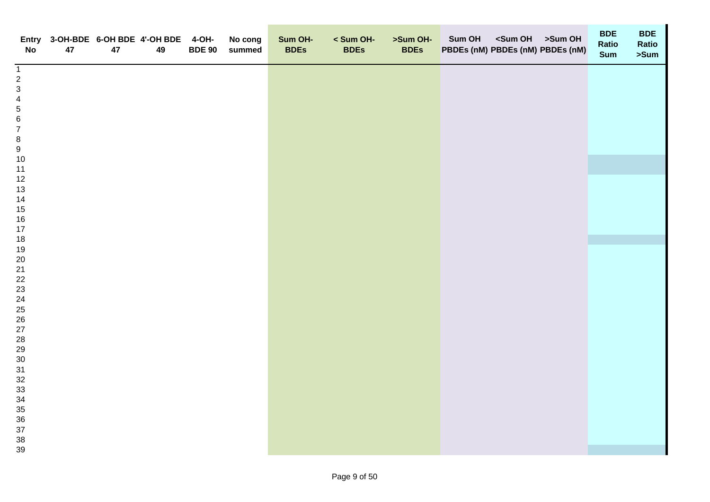| <b>No</b>                             | 47 | 47 | Entry 3-OH-BDE 6-OH BDE 4'-OH BDE 4-OH-<br>49 | <b>BDE 90</b> | No cong<br>summed | Sum OH-<br><b>BDEs</b> | < Sum OH-<br><b>BDEs</b> | >Sum OH-<br><b>BDEs</b> | Sum OH <sum oh="">Sum OH<br/>PBDEs (nM) PBDEs (nM) PBDEs (nM)</sum> | <b>BDE</b><br>Ratio<br><b>Sum</b> | <b>BDE</b><br>Ratio<br>>Sum |
|---------------------------------------|----|----|-----------------------------------------------|---------------|-------------------|------------------------|--------------------------|-------------------------|---------------------------------------------------------------------|-----------------------------------|-----------------------------|
| $\mathbf{1}$                          |    |    |                                               |               |                   |                        |                          |                         |                                                                     |                                   |                             |
| $\sqrt{2}$<br>$\mathbf{3}$            |    |    |                                               |               |                   |                        |                          |                         |                                                                     |                                   |                             |
|                                       |    |    |                                               |               |                   |                        |                          |                         |                                                                     |                                   |                             |
| $\frac{4}{5}$                         |    |    |                                               |               |                   |                        |                          |                         |                                                                     |                                   |                             |
| $\, 6$                                |    |    |                                               |               |                   |                        |                          |                         |                                                                     |                                   |                             |
| $\boldsymbol{7}$                      |    |    |                                               |               |                   |                        |                          |                         |                                                                     |                                   |                             |
|                                       |    |    |                                               |               |                   |                        |                          |                         |                                                                     |                                   |                             |
| $\begin{array}{c} 8 \\ 9 \end{array}$ |    |    |                                               |               |                   |                        |                          |                         |                                                                     |                                   |                             |
| $10$                                  |    |    |                                               |               |                   |                        |                          |                         |                                                                     |                                   |                             |
| 11                                    |    |    |                                               |               |                   |                        |                          |                         |                                                                     |                                   |                             |
| $12$                                  |    |    |                                               |               |                   |                        |                          |                         |                                                                     |                                   |                             |
| 13                                    |    |    |                                               |               |                   |                        |                          |                         |                                                                     |                                   |                             |
| 14                                    |    |    |                                               |               |                   |                        |                          |                         |                                                                     |                                   |                             |
| 15                                    |    |    |                                               |               |                   |                        |                          |                         |                                                                     |                                   |                             |
| $16\,$<br>17                          |    |    |                                               |               |                   |                        |                          |                         |                                                                     |                                   |                             |
| 18                                    |    |    |                                               |               |                   |                        |                          |                         |                                                                     |                                   |                             |
| 19                                    |    |    |                                               |               |                   |                        |                          |                         |                                                                     |                                   |                             |
| 20                                    |    |    |                                               |               |                   |                        |                          |                         |                                                                     |                                   |                             |
| 21                                    |    |    |                                               |               |                   |                        |                          |                         |                                                                     |                                   |                             |
| 22                                    |    |    |                                               |               |                   |                        |                          |                         |                                                                     |                                   |                             |
| 23                                    |    |    |                                               |               |                   |                        |                          |                         |                                                                     |                                   |                             |
| 24                                    |    |    |                                               |               |                   |                        |                          |                         |                                                                     |                                   |                             |
| $25\,$                                |    |    |                                               |               |                   |                        |                          |                         |                                                                     |                                   |                             |
| 26                                    |    |    |                                               |               |                   |                        |                          |                         |                                                                     |                                   |                             |
| $27\,$                                |    |    |                                               |               |                   |                        |                          |                         |                                                                     |                                   |                             |
| 28                                    |    |    |                                               |               |                   |                        |                          |                         |                                                                     |                                   |                             |
| 29                                    |    |    |                                               |               |                   |                        |                          |                         |                                                                     |                                   |                             |
| $30\,$<br>31                          |    |    |                                               |               |                   |                        |                          |                         |                                                                     |                                   |                             |
| 32                                    |    |    |                                               |               |                   |                        |                          |                         |                                                                     |                                   |                             |
| 33                                    |    |    |                                               |               |                   |                        |                          |                         |                                                                     |                                   |                             |
| 34                                    |    |    |                                               |               |                   |                        |                          |                         |                                                                     |                                   |                             |
| 35                                    |    |    |                                               |               |                   |                        |                          |                         |                                                                     |                                   |                             |
| 36                                    |    |    |                                               |               |                   |                        |                          |                         |                                                                     |                                   |                             |
| 37                                    |    |    |                                               |               |                   |                        |                          |                         |                                                                     |                                   |                             |
| $38\,$                                |    |    |                                               |               |                   |                        |                          |                         |                                                                     |                                   |                             |
| 39                                    |    |    |                                               |               |                   |                        |                          |                         |                                                                     |                                   |                             |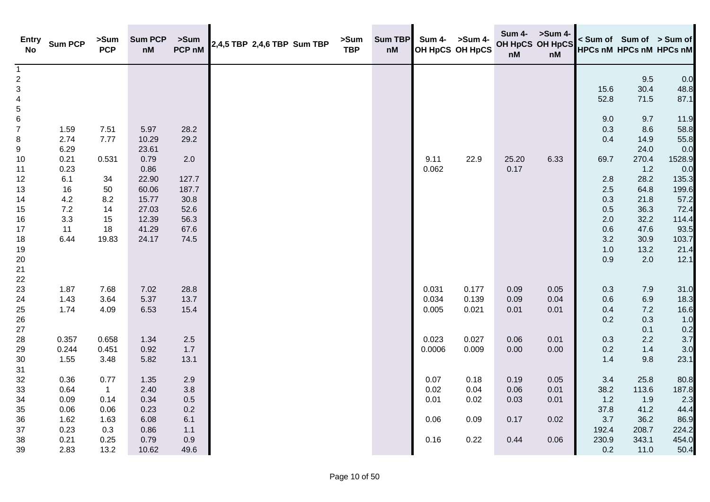| <b>Entry</b><br><b>No</b> | <b>Sum PCP</b> | >Sum<br><b>PCP</b> | <b>Sum PCP</b><br>nM | >Sum<br>PCP nM | 2,4,5 TBP 2,4,6 TBP Sum TBP | >Sum<br><b>TBP</b> | Sum TBP<br>nM | Sum 4- | >Sum 4-<br>OH HpCS OH HpCS | Sum 4- >Sum 4-<br>OH HpCS OH HpCS<br>nM | nM   |         |             | < Sum of Sum of > Sum of<br><b>HPCs nM HPCs nM HPCs nM</b> |
|---------------------------|----------------|--------------------|----------------------|----------------|-----------------------------|--------------------|---------------|--------|----------------------------|-----------------------------------------|------|---------|-------------|------------------------------------------------------------|
| $\mathbf{1}$              |                |                    |                      |                |                             |                    |               |        |                            |                                         |      |         |             |                                                            |
| $\overline{\mathbf{c}}$   |                |                    |                      |                |                             |                    |               |        |                            |                                         |      | 15.6    | 9.5<br>30.4 | 0.0<br>48.8                                                |
| $\mathbf{3}$<br>4         |                |                    |                      |                |                             |                    |               |        |                            |                                         |      | 52.8    | 71.5        | 87.1                                                       |
| 5                         |                |                    |                      |                |                             |                    |               |        |                            |                                         |      |         |             |                                                            |
| 6                         |                |                    |                      |                |                             |                    |               |        |                            |                                         |      | 9.0     | 9.7         | 11.9                                                       |
| $\overline{7}$            | 1.59           | 7.51               | 5.97                 | 28.2           |                             |                    |               |        |                            |                                         |      | 0.3     | 8.6         | 58.8                                                       |
| 8                         | 2.74           | 7.77               | 10.29                | 29.2           |                             |                    |               |        |                            |                                         |      | 0.4     | 14.9        | 55.8                                                       |
| 9                         | 6.29           |                    | 23.61                |                |                             |                    |               |        |                            |                                         |      |         | 24.0        | 0.0                                                        |
| 10                        | 0.21           | 0.531              | 0.79                 | 2.0            |                             |                    |               | 9.11   | 22.9                       | 25.20                                   | 6.33 | 69.7    | 270.4       | 1528.9                                                     |
| 11                        | 0.23           |                    | 0.86                 |                |                             |                    |               | 0.062  |                            | 0.17                                    |      |         | 1.2         | 0.0                                                        |
| 12                        | 6.1            | 34                 | 22.90                | 127.7          |                             |                    |               |        |                            |                                         |      | 2.8     | 28.2        | 135.3                                                      |
| 13                        | 16             | 50                 | 60.06                | 187.7          |                             |                    |               |        |                            |                                         |      | 2.5     | 64.8        | 199.6                                                      |
| 14                        | $4.2\,$        | 8.2                | 15.77                | 30.8           |                             |                    |               |        |                            |                                         |      | 0.3     | 21.8        | 57.2                                                       |
| 15                        | $7.2\,$        | 14                 | 27.03                | 52.6           |                             |                    |               |        |                            |                                         |      | 0.5     | 36.3        | 72.4                                                       |
| 16                        | 3.3            | 15                 | 12.39                | 56.3           |                             |                    |               |        |                            |                                         |      | 2.0     | 32.2        | 114.4                                                      |
| 17                        | 11             | 18                 | 41.29                | 67.6           |                             |                    |               |        |                            |                                         |      | 0.6     | 47.6        | 93.5                                                       |
| 18                        | 6.44           | 19.83              | 24.17                | 74.5           |                             |                    |               |        |                            |                                         |      | $3.2\,$ | 30.9        | 103.7                                                      |
| 19                        |                |                    |                      |                |                             |                    |               |        |                            |                                         |      | 1.0     | 13.2        | 21.4                                                       |
| 20                        |                |                    |                      |                |                             |                    |               |        |                            |                                         |      | 0.9     | 2.0         | 12.1                                                       |
| 21                        |                |                    |                      |                |                             |                    |               |        |                            |                                         |      |         |             |                                                            |
| 22                        |                |                    |                      |                |                             |                    |               |        |                            |                                         |      |         |             |                                                            |
| 23                        | 1.87           | 7.68               | 7.02                 | 28.8           |                             |                    |               | 0.031  | 0.177                      | 0.09                                    | 0.05 | 0.3     | 7.9         | 31.0                                                       |
| 24                        | 1.43           | 3.64               | 5.37                 | 13.7           |                             |                    |               | 0.034  | 0.139                      | 0.09                                    | 0.04 | 0.6     | 6.9         | 18.3                                                       |
| 25                        | 1.74           | 4.09               | 6.53                 | 15.4           |                             |                    |               | 0.005  | 0.021                      | 0.01                                    | 0.01 | 0.4     | $7.2$       | 16.6                                                       |
| 26                        |                |                    |                      |                |                             |                    |               |        |                            |                                         |      | 0.2     | 0.3         | 1.0                                                        |
| $27\,$                    |                |                    |                      |                |                             |                    |               |        |                            |                                         |      |         | 0.1         | 0.2                                                        |
| 28                        | 0.357          | 0.658              | 1.34                 | $2.5\,$        |                             |                    |               | 0.023  | 0.027                      | 0.06                                    | 0.01 | 0.3     | 2.2         | 3.7                                                        |
| 29                        | 0.244          | 0.451              | 0.92                 | 1.7            |                             |                    |               | 0.0006 | 0.009                      | 0.00                                    | 0.00 | 0.2     | 1.4         | 3.0                                                        |
| 30<br>31                  | 1.55           | 3.48               | 5.82                 | 13.1           |                             |                    |               |        |                            |                                         |      | 1.4     | 9.8         | 23.1                                                       |
| 32                        | 0.36           | 0.77               | 1.35                 | 2.9            |                             |                    |               | 0.07   | 0.18                       | 0.19                                    | 0.05 | 3.4     | 25.8        | 80.8                                                       |
| 33                        | 0.64           | $\mathbf{1}$       | 2.40                 | 3.8            |                             |                    |               | 0.02   | 0.04                       | 0.06                                    | 0.01 | 38.2    | 113.6       | 187.8                                                      |
| 34                        | 0.09           | 0.14               | 0.34                 | $0.5\,$        |                             |                    |               | 0.01   | 0.02                       | 0.03                                    | 0.01 | 1.2     | 1.9         | 2.3                                                        |
| 35                        | 0.06           | 0.06               | 0.23                 | 0.2            |                             |                    |               |        |                            |                                         |      | 37.8    | 41.2        | 44.4                                                       |
| 36                        | 1.62           | 1.63               | 6.08                 | 6.1            |                             |                    |               | 0.06   | 0.09                       | 0.17                                    | 0.02 | 3.7     | 36.2        | 86.9                                                       |
| 37                        | 0.23           | 0.3                | 0.86                 | 1.1            |                             |                    |               |        |                            |                                         |      | 192.4   | 208.7       | 224.2                                                      |
| 38                        | 0.21           | 0.25               | 0.79                 | 0.9            |                             |                    |               | 0.16   | 0.22                       | 0.44                                    | 0.06 | 230.9   | 343.1       | 454.0                                                      |
| 39                        | 2.83           | 13.2               | 10.62                | 49.6           |                             |                    |               |        |                            |                                         |      | 0.2     | 11.0        | 50.4                                                       |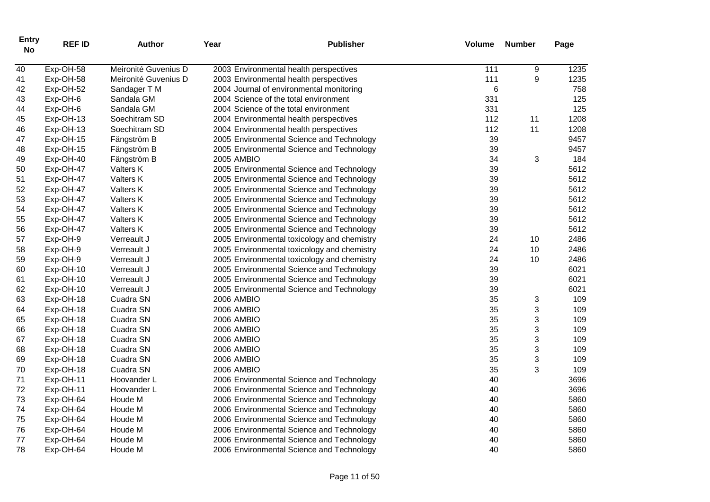| <b>Entry</b><br><b>No</b> | <b>REF ID</b> | <b>Author</b>        | Year              | <b>Publisher</b>                            | <b>Volume</b> | <b>Number</b> | Page |
|---------------------------|---------------|----------------------|-------------------|---------------------------------------------|---------------|---------------|------|
| 40                        | Exp-OH-58     | Meironité Guvenius D |                   | 2003 Environmental health perspectives      | 111           | 9             | 1235 |
| 41                        | Exp-OH-58     | Meironité Guvenius D |                   | 2003 Environmental health perspectives      | 111           | 9             | 1235 |
| 42                        | Exp-OH-52     | Sandager T M         |                   | 2004 Journal of environmental monitoring    | 6             |               | 758  |
| 43                        | Exp-OH-6      | Sandala GM           |                   | 2004 Science of the total environment       | 331           |               | 125  |
| 44                        | Exp-OH-6      | Sandala GM           |                   | 2004 Science of the total environment       | 331           |               | 125  |
| 45                        | Exp-OH-13     | Soechitram SD        |                   | 2004 Environmental health perspectives      | 112           | 11            | 1208 |
| 46                        | Exp-OH-13     | Soechitram SD        |                   | 2004 Environmental health perspectives      | 112           | 11            | 1208 |
| 47                        | Exp-OH-15     | Fängström B          |                   | 2005 Environmental Science and Technology   | 39            |               | 9457 |
| 48                        | Exp-OH-15     | Fängström B          |                   | 2005 Environmental Science and Technology   | 39            |               | 9457 |
| 49                        | Exp-OH-40     | Fängström B          | 2005 AMBIO        |                                             | 34            | 3             | 184  |
| 50                        | Exp-OH-47     | Valters K            |                   | 2005 Environmental Science and Technology   | 39            |               | 5612 |
| 51                        | Exp-OH-47     | Valters K            |                   | 2005 Environmental Science and Technology   | 39            |               | 5612 |
| 52                        | Exp-OH-47     | Valters K            |                   | 2005 Environmental Science and Technology   | 39            |               | 5612 |
| 53                        | Exp-OH-47     | Valters K            |                   | 2005 Environmental Science and Technology   | 39            |               | 5612 |
| 54                        | Exp-OH-47     | Valters K            |                   | 2005 Environmental Science and Technology   | 39            |               | 5612 |
| 55                        | Exp-OH-47     | Valters K            |                   | 2005 Environmental Science and Technology   | 39            |               | 5612 |
| 56                        | Exp-OH-47     | Valters K            |                   | 2005 Environmental Science and Technology   | 39            |               | 5612 |
| 57                        | Exp-OH-9      | Verreault J          |                   | 2005 Environmental toxicology and chemistry | 24            | 10            | 2486 |
| 58                        | Exp-OH-9      | Verreault J          |                   | 2005 Environmental toxicology and chemistry | 24            | 10            | 2486 |
| 59                        | Exp-OH-9      | Verreault J          |                   | 2005 Environmental toxicology and chemistry | 24            | 10            | 2486 |
| 60                        | Exp-OH-10     | Verreault J          |                   | 2005 Environmental Science and Technology   | 39            |               | 6021 |
| 61                        | Exp-OH-10     | Verreault J          |                   | 2005 Environmental Science and Technology   | 39            |               | 6021 |
| 62                        | Exp-OH-10     | Verreault J          |                   | 2005 Environmental Science and Technology   | 39            |               | 6021 |
| 63                        | Exp-OH-18     | Cuadra SN            | 2006 AMBIO        |                                             | 35            | 3             | 109  |
| 64                        | Exp-OH-18     | Cuadra SN            | <b>2006 AMBIO</b> |                                             | 35            | 3             | 109  |
| 65                        | Exp-OH-18     | Cuadra SN            | 2006 AMBIO        |                                             | 35            | 3             | 109  |
| 66                        | Exp-OH-18     | Cuadra SN            | 2006 AMBIO        |                                             | 35            | 3             | 109  |
| 67                        | Exp-OH-18     | Cuadra SN            | <b>2006 AMBIO</b> |                                             | 35            | 3             | 109  |
| 68                        | Exp-OH-18     | Cuadra SN            | 2006 AMBIO        |                                             | 35            | 3             | 109  |
| 69                        | Exp-OH-18     | Cuadra SN            | 2006 AMBIO        |                                             | 35            | 3             | 109  |
| 70                        | Exp-OH-18     | Cuadra SN            | <b>2006 AMBIO</b> |                                             | 35            | 3             | 109  |
| 71                        | Exp-OH-11     | Hoovander L          |                   | 2006 Environmental Science and Technology   | 40            |               | 3696 |
| 72                        | Exp-OH-11     | Hoovander L          |                   | 2006 Environmental Science and Technology   | 40            |               | 3696 |
| 73                        | Exp-OH-64     | Houde M              |                   | 2006 Environmental Science and Technology   | 40            |               | 5860 |
| 74                        | Exp-OH-64     | Houde M              |                   | 2006 Environmental Science and Technology   | 40            |               | 5860 |
| 75                        | Exp-OH-64     | Houde M              |                   | 2006 Environmental Science and Technology   | 40            |               | 5860 |
| 76                        | Exp-OH-64     | Houde M              |                   | 2006 Environmental Science and Technology   | 40            |               | 5860 |
| 77                        | Exp-OH-64     | Houde M              |                   | 2006 Environmental Science and Technology   | 40            |               | 5860 |
| 78                        | Exp-OH-64     | Houde M              |                   | 2006 Environmental Science and Technology   | 40            |               | 5860 |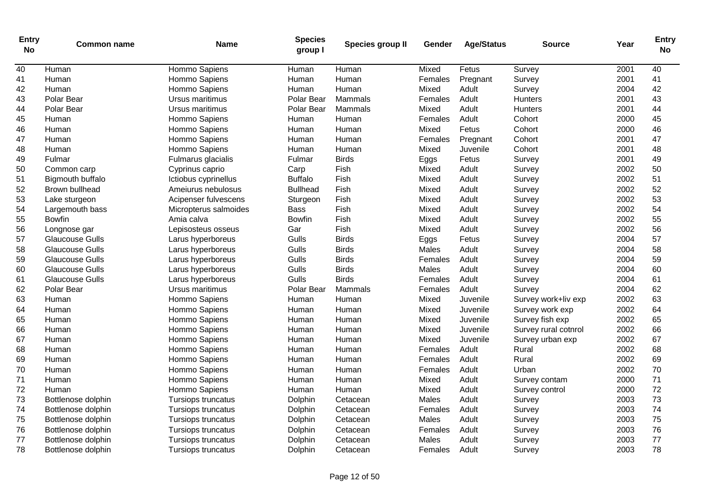| Entry<br><b>No</b> | <b>Common name</b>     | Name                  | <b>Species</b><br>group I | Species group II | Gender  | <b>Age/Status</b> | <b>Source</b>        | Year | <b>Entry</b><br>No |
|--------------------|------------------------|-----------------------|---------------------------|------------------|---------|-------------------|----------------------|------|--------------------|
| 40                 | Human                  | Hommo Sapiens         | Human                     | Human            | Mixed   | Fetus             | Survey               | 2001 | 40                 |
| 41                 | Human                  | Hommo Sapiens         | Human                     | Human            | Females | Pregnant          | Survey               | 2001 | 41                 |
| 42                 | Human                  | Hommo Sapiens         | Human                     | Human            | Mixed   | Adult             | Survey               | 2004 | 42                 |
| 43                 | Polar Bear             | Ursus maritimus       | Polar Bear                | Mammals          | Females | Adult             | Hunters              | 2001 | 43                 |
| 44                 | Polar Bear             | Ursus maritimus       | Polar Bear                | Mammals          | Mixed   | Adult             | Hunters              | 2001 | 44                 |
| 45                 | Human                  | Hommo Sapiens         | Human                     | Human            | Females | Adult             | Cohort               | 2000 | 45                 |
| 46                 | Human                  | Hommo Sapiens         | Human                     | Human            | Mixed   | Fetus             | Cohort               | 2000 | 46                 |
| 47                 | Human                  | Hommo Sapiens         | Human                     | Human            | Females | Pregnant          | Cohort               | 2001 | 47                 |
| 48                 | Human                  | Hommo Sapiens         | Human                     | Human            | Mixed   | Juvenile          | Cohort               | 2001 | 48                 |
| 49                 | Fulmar                 | Fulmarus glacialis    | Fulmar                    | <b>Birds</b>     | Eggs    | Fetus             | Survey               | 2001 | 49                 |
| 50                 | Common carp            | Cyprinus caprio       | Carp                      | Fish             | Mixed   | Adult             | Survey               | 2002 | 50                 |
| 51                 | Bigmouth buffalo       | Ictiobus cyprinellus  | <b>Buffalo</b>            | Fish             | Mixed   | Adult             | Survey               | 2002 | 51                 |
| 52                 | Brown bullhead         | Ameiurus nebulosus    | <b>Bullhead</b>           | Fish             | Mixed   | Adult             | Survey               | 2002 | 52                 |
| 53                 | Lake sturgeon          | Acipenser fulvescens  | Sturgeon                  | Fish             | Mixed   | Adult             | Survey               | 2002 | 53                 |
| 54                 | Largemouth bass        | Micropterus salmoides | <b>Bass</b>               | Fish             | Mixed   | Adult             | Survey               | 2002 | 54                 |
| 55                 | <b>Bowfin</b>          | Amia calva            | Bowfin                    | Fish             | Mixed   | Adult             | Survey               | 2002 | 55                 |
| 56                 | Longnose gar           | Lepisosteus osseus    | Gar                       | Fish             | Mixed   | Adult             | Survey               | 2002 | 56                 |
| 57                 | <b>Glaucouse Gulls</b> | Larus hyperboreus     | Gulls                     | <b>Birds</b>     | Eggs    | Fetus             | Survey               | 2004 | 57                 |
| 58                 | Glaucouse Gulls        | Larus hyperboreus     | Gulls                     | <b>Birds</b>     | Males   | Adult             | Survey               | 2004 | 58                 |
| 59                 | Glaucouse Gulls        | Larus hyperboreus     | Gulls                     | <b>Birds</b>     | Females | Adult             | Survey               | 2004 | 59                 |
| 60                 | <b>Glaucouse Gulls</b> | Larus hyperboreus     | Gulls                     | <b>Birds</b>     | Males   | Adult             | Survey               | 2004 | 60                 |
| 61                 | <b>Glaucouse Gulls</b> | Larus hyperboreus     | Gulls                     | <b>Birds</b>     | Females | Adult             | Survey               | 2004 | 61                 |
| 62                 | Polar Bear             | Ursus maritimus       | Polar Bear                | Mammals          | Females | Adult             | Survey               | 2004 | 62                 |
| 63                 | Human                  | Hommo Sapiens         | Human                     | Human            | Mixed   | Juvenile          | Survey work+liv exp  | 2002 | 63                 |
| 64                 | Human                  | Hommo Sapiens         | Human                     | Human            | Mixed   | Juvenile          | Survey work exp      | 2002 | 64                 |
| 65                 | Human                  | Hommo Sapiens         | Human                     | Human            | Mixed   | Juvenile          | Survey fish exp      | 2002 | 65                 |
| 66                 | Human                  | Hommo Sapiens         | Human                     | Human            | Mixed   | Juvenile          | Survey rural cotnrol | 2002 | 66                 |
| 67                 | Human                  | Hommo Sapiens         | Human                     | Human            | Mixed   | Juvenile          | Survey urban exp     | 2002 | 67                 |
| 68                 | Human                  | Hommo Sapiens         | Human                     | Human            | Females | Adult             | Rural                | 2002 | 68                 |
| 69                 | Human                  | Hommo Sapiens         | Human                     | Human            | Females | Adult             | Rural                | 2002 | 69                 |
| 70                 | Human                  | Hommo Sapiens         | Human                     | Human            | Females | Adult             | Urban                | 2002 | 70                 |
| 71                 | Human                  | Hommo Sapiens         | Human                     | Human            | Mixed   | Adult             | Survey contam        | 2000 | 71                 |
| 72                 | Human                  | Hommo Sapiens         | Human                     | Human            | Mixed   | Adult             | Survey control       | 2000 | 72                 |
| 73                 | Bottlenose dolphin     | Tursiops truncatus    | Dolphin                   | Cetacean         | Males   | Adult             | Survey               | 2003 | 73                 |
| 74                 | Bottlenose dolphin     | Tursiops truncatus    | Dolphin                   | Cetacean         | Females | Adult             | Survey               | 2003 | 74                 |
| 75                 | Bottlenose dolphin     | Tursiops truncatus    | Dolphin                   | Cetacean         | Males   | Adult             | Survey               | 2003 | 75                 |
| 76                 | Bottlenose dolphin     | Tursiops truncatus    | Dolphin                   | Cetacean         | Females | Adult             | Survey               | 2003 | 76                 |
| 77                 | Bottlenose dolphin     | Tursiops truncatus    | Dolphin                   | Cetacean         | Males   | Adult             | Survey               | 2003 | 77                 |
| 78                 | Bottlenose dolphin     | Tursiops truncatus    | Dolphin                   | Cetacean         | Females | Adult             | Survey               | 2003 | 78                 |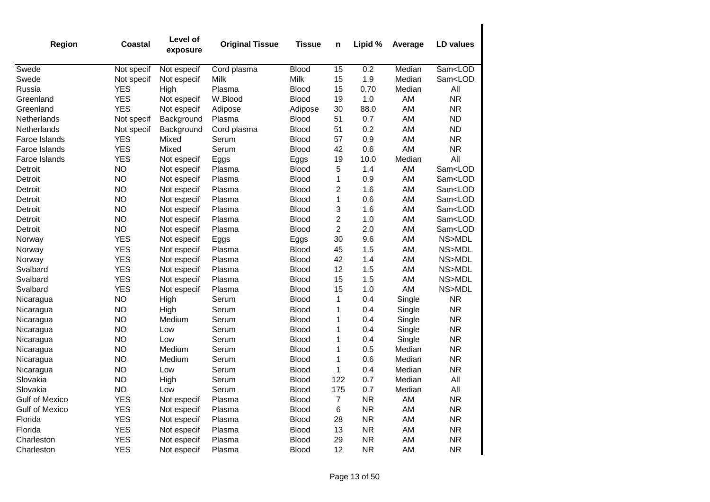| Region                | Coastal    | Level of<br>exposure | <b>Original Tissue</b> | <b>Tissue</b> | n                       | Lipid %   | Average | <b>LD values</b>        |
|-----------------------|------------|----------------------|------------------------|---------------|-------------------------|-----------|---------|-------------------------|
| Swede                 | Not specif | Not especif          | Cord plasma            | <b>Blood</b>  | 15                      | 0.2       | Median  | Sam <lod< td=""></lod<> |
| Swede                 | Not specif | Not especif          | Milk                   | Milk          | 15                      | 1.9       | Median  | Sam <lod< td=""></lod<> |
| Russia                | <b>YES</b> | High                 | Plasma                 | <b>Blood</b>  | 15                      | 0.70      | Median  | All                     |
| Greenland             | <b>YES</b> | Not especif          | W.Blood                | <b>Blood</b>  | 19                      | 1.0       | AM      | <b>NR</b>               |
| Greenland             | <b>YES</b> | Not especif          | Adipose                | Adipose       | 30                      | 88.0      | AM      | <b>NR</b>               |
| Netherlands           | Not specif | Background           | Plasma                 | <b>Blood</b>  | 51                      | 0.7       | AM      | <b>ND</b>               |
| Netherlands           | Not specif | Background           | Cord plasma            | <b>Blood</b>  | 51                      | 0.2       | AM      | <b>ND</b>               |
| Faroe Islands         | <b>YES</b> | Mixed                | Serum                  | Blood         | 57                      | 0.9       | AM      | <b>NR</b>               |
| Faroe Islands         | <b>YES</b> | Mixed                | Serum                  | <b>Blood</b>  | 42                      | 0.6       | AM      | <b>NR</b>               |
| Faroe Islands         | <b>YES</b> | Not especif          | Eggs                   | Eggs          | 19                      | 10.0      | Median  | All                     |
| Detroit               | <b>NO</b>  | Not especif          | Plasma                 | <b>Blood</b>  | 5                       | 1.4       | AM      | Sam <lod< td=""></lod<> |
| Detroit               | <b>NO</b>  | Not especif          | Plasma                 | <b>Blood</b>  | $\mathbf 1$             | 0.9       | AM      | Sam <lod< td=""></lod<> |
| Detroit               | <b>NO</b>  | Not especif          | Plasma                 | <b>Blood</b>  | 2                       | 1.6       | AM      | Sam <lod< td=""></lod<> |
| Detroit               | <b>NO</b>  | Not especif          | Plasma                 | <b>Blood</b>  | 1                       | 0.6       | AM      | Sam <lod< td=""></lod<> |
| Detroit               | <b>NO</b>  | Not especif          | Plasma                 | <b>Blood</b>  | 3                       | 1.6       | AM      | Sam <lod< td=""></lod<> |
| Detroit               | <b>NO</b>  | Not especif          | Plasma                 | <b>Blood</b>  | $\overline{\mathbf{c}}$ | 1.0       | AM      | Sam <lod< td=""></lod<> |
| Detroit               | <b>NO</b>  | Not especif          | Plasma                 | <b>Blood</b>  | $\overline{2}$          | 2.0       | AM      | Sam <lod< td=""></lod<> |
| Norway                | <b>YES</b> | Not especif          | Eggs                   | Eggs          | 30                      | 9.6       | AM      | NS>MDL                  |
| Norway                | <b>YES</b> | Not especif          | Plasma                 | <b>Blood</b>  | 45                      | 1.5       | AM      | NS>MDL                  |
| Norway                | <b>YES</b> | Not especif          | Plasma                 | <b>Blood</b>  | 42                      | 1.4       | AM      | NS>MDL                  |
| Svalbard              | <b>YES</b> | Not especif          | Plasma                 | <b>Blood</b>  | 12                      | 1.5       | AM      | NS>MDL                  |
| Svalbard              | <b>YES</b> | Not especif          | Plasma                 | <b>Blood</b>  | 15                      | 1.5       | AM      | NS>MDL                  |
| Svalbard              | <b>YES</b> | Not especif          | Plasma                 | <b>Blood</b>  | 15                      | 1.0       | AM      | NS>MDL                  |
| Nicaragua             | <b>NO</b>  | High                 | Serum                  | Blood         | 1                       | 0.4       | Single  | <b>NR</b>               |
| Nicaragua             | <b>NO</b>  | High                 | Serum                  | Blood         | 1                       | 0.4       | Single  | <b>NR</b>               |
| Nicaragua             | <b>NO</b>  | Medium               | Serum                  | <b>Blood</b>  | 1                       | 0.4       | Single  | <b>NR</b>               |
| Nicaragua             | <b>NO</b>  | Low                  | Serum                  | <b>Blood</b>  | 1                       | 0.4       | Single  | <b>NR</b>               |
| Nicaragua             | <b>NO</b>  | Low                  | Serum                  | <b>Blood</b>  | 1                       | 0.4       | Single  | <b>NR</b>               |
| Nicaragua             | <b>NO</b>  | Medium               | Serum                  | <b>Blood</b>  | 1                       | 0.5       | Median  | <b>NR</b>               |
| Nicaragua             | <b>NO</b>  | Medium               | Serum                  | <b>Blood</b>  | 1                       | 0.6       | Median  | <b>NR</b>               |
| Nicaragua             | <b>NO</b>  | Low                  | Serum                  | <b>Blood</b>  | 1                       | 0.4       | Median  | <b>NR</b>               |
| Slovakia              | <b>NO</b>  | High                 | Serum                  | <b>Blood</b>  | 122                     | 0.7       | Median  | All                     |
| Slovakia              | <b>NO</b>  | Low                  | Serum                  | Blood         | 175                     | 0.7       | Median  | All                     |
| <b>Gulf of Mexico</b> | <b>YES</b> | Not especif          | Plasma                 | <b>Blood</b>  | 7                       | <b>NR</b> | AM      | <b>NR</b>               |
| <b>Gulf of Mexico</b> | <b>YES</b> | Not especif          | Plasma                 | <b>Blood</b>  | 6                       | <b>NR</b> | AM      | <b>NR</b>               |
| Florida               | <b>YES</b> | Not especif          | Plasma                 | <b>Blood</b>  | 28                      | <b>NR</b> | AM      | <b>NR</b>               |
| Florida               | <b>YES</b> | Not especif          | Plasma                 | <b>Blood</b>  | 13                      | <b>NR</b> | AM      | <b>NR</b>               |
| Charleston            | <b>YES</b> | Not especif          | Plasma                 | Blood         | 29                      | <b>NR</b> | AM      | <b>NR</b>               |
| Charleston            | <b>YES</b> | Not especif          | Plasma                 | Blood         | 12                      | <b>NR</b> | AM      | <b>NR</b>               |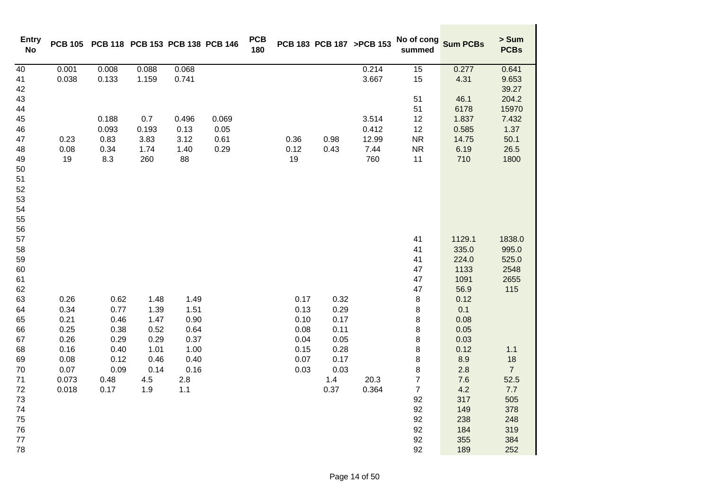| <b>Entry</b><br><b>No</b> |       | PCB 105 PCB 118 PCB 153 PCB 138 PCB 146 |       |       |       | <b>PCB</b><br>180 |      |      | PCB 183 PCB 187 >PCB 153 | No of cong<br>summed | <b>Sum PCBs</b> | > Sum<br><b>PCBs</b> |
|---------------------------|-------|-----------------------------------------|-------|-------|-------|-------------------|------|------|--------------------------|----------------------|-----------------|----------------------|
| 40                        | 0.001 | 0.008                                   | 0.088 | 0.068 |       |                   |      |      | 0.214                    | 15                   | 0.277           | 0.641                |
| 41                        | 0.038 | 0.133                                   | 1.159 | 0.741 |       |                   |      |      | 3.667                    | 15                   | 4.31            | 9.653                |
| 42                        |       |                                         |       |       |       |                   |      |      |                          |                      |                 | 39.27                |
| 43                        |       |                                         |       |       |       |                   |      |      |                          | 51                   | 46.1            | 204.2                |
| 44                        |       |                                         |       |       |       |                   |      |      |                          | 51                   | 6178            | 15970                |
| 45                        |       | 0.188                                   | 0.7   | 0.496 | 0.069 |                   |      |      | 3.514                    | 12                   | 1.837           | 7.432                |
| 46                        |       | 0.093                                   | 0.193 | 0.13  | 0.05  |                   |      |      | 0.412                    | 12                   | 0.585           | 1.37                 |
| 47                        | 0.23  | 0.83                                    | 3.83  | 3.12  | 0.61  |                   | 0.36 | 0.98 | 12.99                    | <b>NR</b>            | 14.75           | 50.1                 |
| 48                        | 0.08  | 0.34                                    | 1.74  | 1.40  | 0.29  |                   | 0.12 | 0.43 | 7.44                     | ${\sf NR}$           | 6.19            | 26.5                 |
| 49                        | 19    | 8.3                                     | 260   | 88    |       |                   | 19   |      | 760                      | 11                   | 710             | 1800                 |
| 50                        |       |                                         |       |       |       |                   |      |      |                          |                      |                 |                      |
| 51                        |       |                                         |       |       |       |                   |      |      |                          |                      |                 |                      |
| 52                        |       |                                         |       |       |       |                   |      |      |                          |                      |                 |                      |
| 53                        |       |                                         |       |       |       |                   |      |      |                          |                      |                 |                      |
| 54                        |       |                                         |       |       |       |                   |      |      |                          |                      |                 |                      |
| 55                        |       |                                         |       |       |       |                   |      |      |                          |                      |                 |                      |
| 56<br>57                  |       |                                         |       |       |       |                   |      |      |                          | 41                   | 1129.1          | 1838.0               |
| 58                        |       |                                         |       |       |       |                   |      |      |                          | 41                   | 335.0           | 995.0                |
| 59                        |       |                                         |       |       |       |                   |      |      |                          | 41                   | 224.0           | 525.0                |
| 60                        |       |                                         |       |       |       |                   |      |      |                          | 47                   | 1133            | 2548                 |
| 61                        |       |                                         |       |       |       |                   |      |      |                          | 47                   | 1091            | 2655                 |
| 62                        |       |                                         |       |       |       |                   |      |      |                          | 47                   | 56.9            | 115                  |
| 63                        | 0.26  | 0.62                                    | 1.48  | 1.49  |       |                   | 0.17 | 0.32 |                          | 8                    | 0.12            |                      |
| 64                        | 0.34  | 0.77                                    | 1.39  | 1.51  |       |                   | 0.13 | 0.29 |                          | $\bf8$               | 0.1             |                      |
| 65                        | 0.21  | 0.46                                    | 1.47  | 0.90  |       |                   | 0.10 | 0.17 |                          | 8                    | 0.08            |                      |
| 66                        | 0.25  | 0.38                                    | 0.52  | 0.64  |       |                   | 0.08 | 0.11 |                          | 8                    | 0.05            |                      |
| 67                        | 0.26  | 0.29                                    | 0.29  | 0.37  |       |                   | 0.04 | 0.05 |                          | 8                    | 0.03            |                      |
| 68                        | 0.16  | 0.40                                    | 1.01  | 1.00  |       |                   | 0.15 | 0.28 |                          | 8                    | 0.12            | 1.1                  |
| 69                        | 0.08  | 0.12                                    | 0.46  | 0.40  |       |                   | 0.07 | 0.17 |                          | 8                    | 8.9             | 18                   |
| $70\,$                    | 0.07  | 0.09                                    | 0.14  | 0.16  |       |                   | 0.03 | 0.03 |                          | 8                    | 2.8             | $\overline{7}$       |
| $71$                      | 0.073 | 0.48                                    | 4.5   | 2.8   |       |                   |      | 1.4  | 20.3                     | $\overline{7}$       | 7.6             | 52.5                 |
| 72                        | 0.018 | 0.17                                    | 1.9   | 1.1   |       |                   |      | 0.37 | 0.364                    | $\overline{7}$       | 4.2             | 7.7                  |
| 73                        |       |                                         |       |       |       |                   |      |      |                          | 92                   | 317             | 505                  |
| 74                        |       |                                         |       |       |       |                   |      |      |                          | 92                   | 149             | 378                  |
| 75                        |       |                                         |       |       |       |                   |      |      |                          | 92                   | 238             | 248                  |
| 76                        |       |                                         |       |       |       |                   |      |      |                          | 92                   | 184             | 319                  |
| 77                        |       |                                         |       |       |       |                   |      |      |                          | 92                   | 355             | 384                  |
| 78                        |       |                                         |       |       |       |                   |      |      |                          | 92                   | 189             | 252                  |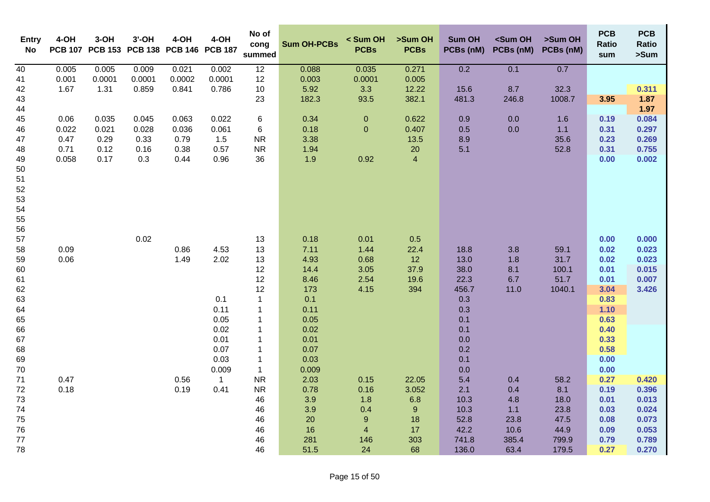| <b>Entry</b><br>No | 4-OH  | $3-OH$<br>PCB 107 PCB 153 | $3'$ -OH | 4-OH<br>PCB 138 PCB 146 PCB 187 | 4-OH           | No of<br>cong<br>summed      | <b>Sum OH-PCBs</b> | < Sum OH<br><b>PCBs</b> | >Sum OH<br><b>PCBs</b>   | <b>Sum OH</b><br>PCBs (nM) | <sum oh<br="">PCBs (nM)</sum> | >Sum OH<br>PCBs (nM) | <b>PCB</b><br>Ratio<br>sum | <b>PCB</b><br>Ratio<br>>Sum |
|--------------------|-------|---------------------------|----------|---------------------------------|----------------|------------------------------|--------------------|-------------------------|--------------------------|----------------------------|-------------------------------|----------------------|----------------------------|-----------------------------|
| $\overline{40}$    | 0.005 | 0.005                     | 0.009    | 0.021                           | 0.002          | 12                           | 0.088              | 0.035                   | 0.271                    | 0.2                        | 0.1                           | 0.7                  |                            |                             |
| 41                 | 0.001 | 0.0001                    | 0.0001   | 0.0002                          | 0.0001         | 12                           | 0.003              | 0.0001                  | 0.005                    |                            |                               |                      |                            |                             |
| 42                 | 1.67  | 1.31                      | 0.859    | 0.841                           | 0.786          | $10$                         | 5.92               | 3.3                     | 12.22                    | 15.6                       | 8.7                           | 32.3                 |                            | 0.311                       |
| 43<br>44           |       |                           |          |                                 |                | 23                           | 182.3              | 93.5                    | 382.1                    | 481.3                      | 246.8                         | 1008.7               | 3.95                       | 1.87<br>1.97                |
| 45                 | 0.06  | 0.035                     | 0.045    | 0.063                           | 0.022          | 6                            | 0.34               | $\pmb{0}$               | 0.622                    | 0.9                        | 0.0                           | 1.6                  | 0.19                       | 0.084                       |
| 46                 | 0.022 | 0.021                     | 0.028    | 0.036                           | 0.061          | 6                            | 0.18               | $\pmb{0}$               | 0.407                    | 0.5                        | 0.0                           | $1.1$                | 0.31                       | 0.297                       |
| 47                 | 0.47  | 0.29                      | 0.33     | 0.79                            | 1.5            | <b>NR</b>                    | 3.38               |                         | 13.5                     | 8.9                        |                               | 35.6                 | 0.23                       | 0.269                       |
| 48                 | 0.71  | 0.12                      | 0.16     | 0.38                            | 0.57           | <b>NR</b>                    | 1.94               |                         | $20\,$                   | 5.1                        |                               | 52.8                 | 0.31                       | 0.755                       |
| 49                 | 0.058 | 0.17                      | 0.3      | 0.44                            | 0.96           | 36                           | 1.9                | 0.92                    | $\overline{\mathcal{A}}$ |                            |                               |                      | 0.00                       | 0.002                       |
| 50                 |       |                           |          |                                 |                |                              |                    |                         |                          |                            |                               |                      |                            |                             |
| 51                 |       |                           |          |                                 |                |                              |                    |                         |                          |                            |                               |                      |                            |                             |
| 52                 |       |                           |          |                                 |                |                              |                    |                         |                          |                            |                               |                      |                            |                             |
| 53                 |       |                           |          |                                 |                |                              |                    |                         |                          |                            |                               |                      |                            |                             |
| 54<br>55           |       |                           |          |                                 |                |                              |                    |                         |                          |                            |                               |                      |                            |                             |
| 56                 |       |                           |          |                                 |                |                              |                    |                         |                          |                            |                               |                      |                            |                             |
| 57                 |       |                           | 0.02     |                                 |                | 13                           | 0.18               | 0.01                    | 0.5                      |                            |                               |                      | 0.00                       | 0.000                       |
| 58                 | 0.09  |                           |          | 0.86                            | 4.53           | 13                           | 7.11               | 1.44                    | 22.4                     | 18.8                       | 3.8                           | 59.1                 | 0.02                       | 0.023                       |
| 59                 | 0.06  |                           |          | 1.49                            | 2.02           | 13                           | 4.93               | 0.68                    | 12                       | 13.0                       | 1.8                           | 31.7                 | 0.02                       | 0.023                       |
| 60                 |       |                           |          |                                 |                | 12                           | 14.4               | 3.05                    | 37.9                     | 38.0                       | 8.1                           | 100.1                | 0.01                       | 0.015                       |
| 61                 |       |                           |          |                                 |                | 12                           | 8.46               | 2.54                    | 19.6                     | 22.3                       | 6.7                           | 51.7                 | 0.01                       | 0.007                       |
| 62                 |       |                           |          |                                 |                | 12                           | 173                | 4.15                    | 394                      | 456.7                      | 11.0                          | 1040.1               | 3.04                       | 3.426                       |
| 63                 |       |                           |          |                                 | 0.1            | $\mathbf{1}$                 | 0.1                |                         |                          | 0.3                        |                               |                      | 0.83                       |                             |
| 64                 |       |                           |          |                                 | 0.11           | $\mathbf{1}$                 | 0.11               |                         |                          | 0.3                        |                               |                      | 1.10                       |                             |
| 65                 |       |                           |          |                                 | 0.05           | $\mathbf{1}$                 | 0.05               |                         |                          | 0.1                        |                               |                      | 0.63                       |                             |
| 66                 |       |                           |          |                                 | 0.02           | $\mathbf{1}$                 | 0.02               |                         |                          | 0.1                        |                               |                      | 0.40                       |                             |
| 67<br>68           |       |                           |          |                                 | 0.01<br>0.07   | $\mathbf{1}$<br>$\mathbf{1}$ | 0.01<br>0.07       |                         |                          | 0.0<br>0.2                 |                               |                      | 0.33<br>0.58               |                             |
| 69                 |       |                           |          |                                 | 0.03           | $\mathbf{1}$                 | 0.03               |                         |                          | 0.1                        |                               |                      | 0.00                       |                             |
| 70                 |       |                           |          |                                 | 0.009          | $\mathbf{1}$                 | 0.009              |                         |                          | 0.0                        |                               |                      | 0.00                       |                             |
| 71                 | 0.47  |                           |          | 0.56                            | $\overline{1}$ | ${\sf NR}$                   | 2.03               | 0.15                    | 22.05                    | 5.4                        | 0.4                           | 58.2                 | 0.27                       | 0.420                       |
| $72\,$             | 0.18  |                           |          | 0.19                            | 0.41           | <b>NR</b>                    | 0.78               | 0.16                    | 3.052                    | 2.1                        | 0.4                           | 8.1                  | 0.19                       | 0.396                       |
| 73                 |       |                           |          |                                 |                | 46                           | 3.9                | 1.8                     | 6.8                      | 10.3                       | 4.8                           | 18.0                 | 0.01                       | 0.013                       |
| 74                 |       |                           |          |                                 |                | 46                           | 3.9                | 0.4                     | $\boldsymbol{9}$         | 10.3                       | 1.1                           | 23.8                 | 0.03                       | 0.024                       |
| ${\bf 75}$         |       |                           |          |                                 |                | 46                           | 20                 | $\boldsymbol{9}$        | 18                       | 52.8                       | 23.8                          | 47.5                 | 0.08                       | 0.073                       |
| 76                 |       |                           |          |                                 |                | 46                           | 16                 | $\overline{4}$          | 17                       | 42.2                       | 10.6                          | 44.9                 | 0.09                       | 0.053                       |
| $77\,$             |       |                           |          |                                 |                | 46                           | 281                | 146                     | 303                      | 741.8                      | 385.4                         | 799.9                | 0.79                       | 0.789                       |
| 78                 |       |                           |          |                                 |                | 46                           | 51.5               | 24                      | 68                       | 136.0                      | 63.4                          | 179.5                | 0.27                       | 0.270                       |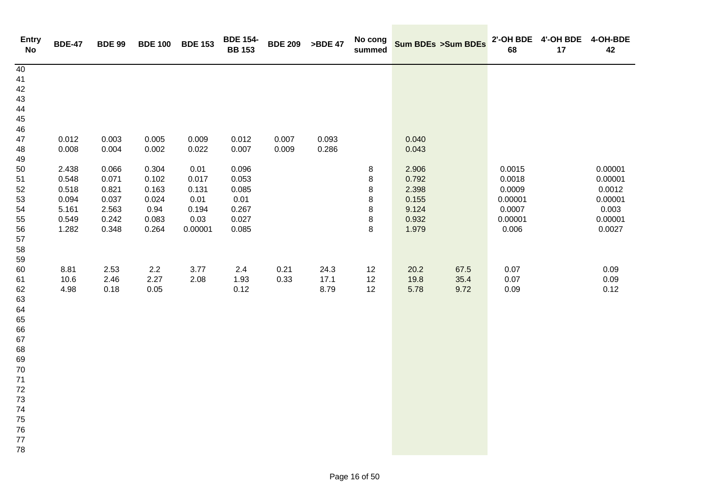| <b>Entry</b><br>$\mathop{\mathsf{No}}$ | <b>BDE-47</b>  | <b>BDE 99</b>  | <b>BDE 100</b> | <b>BDE 153</b> | <b>BDE 154-</b><br><b>BB 153</b> | <b>BDE 209</b> | >BDE 47        | No cong<br>summed |                | <b>Sum BDEs &gt;Sum BDEs</b> | 68      | 2'-OH BDE 4'-OH BDE 4-OH-BDE<br>17 | 42      |
|----------------------------------------|----------------|----------------|----------------|----------------|----------------------------------|----------------|----------------|-------------------|----------------|------------------------------|---------|------------------------------------|---------|
| 40<br>41                               |                |                |                |                |                                  |                |                |                   |                |                              |         |                                    |         |
| 42                                     |                |                |                |                |                                  |                |                |                   |                |                              |         |                                    |         |
| 43                                     |                |                |                |                |                                  |                |                |                   |                |                              |         |                                    |         |
| 44                                     |                |                |                |                |                                  |                |                |                   |                |                              |         |                                    |         |
| 45                                     |                |                |                |                |                                  |                |                |                   |                |                              |         |                                    |         |
| 46                                     |                |                |                |                |                                  |                |                |                   |                |                              |         |                                    |         |
| 47                                     | 0.012<br>0.008 | 0.003<br>0.004 | 0.005<br>0.002 | 0.009<br>0.022 | 0.012<br>0.007                   | 0.007<br>0.009 | 0.093<br>0.286 |                   | 0.040<br>0.043 |                              |         |                                    |         |
| 48<br>49                               |                |                |                |                |                                  |                |                |                   |                |                              |         |                                    |         |
| 50                                     | 2.438          | 0.066          | 0.304          | 0.01           | 0.096                            |                |                | 8                 | 2.906          |                              | 0.0015  |                                    | 0.00001 |
| 51                                     | 0.548          | 0.071          | 0.102          | 0.017          | 0.053                            |                |                | 8                 | 0.792          |                              | 0.0018  |                                    | 0.00001 |
| 52                                     | 0.518          | 0.821          | 0.163          | 0.131          | 0.085                            |                |                | 8                 | 2.398          |                              | 0.0009  |                                    | 0.0012  |
| 53                                     | 0.094          | 0.037          | 0.024          | 0.01           | 0.01                             |                |                | 8                 | 0.155          |                              | 0.00001 |                                    | 0.00001 |
| 54                                     | 5.161          | 2.563          | 0.94           | 0.194          | 0.267                            |                |                | 8                 | 9.124          |                              | 0.0007  |                                    | 0.003   |
| 55                                     | 0.549          | 0.242          | 0.083          | 0.03           | 0.027                            |                |                | 8                 | 0.932          |                              | 0.00001 |                                    | 0.00001 |
| 56<br>57                               | 1.282          | 0.348          | 0.264          | 0.00001        | 0.085                            |                |                | 8                 | 1.979          |                              | 0.006   |                                    | 0.0027  |
| 58                                     |                |                |                |                |                                  |                |                |                   |                |                              |         |                                    |         |
| 59                                     |                |                |                |                |                                  |                |                |                   |                |                              |         |                                    |         |
| 60                                     | 8.81           | 2.53           | 2.2            | 3.77           | 2.4                              | 0.21           | 24.3           | 12                | 20.2           | 67.5                         | 0.07    |                                    | 0.09    |
| 61                                     | 10.6           | 2.46           | 2.27           | 2.08           | 1.93                             | 0.33           | 17.1           | 12                | 19.8           | 35.4                         | 0.07    |                                    | 0.09    |
| 62                                     | 4.98           | 0.18           | 0.05           |                | 0.12                             |                | 8.79           | 12                | 5.78           | 9.72                         | 0.09    |                                    | 0.12    |
| 63                                     |                |                |                |                |                                  |                |                |                   |                |                              |         |                                    |         |
| 64                                     |                |                |                |                |                                  |                |                |                   |                |                              |         |                                    |         |
| 65<br>66                               |                |                |                |                |                                  |                |                |                   |                |                              |         |                                    |         |
| 67                                     |                |                |                |                |                                  |                |                |                   |                |                              |         |                                    |         |
| 68                                     |                |                |                |                |                                  |                |                |                   |                |                              |         |                                    |         |
| 69                                     |                |                |                |                |                                  |                |                |                   |                |                              |         |                                    |         |
| 70                                     |                |                |                |                |                                  |                |                |                   |                |                              |         |                                    |         |
| $71$                                   |                |                |                |                |                                  |                |                |                   |                |                              |         |                                    |         |
| 72                                     |                |                |                |                |                                  |                |                |                   |                |                              |         |                                    |         |
| 73<br>74                               |                |                |                |                |                                  |                |                |                   |                |                              |         |                                    |         |
| 75                                     |                |                |                |                |                                  |                |                |                   |                |                              |         |                                    |         |
| 76                                     |                |                |                |                |                                  |                |                |                   |                |                              |         |                                    |         |
| 77                                     |                |                |                |                |                                  |                |                |                   |                |                              |         |                                    |         |
| 78                                     |                |                |                |                |                                  |                |                |                   |                |                              |         |                                    |         |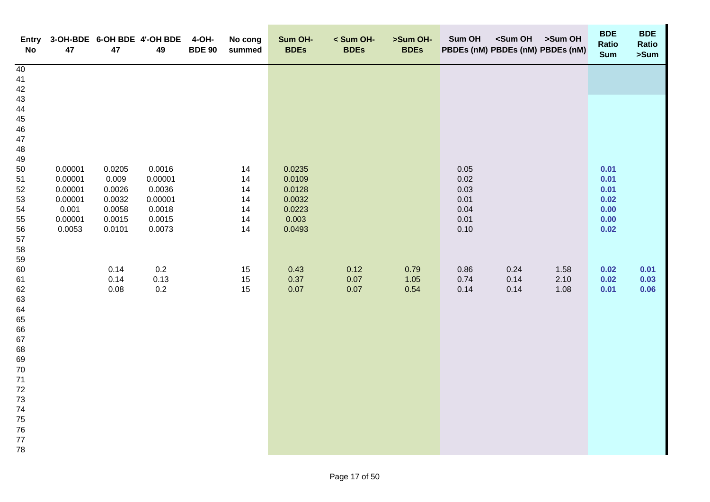| Entry<br>No    | 47                 | 47               | 3-OH-BDE 6-OH BDE 4'-OH BDE<br>49 | 4-OH-<br><b>BDE 90</b> | No cong<br>summed | Sum OH-<br><b>BDEs</b> | < Sum OH-<br><b>BDEs</b> | >Sum OH-<br><b>BDEs</b> | Sum OH       | <sum oh="">Sum OH<br/>PBDEs (nM) PBDEs (nM) PBDEs (nM)</sum> |              | <b>BDE</b><br>Ratio<br><b>Sum</b> | <b>BDE</b><br>Ratio<br>>Sum |
|----------------|--------------------|------------------|-----------------------------------|------------------------|-------------------|------------------------|--------------------------|-------------------------|--------------|--------------------------------------------------------------|--------------|-----------------------------------|-----------------------------|
| 40<br>41<br>42 |                    |                  |                                   |                        |                   |                        |                          |                         |              |                                                              |              |                                   |                             |
| 43<br>44       |                    |                  |                                   |                        |                   |                        |                          |                         |              |                                                              |              |                                   |                             |
| 45             |                    |                  |                                   |                        |                   |                        |                          |                         |              |                                                              |              |                                   |                             |
| 46             |                    |                  |                                   |                        |                   |                        |                          |                         |              |                                                              |              |                                   |                             |
| 47<br>48       |                    |                  |                                   |                        |                   |                        |                          |                         |              |                                                              |              |                                   |                             |
| 49             |                    |                  |                                   |                        |                   |                        |                          |                         |              |                                                              |              |                                   |                             |
| 50<br>51       | 0.00001<br>0.00001 | 0.0205<br>0.009  | 0.0016<br>0.00001                 |                        | 14<br>14          | 0.0235<br>0.0109       |                          |                         | 0.05<br>0.02 |                                                              |              | 0.01<br>0.01                      |                             |
| 52             | 0.00001            | 0.0026           | 0.0036                            |                        | 14                | 0.0128                 |                          |                         | 0.03         |                                                              |              | 0.01                              |                             |
| 53             | 0.00001            | 0.0032           | 0.00001                           |                        | 14                | 0.0032                 |                          |                         | 0.01         |                                                              |              | 0.02                              |                             |
| 54<br>55       | 0.001<br>0.00001   | 0.0058<br>0.0015 | 0.0018<br>0.0015                  |                        | 14<br>14          | 0.0223<br>0.003        |                          |                         | 0.04<br>0.01 |                                                              |              | 0.00<br>0.00                      |                             |
| 56             | 0.0053             | 0.0101           | 0.0073                            |                        | 14                | 0.0493                 |                          |                         | 0.10         |                                                              |              | 0.02                              |                             |
| 57<br>58       |                    |                  |                                   |                        |                   |                        |                          |                         |              |                                                              |              |                                   |                             |
| 59             |                    |                  |                                   |                        |                   |                        |                          |                         |              |                                                              |              |                                   |                             |
| 60             |                    | 0.14             | 0.2                               |                        | 15                | 0.43                   | 0.12                     | 0.79                    | 0.86         | 0.24                                                         | 1.58         | 0.02                              | 0.01                        |
| 61<br>62       |                    | 0.14<br>0.08     | 0.13<br>$0.2\,$                   |                        | 15<br>15          | 0.37<br>$0.07\,$       | $0.07\,$<br>0.07         | $1.05$<br>0.54          | 0.74<br>0.14 | 0.14<br>0.14                                                 | 2.10<br>1.08 | 0.02<br>0.01                      | 0.03<br>0.06                |
| 63             |                    |                  |                                   |                        |                   |                        |                          |                         |              |                                                              |              |                                   |                             |
| 64             |                    |                  |                                   |                        |                   |                        |                          |                         |              |                                                              |              |                                   |                             |
| 65<br>66       |                    |                  |                                   |                        |                   |                        |                          |                         |              |                                                              |              |                                   |                             |
| 67             |                    |                  |                                   |                        |                   |                        |                          |                         |              |                                                              |              |                                   |                             |
| 68<br>69       |                    |                  |                                   |                        |                   |                        |                          |                         |              |                                                              |              |                                   |                             |
| 70             |                    |                  |                                   |                        |                   |                        |                          |                         |              |                                                              |              |                                   |                             |
| $71$           |                    |                  |                                   |                        |                   |                        |                          |                         |              |                                                              |              |                                   |                             |
| $72\,$<br>73   |                    |                  |                                   |                        |                   |                        |                          |                         |              |                                                              |              |                                   |                             |
| 74             |                    |                  |                                   |                        |                   |                        |                          |                         |              |                                                              |              |                                   |                             |
| 75<br>76       |                    |                  |                                   |                        |                   |                        |                          |                         |              |                                                              |              |                                   |                             |
| 77             |                    |                  |                                   |                        |                   |                        |                          |                         |              |                                                              |              |                                   |                             |
| 78             |                    |                  |                                   |                        |                   |                        |                          |                         |              |                                                              |              |                                   |                             |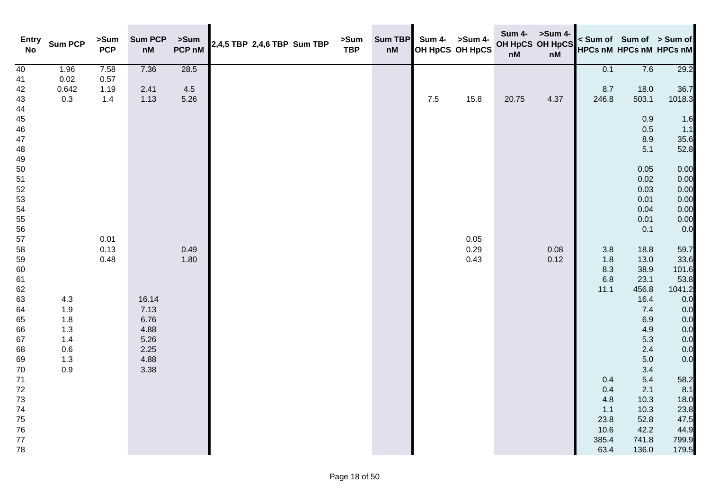| <b>Entry</b><br><b>No</b> | <b>Sum PCP</b> | >Sum<br><b>PCP</b> | <b>Sum PCP</b><br>$\mathsf{n}\mathsf{M}$ | >Sum<br>PCP nM | 2,4,5 TBP 2,4,6 TBP Sum TBP | >Sum<br><b>TBP</b> | <b>Sum TBP</b><br>nM |         | Sum 4- >Sum 4-<br>OH HpCS OH HpCS | OH HpCS OH HpCS<br>$\mathsf{n}\mathsf{M}$ | Sum 4- >Sum 4-<br>nM |            | < Sum of Sum of > Sum of<br><b>HPCs nM HPCs nM HPCs nM</b> |               |
|---------------------------|----------------|--------------------|------------------------------------------|----------------|-----------------------------|--------------------|----------------------|---------|-----------------------------------|-------------------------------------------|----------------------|------------|------------------------------------------------------------|---------------|
| 40                        | 1.96           | 7.58               | 7.36                                     | 28.5           |                             |                    |                      |         |                                   |                                           |                      | 0.1        | 7.6                                                        | 29.2          |
| 41                        | 0.02           | 0.57               |                                          |                |                             |                    |                      |         |                                   |                                           |                      |            |                                                            |               |
| 42                        | 0.642          | 1.19               | 2.41                                     | 4.5            |                             |                    |                      |         |                                   |                                           |                      | 8.7        | 18.0                                                       | 36.7          |
| 43<br>44                  | $0.3\,$        | $1.4$              | 1.13                                     | 5.26           |                             |                    |                      | $7.5\,$ | 15.8                              | 20.75                                     | 4.37                 | 246.8      | 503.1                                                      | 1018.3        |
| $45\,$                    |                |                    |                                          |                |                             |                    |                      |         |                                   |                                           |                      |            | 0.9                                                        | 1.6           |
| ${\bf 46}$                |                |                    |                                          |                |                             |                    |                      |         |                                   |                                           |                      |            | 0.5                                                        | 1.1           |
| 47                        |                |                    |                                          |                |                             |                    |                      |         |                                   |                                           |                      |            | 8.9                                                        | 35.6          |
| 48<br>49                  |                |                    |                                          |                |                             |                    |                      |         |                                   |                                           |                      |            | 5.1                                                        | 52.8          |
| 50                        |                |                    |                                          |                |                             |                    |                      |         |                                   |                                           |                      |            | 0.05                                                       | 0.00          |
| 51                        |                |                    |                                          |                |                             |                    |                      |         |                                   |                                           |                      |            | 0.02                                                       | 0.00          |
| 52                        |                |                    |                                          |                |                             |                    |                      |         |                                   |                                           |                      |            | 0.03                                                       | 0.00          |
| 53                        |                |                    |                                          |                |                             |                    |                      |         |                                   |                                           |                      |            | 0.01                                                       | 0.00          |
| 54                        |                |                    |                                          |                |                             |                    |                      |         |                                   |                                           |                      |            | 0.04                                                       | 0.00          |
| 55                        |                |                    |                                          |                |                             |                    |                      |         |                                   |                                           |                      |            | 0.01                                                       | 0.00          |
| 56                        |                |                    |                                          |                |                             |                    |                      |         |                                   |                                           |                      |            | 0.1                                                        | 0.0           |
| 57                        |                | 0.01               |                                          |                |                             |                    |                      |         | 0.05                              |                                           |                      |            |                                                            |               |
| 58                        |                | 0.13               |                                          | 0.49           |                             |                    |                      |         | 0.29                              |                                           | 0.08                 | $3.8\,$    | 18.8                                                       | 59.7          |
| 59                        |                | 0.48               |                                          | 1.80           |                             |                    |                      |         | 0.43                              |                                           | 0.12                 | 1.8        | 13.0                                                       | 33.6          |
| 60                        |                |                    |                                          |                |                             |                    |                      |         |                                   |                                           |                      | 8.3<br>6.8 | 38.9<br>23.1                                               | 101.6<br>53.8 |
| 61<br>62                  |                |                    |                                          |                |                             |                    |                      |         |                                   |                                           |                      | 11.1       | 456.8                                                      | 1041.2        |
| 63                        | 4.3            |                    | 16.14                                    |                |                             |                    |                      |         |                                   |                                           |                      |            | 16.4                                                       | 0.0           |
| 64                        | 1.9            |                    | 7.13                                     |                |                             |                    |                      |         |                                   |                                           |                      |            | 7.4                                                        | 0.0           |
| 65                        | 1.8            |                    | 6.76                                     |                |                             |                    |                      |         |                                   |                                           |                      |            | 6.9                                                        | 0.0           |
| 66                        | 1.3            |                    | 4.88                                     |                |                             |                    |                      |         |                                   |                                           |                      |            | 4.9                                                        | 0.0           |
| 67                        | 1.4            |                    | 5.26                                     |                |                             |                    |                      |         |                                   |                                           |                      |            | 5.3                                                        | 0.0           |
| 68                        | 0.6            |                    | 2.25                                     |                |                             |                    |                      |         |                                   |                                           |                      |            | 2.4                                                        | 0.0           |
| 69                        | 1.3            |                    | 4.88                                     |                |                             |                    |                      |         |                                   |                                           |                      |            | 5.0                                                        | 0.0           |
| 70                        | 0.9            |                    | 3.38                                     |                |                             |                    |                      |         |                                   |                                           |                      |            | 3.4                                                        |               |
| 71                        |                |                    |                                          |                |                             |                    |                      |         |                                   |                                           |                      | 0.4        | 5.4                                                        | 58.2          |
| $72\,$                    |                |                    |                                          |                |                             |                    |                      |         |                                   |                                           |                      | 0.4        | 2.1                                                        | 8.1           |
| $73\,$                    |                |                    |                                          |                |                             |                    |                      |         |                                   |                                           |                      | 4.8        | 10.3                                                       | 18.0          |
| $74\,$                    |                |                    |                                          |                |                             |                    |                      |         |                                   |                                           |                      | 1.1        | 10.3                                                       | 23.8          |
| ${\bf 75}$                |                |                    |                                          |                |                             |                    |                      |         |                                   |                                           |                      | 23.8       | 52.8                                                       | 47.5          |
| ${\bf 76}$                |                |                    |                                          |                |                             |                    |                      |         |                                   |                                           |                      | 10.6       | 42.2                                                       | 44.9          |
| 77                        |                |                    |                                          |                |                             |                    |                      |         |                                   |                                           |                      | 385.4      | 741.8                                                      | 799.9         |
| 78                        |                |                    |                                          |                |                             |                    |                      |         |                                   |                                           |                      | 63.4       | 136.0                                                      | 179.5         |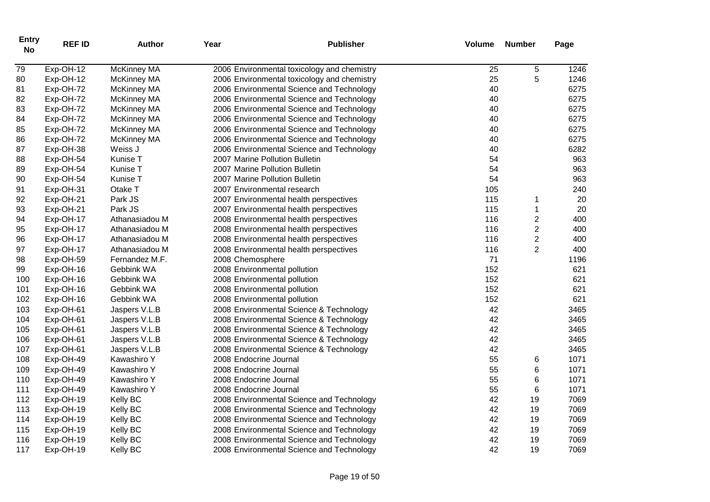| <b>Entry</b><br><b>No</b> | <b>REF ID</b> | <b>Author</b>      | Year                   | <b>Publisher</b>                            | <b>Volume</b> | <b>Number</b>    | Page |
|---------------------------|---------------|--------------------|------------------------|---------------------------------------------|---------------|------------------|------|
| 79                        | Exp-OH-12     | <b>McKinney MA</b> |                        | 2006 Environmental toxicology and chemistry | 25            | 5                | 1246 |
| 80                        | Exp-OH-12     | <b>McKinney MA</b> |                        | 2006 Environmental toxicology and chemistry | 25            | 5                | 1246 |
| 81                        | Exp-OH-72     | <b>McKinney MA</b> |                        | 2006 Environmental Science and Technology   | 40            |                  | 6275 |
| 82                        | Exp-OH-72     | <b>McKinney MA</b> |                        | 2006 Environmental Science and Technology   | 40            |                  | 6275 |
| 83                        | Exp-OH-72     | <b>McKinney MA</b> |                        | 2006 Environmental Science and Technology   | 40            |                  | 6275 |
| 84                        | Exp-OH-72     | McKinney MA        |                        | 2006 Environmental Science and Technology   | 40            |                  | 6275 |
| 85                        | Exp-OH-72     | <b>McKinney MA</b> |                        | 2006 Environmental Science and Technology   | 40            |                  | 6275 |
| 86                        | Exp-OH-72     | <b>McKinney MA</b> |                        | 2006 Environmental Science and Technology   | 40            |                  | 6275 |
| 87                        | Exp-OH-38     | Weiss J            |                        | 2006 Environmental Science and Technology   | 40            |                  | 6282 |
| 88                        | Exp-OH-54     | Kunise T           |                        | 2007 Marine Pollution Bulletin              | 54            |                  | 963  |
| 89                        | Exp-OH-54     | Kunise T           |                        | 2007 Marine Pollution Bulletin              | 54            |                  | 963  |
| 90                        | Exp-OH-54     | Kunise T           |                        | 2007 Marine Pollution Bulletin              | 54            |                  | 963  |
| 91                        | Exp-OH-31     | Otake T            |                        | 2007 Environmental research                 | 105           |                  | 240  |
| 92                        | Exp-OH-21     | Park JS            |                        | 2007 Environmental health perspectives      | 115           | 1                | 20   |
| 93                        | Exp-OH-21     | Park JS            |                        | 2007 Environmental health perspectives      | 115           | $\mathbf{1}$     | 20   |
| 94                        | Exp-OH-17     | Athanasiadou M     |                        | 2008 Environmental health perspectives      | 116           | $\boldsymbol{2}$ | 400  |
| 95                        | Exp-OH-17     | Athanasiadou M     |                        | 2008 Environmental health perspectives      | 116           | $\overline{2}$   | 400  |
| 96                        | Exp-OH-17     | Athanasiadou M     |                        | 2008 Environmental health perspectives      | 116           | $\overline{c}$   | 400  |
| 97                        | Exp-OH-17     | Athanasiadou M     |                        | 2008 Environmental health perspectives      | 116           | $\overline{2}$   | 400  |
| 98                        | Exp-OH-59     | Fernandez M.F.     | 2008 Chemosphere       |                                             | 71            |                  | 1196 |
| 99                        | Exp-OH-16     | Gebbink WA         |                        | 2008 Environmental pollution                | 152           |                  | 621  |
| 100                       | Exp-OH-16     | Gebbink WA         |                        | 2008 Environmental pollution                | 152           |                  | 621  |
| 101                       | Exp-OH-16     | Gebbink WA         |                        | 2008 Environmental pollution                | 152           |                  | 621  |
| 102                       | Exp-OH-16     | Gebbink WA         |                        | 2008 Environmental pollution                | 152           |                  | 621  |
| 103                       | Exp-OH-61     | Jaspers V.L.B      |                        | 2008 Environmental Science & Technology     | 42            |                  | 3465 |
| 104                       | Exp-OH-61     | Jaspers V.L.B      |                        | 2008 Environmental Science & Technology     | 42            |                  | 3465 |
| 105                       | Exp-OH-61     | Jaspers V.L.B      |                        | 2008 Environmental Science & Technology     | 42            |                  | 3465 |
| 106                       | Exp-OH-61     | Jaspers V.L.B      |                        | 2008 Environmental Science & Technology     | 42            |                  | 3465 |
| 107                       | Exp-OH-61     | Jaspers V.L.B      |                        | 2008 Environmental Science & Technology     | 42            |                  | 3465 |
| 108                       | Exp-OH-49     | Kawashiro Y        | 2008 Endocrine Journal |                                             | 55            | 6                | 1071 |
| 109                       | Exp-OH-49     | Kawashiro Y        | 2008 Endocrine Journal |                                             | 55            | 6                | 1071 |
| 110                       | Exp-OH-49     | Kawashiro Y        | 2008 Endocrine Journal |                                             | 55            | 6                | 1071 |
| 111                       | Exp-OH-49     | Kawashiro Y        | 2008 Endocrine Journal |                                             | 55            | 6                | 1071 |
| 112                       | Exp-OH-19     | Kelly BC           |                        | 2008 Environmental Science and Technology   | 42            | 19               | 7069 |
| 113                       | Exp-OH-19     | Kelly BC           |                        | 2008 Environmental Science and Technology   | 42            | 19               | 7069 |
| 114                       | Exp-OH-19     | Kelly BC           |                        | 2008 Environmental Science and Technology   | 42            | 19               | 7069 |
| 115                       | Exp-OH-19     | Kelly BC           |                        | 2008 Environmental Science and Technology   | 42            | 19               | 7069 |
| 116                       | Exp-OH-19     | Kelly BC           |                        | 2008 Environmental Science and Technology   | 42            | 19               | 7069 |
| 117                       | Exp-OH-19     | Kelly BC           |                        | 2008 Environmental Science and Technology   | 42            | 19               | 7069 |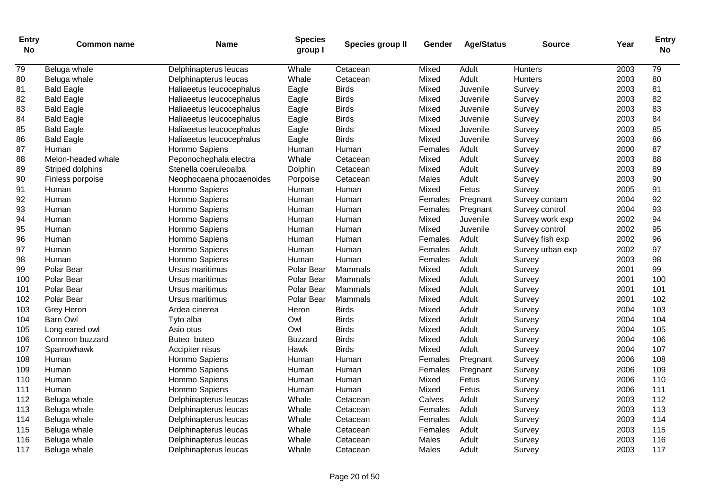| <b>Entry</b><br><b>No</b> | <b>Common name</b> | <b>Name</b>              | <b>Species</b><br>group I | Species group II | Gender  | <b>Age/Status</b> | <b>Source</b>    | Year | <b>Entry</b><br><b>No</b> |
|---------------------------|--------------------|--------------------------|---------------------------|------------------|---------|-------------------|------------------|------|---------------------------|
| 79                        | Beluga whale       | Delphinapterus leucas    | Whale                     | Cetacean         | Mixed   | Adult             | Hunters          | 2003 | 79                        |
| 80                        | Beluga whale       | Delphinapterus leucas    | Whale                     | Cetacean         | Mixed   | Adult             | Hunters          | 2003 | 80                        |
| 81                        | <b>Bald Eagle</b>  | Haliaeetus leucocephalus | Eagle                     | <b>Birds</b>     | Mixed   | Juvenile          | Survey           | 2003 | 81                        |
| 82                        | <b>Bald Eagle</b>  | Haliaeetus leucocephalus | Eagle                     | <b>Birds</b>     | Mixed   | Juvenile          | Survey           | 2003 | 82                        |
| 83                        | <b>Bald Eagle</b>  | Haliaeetus leucocephalus | Eagle                     | <b>Birds</b>     | Mixed   | Juvenile          | Survey           | 2003 | 83                        |
| 84                        | <b>Bald Eagle</b>  | Haliaeetus leucocephalus | Eagle                     | <b>Birds</b>     | Mixed   | Juvenile          | Survey           | 2003 | 84                        |
| 85                        | <b>Bald Eagle</b>  | Haliaeetus leucocephalus | Eagle                     | <b>Birds</b>     | Mixed   | Juvenile          | Survey           | 2003 | 85                        |
| 86                        | <b>Bald Eagle</b>  | Haliaeetus leucocephalus | Eagle                     | <b>Birds</b>     | Mixed   | Juvenile          | Survey           | 2003 | 86                        |
| 87                        | Human              | Hommo Sapiens            | Human                     | Human            | Females | Adult             | Survey           | 2000 | 87                        |
| 88                        | Melon-headed whale | Peponochephala electra   | Whale                     | Cetacean         | Mixed   | Adult             | Survey           | 2003 | 88                        |
| 89                        | Striped dolphins   | Stenella coeruleoalba    | Dolphin                   | Cetacean         | Mixed   | Adult             | Survey           | 2003 | 89                        |
| 90                        | Finless porpoise   | Neophocaena phocaenoides | Porpoise                  | Cetacean         | Males   | Adult             | Survey           | 2003 | 90                        |
| 91                        | Human              | Hommo Sapiens            | Human                     | Human            | Mixed   | Fetus             | Survey           | 2005 | 91                        |
| 92                        | Human              | Hommo Sapiens            | Human                     | Human            | Females | Pregnant          | Survey contam    | 2004 | 92                        |
| 93                        | Human              | Hommo Sapiens            | Human                     | Human            | Females | Pregnant          | Survey control   | 2004 | 93                        |
| 94                        | Human              | Hommo Sapiens            | Human                     | Human            | Mixed   | Juvenile          | Survey work exp  | 2002 | 94                        |
| 95                        | Human              | Hommo Sapiens            | Human                     | Human            | Mixed   | Juvenile          | Survey control   | 2002 | 95                        |
| 96                        | Human              | Hommo Sapiens            | Human                     | Human            | Females | Adult             | Survey fish exp  | 2002 | 96                        |
| 97                        | Human              | Hommo Sapiens            | Human                     | Human            | Females | Adult             | Survey urban exp | 2002 | 97                        |
| 98                        | Human              | Hommo Sapiens            | Human                     | Human            | Females | Adult             | Survey           | 2003 | 98                        |
| 99                        | Polar Bear         | Ursus maritimus          | Polar Bear                | Mammals          | Mixed   | Adult             | Survey           | 2001 | 99                        |
| 100                       | Polar Bear         | Ursus maritimus          | Polar Bear                | Mammals          | Mixed   | Adult             | Survey           | 2001 | 100                       |
| 101                       | Polar Bear         | Ursus maritimus          | Polar Bear                | <b>Mammals</b>   | Mixed   | Adult             | Survey           | 2001 | 101                       |
| 102                       | Polar Bear         | Ursus maritimus          | Polar Bear                | <b>Mammals</b>   | Mixed   | Adult             | Survey           | 2001 | 102                       |
| 103                       | <b>Grey Heron</b>  | Ardea cinerea            | Heron                     | <b>Birds</b>     | Mixed   | Adult             | Survey           | 2004 | 103                       |
| 104                       | <b>Barn Owl</b>    | Tyto alba                | Owl                       | <b>Birds</b>     | Mixed   | Adult             | Survey           | 2004 | 104                       |
| 105                       | Long eared owl     | Asio otus                | Owl                       | <b>Birds</b>     | Mixed   | Adult             | Survey           | 2004 | 105                       |
| 106                       | Common buzzard     | Buteo buteo              | <b>Buzzard</b>            | <b>Birds</b>     | Mixed   | Adult             | Survey           | 2004 | 106                       |
| 107                       | Sparrowhawk        | Accipiter nisus          | Hawk                      | <b>Birds</b>     | Mixed   | Adult             | Survey           | 2004 | 107                       |
| 108                       | Human              | Hommo Sapiens            | Human                     | Human            | Females | Pregnant          | Survey           | 2006 | 108                       |
| 109                       | Human              | Hommo Sapiens            | Human                     | Human            | Females | Pregnant          | Survey           | 2006 | 109                       |
| 110                       | Human              | Hommo Sapiens            | Human                     | Human            | Mixed   | Fetus             | Survey           | 2006 | 110                       |
| 111                       | Human              | Hommo Sapiens            | Human                     | Human            | Mixed   | Fetus             | Survey           | 2006 | 111                       |
| 112                       | Beluga whale       | Delphinapterus leucas    | Whale                     | Cetacean         | Calves  | Adult             | Survey           | 2003 | 112                       |
| 113                       | Beluga whale       | Delphinapterus leucas    | Whale                     | Cetacean         | Females | Adult             | Survey           | 2003 | 113                       |
| 114                       | Beluga whale       | Delphinapterus leucas    | Whale                     | Cetacean         | Females | Adult             | Survey           | 2003 | 114                       |
| 115                       | Beluga whale       | Delphinapterus leucas    | Whale                     | Cetacean         | Females | Adult             | Survey           | 2003 | 115                       |
| 116                       | Beluga whale       | Delphinapterus leucas    | Whale                     | Cetacean         | Males   | Adult             | Survey           | 2003 | 116                       |
| 117                       | Beluga whale       | Delphinapterus leucas    | Whale                     | Cetacean         | Males   | Adult             | Survey           | 2003 | 117                       |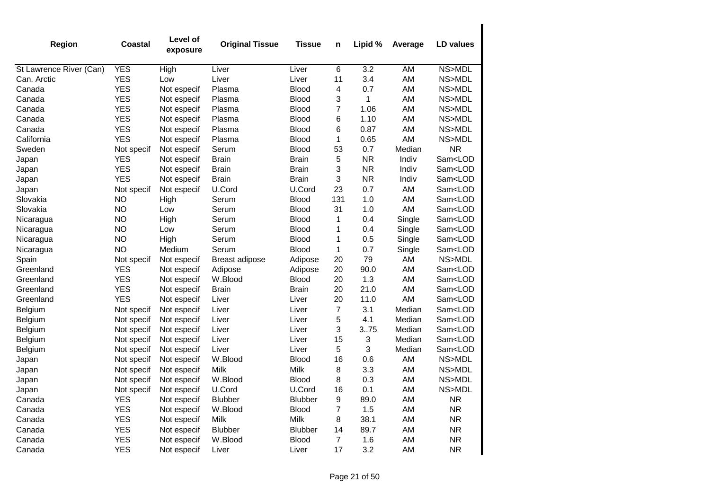| Region                  | Coastal    | Level of<br>exposure | <b>Original Tissue</b> | <b>Tissue</b>  | n                | Lipid %      | Average | LD values               |
|-------------------------|------------|----------------------|------------------------|----------------|------------------|--------------|---------|-------------------------|
| St Lawrence River (Can) | <b>YES</b> | High                 | Liver                  | Liver          | 6                | 3.2          | AM      | NS>MDL                  |
| Can. Arctic             | <b>YES</b> | Low                  | Liver                  | Liver          | 11               | 3.4          | AM      | NS>MDL                  |
| Canada                  | <b>YES</b> | Not especif          | Plasma                 | <b>Blood</b>   | 4                | 0.7          | AM      | NS>MDL                  |
| Canada                  | <b>YES</b> | Not especif          | Plasma                 | <b>Blood</b>   | 3                | $\mathbf{1}$ | AM      | NS>MDL                  |
| Canada                  | <b>YES</b> | Not especif          | Plasma                 | <b>Blood</b>   | 7                | 1.06         | AM      | NS>MDL                  |
| Canada                  | <b>YES</b> | Not especif          | Plasma                 | <b>Blood</b>   | 6                | 1.10         | AM      | NS>MDL                  |
| Canada                  | <b>YES</b> | Not especif          | Plasma                 | <b>Blood</b>   | 6                | 0.87         | AM      | NS>MDL                  |
| California              | <b>YES</b> | Not especif          | Plasma                 | <b>Blood</b>   | 1                | 0.65         | AM      | NS>MDL                  |
| Sweden                  | Not specif | Not especif          | Serum                  | <b>Blood</b>   | 53               | 0.7          | Median  | <b>NR</b>               |
| Japan                   | <b>YES</b> | Not especif          | <b>Brain</b>           | <b>Brain</b>   | 5                | <b>NR</b>    | Indiv   | Sam <lod< td=""></lod<> |
| Japan                   | <b>YES</b> | Not especif          | <b>Brain</b>           | <b>Brain</b>   | 3                | <b>NR</b>    | Indiv   | Sam <lod< td=""></lod<> |
| Japan                   | <b>YES</b> | Not especif          | <b>Brain</b>           | <b>Brain</b>   | 3                | <b>NR</b>    | Indiv   | Sam <lod< td=""></lod<> |
| Japan                   | Not specif | Not especif          | U.Cord                 | U.Cord         | 23               | 0.7          | AM      | Sam <lod< td=""></lod<> |
| Slovakia                | <b>NO</b>  | High                 | Serum                  | <b>Blood</b>   | 131              | 1.0          | AM      | Sam <lod< td=""></lod<> |
| Slovakia                | <b>NO</b>  | Low                  | Serum                  | <b>Blood</b>   | 31               | 1.0          | AM      | Sam <lod< td=""></lod<> |
| Nicaragua               | <b>NO</b>  | High                 | Serum                  | <b>Blood</b>   | 1                | 0.4          | Single  | Sam <lod< td=""></lod<> |
| Nicaragua               | <b>NO</b>  | Low                  | Serum                  | <b>Blood</b>   | 1                | 0.4          | Single  | Sam <lod< td=""></lod<> |
| Nicaragua               | <b>NO</b>  | High                 | Serum                  | <b>Blood</b>   | 1                | 0.5          | Single  | Sam <lod< td=""></lod<> |
| Nicaragua               | <b>NO</b>  | Medium               | Serum                  | <b>Blood</b>   | 1                | 0.7          | Single  | Sam <lod< td=""></lod<> |
| Spain                   | Not specif | Not especif          | Breast adipose         | Adipose        | 20               | 79           | AM      | NS>MDL                  |
| Greenland               | <b>YES</b> | Not especif          | Adipose                | Adipose        | 20               | 90.0         | AM      | Sam <lod< td=""></lod<> |
| Greenland               | <b>YES</b> | Not especif          | W.Blood                | <b>Blood</b>   | 20               | 1.3          | AM      | Sam <lod< td=""></lod<> |
| Greenland               | <b>YES</b> | Not especif          | <b>Brain</b>           | <b>Brain</b>   | 20               | 21.0         | AM      | Sam <lod< td=""></lod<> |
| Greenland               | <b>YES</b> | Not especif          | Liver                  | Liver          | 20               | 11.0         | AM      | Sam <lod< td=""></lod<> |
| Belgium                 | Not specif | Not especif          | Liver                  | Liver          | $\overline{7}$   | 3.1          | Median  | Sam <lod< td=""></lod<> |
| Belgium                 | Not specif | Not especif          | Liver                  | Liver          | 5                | 4.1          | Median  | Sam <lod< td=""></lod<> |
| Belgium                 | Not specif | Not especif          | Liver                  | Liver          | 3                | 3.75         | Median  | Sam <lod< td=""></lod<> |
| Belgium                 | Not specif | Not especif          | Liver                  | Liver          | 15               | 3            | Median  | Sam <lod< td=""></lod<> |
| Belgium                 | Not specif | Not especif          | Liver                  | Liver          | 5                | 3            | Median  | Sam <lod< td=""></lod<> |
| Japan                   | Not specif | Not especif          | W.Blood                | <b>Blood</b>   | 16               | 0.6          | AM      | NS>MDL                  |
| Japan                   | Not specif | Not especif          | Milk                   | Milk           | 8                | 3.3          | AM      | NS>MDL                  |
| Japan                   | Not specif | Not especif          | W.Blood                | <b>Blood</b>   | 8                | 0.3          | AM      | NS>MDL                  |
| Japan                   | Not specif | Not especif          | U.Cord                 | U.Cord         | 16               | 0.1          | AM      | NS>MDL                  |
| Canada                  | <b>YES</b> | Not especif          | Blubber                | <b>Blubber</b> | $\boldsymbol{9}$ | 89.0         | AM      | <b>NR</b>               |
| Canada                  | <b>YES</b> | Not especif          | W.Blood                | <b>Blood</b>   | $\overline{7}$   | 1.5          | AM      | <b>NR</b>               |
| Canada                  | <b>YES</b> | Not especif          | Milk                   | Milk           | 8                | 38.1         | AM      | <b>NR</b>               |
| Canada                  | <b>YES</b> | Not especif          | Blubber                | <b>Blubber</b> | 14               | 89.7         | AM      | <b>NR</b>               |
| Canada                  | <b>YES</b> | Not especif          | W.Blood                | <b>Blood</b>   | 7                | 1.6          | AM      | <b>NR</b>               |
| Canada                  | <b>YES</b> | Not especif          | Liver                  | Liver          | 17               | 3.2          | AM      | <b>NR</b>               |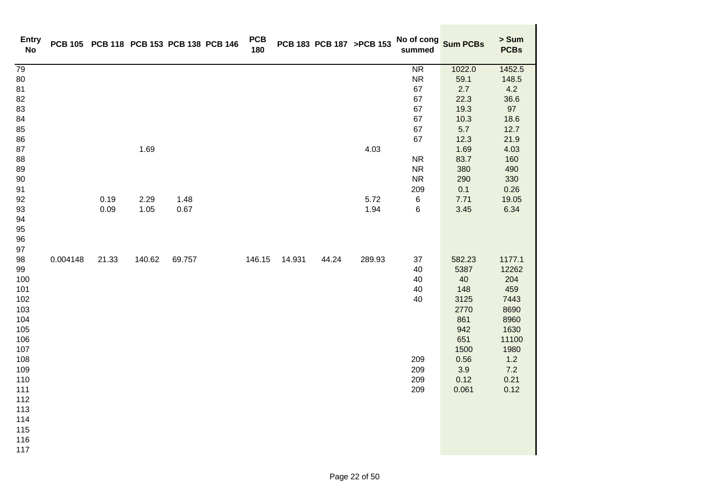| <b>Entry</b><br><b>No</b> |          | PCB 105 PCB 118 PCB 153 PCB 138 PCB 146 |        |        | <b>PCB</b><br>180 |        |       | PCB 183 PCB 187 >PCB 153 | No of cong<br>Sum PCBs<br>summed |            | > Sum<br><b>PCBs</b> |
|---------------------------|----------|-----------------------------------------|--------|--------|-------------------|--------|-------|--------------------------|----------------------------------|------------|----------------------|
| $\overline{79}$           |          |                                         |        |        |                   |        |       |                          | <b>NR</b>                        | 1022.0     | 1452.5               |
| 80                        |          |                                         |        |        |                   |        |       |                          | ${\sf NR}$                       | 59.1       | 148.5                |
| 81                        |          |                                         |        |        |                   |        |       |                          | 67                               | 2.7        | 4.2                  |
| 82                        |          |                                         |        |        |                   |        |       |                          | 67                               | 22.3       | 36.6                 |
| 83                        |          |                                         |        |        |                   |        |       |                          | 67                               | 19.3       | 97                   |
| 84                        |          |                                         |        |        |                   |        |       |                          | 67                               | 10.3       | 18.6                 |
| 85                        |          |                                         |        |        |                   |        |       |                          | 67                               | 5.7        | 12.7                 |
| 86                        |          |                                         |        |        |                   |        |       |                          | 67                               | 12.3       | 21.9                 |
| 87                        |          |                                         | 1.69   |        |                   |        |       | 4.03                     |                                  | 1.69       | 4.03                 |
| 88                        |          |                                         |        |        |                   |        |       |                          | <b>NR</b>                        | 83.7       | 160                  |
| 89                        |          |                                         |        |        |                   |        |       |                          | <b>NR</b>                        | 380        | 490                  |
| $90\,$                    |          |                                         |        |        |                   |        |       |                          | ${\sf NR}$<br>209                | 290<br>0.1 | 330                  |
| 91<br>92                  |          | 0.19                                    | 2.29   | 1.48   |                   |        |       | 5.72                     | $\,6$                            | 7.71       | 0.26<br>19.05        |
| 93                        |          | 0.09                                    | 1.05   | 0.67   |                   |        |       | 1.94                     | 6                                | 3.45       | 6.34                 |
| 94                        |          |                                         |        |        |                   |        |       |                          |                                  |            |                      |
| 95                        |          |                                         |        |        |                   |        |       |                          |                                  |            |                      |
| 96                        |          |                                         |        |        |                   |        |       |                          |                                  |            |                      |
| 97                        |          |                                         |        |        |                   |        |       |                          |                                  |            |                      |
| 98                        | 0.004148 | 21.33                                   | 140.62 | 69.757 | 146.15            | 14.931 | 44.24 | 289.93                   | 37                               | 582.23     | 1177.1               |
| 99                        |          |                                         |        |        |                   |        |       |                          | 40                               | 5387       | 12262                |
| 100                       |          |                                         |        |        |                   |        |       |                          | 40                               | 40         | 204                  |
| 101                       |          |                                         |        |        |                   |        |       |                          | 40                               | 148        | 459                  |
| 102                       |          |                                         |        |        |                   |        |       |                          | 40                               | 3125       | 7443                 |
| 103                       |          |                                         |        |        |                   |        |       |                          |                                  | 2770       | 8690                 |
| 104                       |          |                                         |        |        |                   |        |       |                          |                                  | 861        | 8960                 |
| 105                       |          |                                         |        |        |                   |        |       |                          |                                  | 942        | 1630                 |
| 106                       |          |                                         |        |        |                   |        |       |                          |                                  | 651        | 11100                |
| 107                       |          |                                         |        |        |                   |        |       |                          |                                  | 1500       | 1980                 |
| 108                       |          |                                         |        |        |                   |        |       |                          | 209                              | 0.56       | 1.2                  |
| 109                       |          |                                         |        |        |                   |        |       |                          | 209                              | 3.9        | 7.2                  |
| 110                       |          |                                         |        |        |                   |        |       |                          | 209                              | 0.12       | 0.21                 |
| 111                       |          |                                         |        |        |                   |        |       |                          | 209                              | 0.061      | 0.12                 |
| 112                       |          |                                         |        |        |                   |        |       |                          |                                  |            |                      |
| 113                       |          |                                         |        |        |                   |        |       |                          |                                  |            |                      |
| 114                       |          |                                         |        |        |                   |        |       |                          |                                  |            |                      |
| 115                       |          |                                         |        |        |                   |        |       |                          |                                  |            |                      |
| 116                       |          |                                         |        |        |                   |        |       |                          |                                  |            |                      |
| 117                       |          |                                         |        |        |                   |        |       |                          |                                  |            |                      |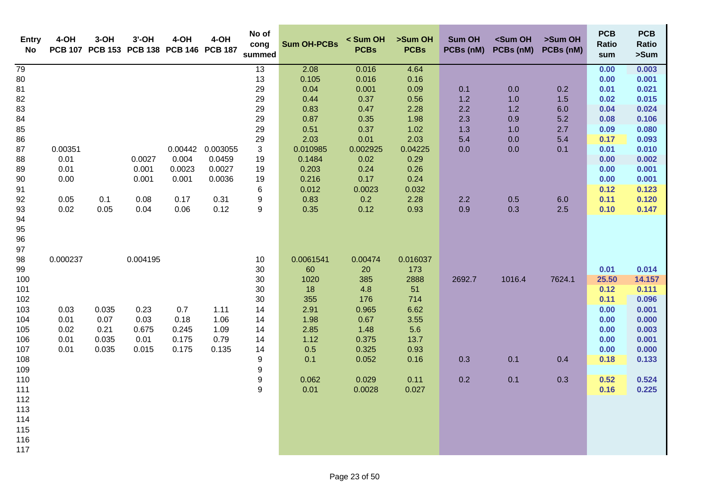| <b>Entry</b><br><b>No</b>                                                                                                              | 4-OH                                             | $3-OH$                                  | $3'$ -OH                                           | 4-OH<br>PCB 107 PCB 153 PCB 138 PCB 146 PCB 187 | 4-OH                                   | No of<br>cong<br>summed                                                                                                                  | <b>Sum OH-PCBs</b>                                                                                    | < Sum OH<br><b>PCBs</b>                                                                                   | >Sum OH<br><b>PCBs</b>                                                                               | <b>Sum OH</b><br>PCBs (nM)                    | <sum oh<br="">PCBs (nM)</sum>                 | >Sum OH<br>PCBs (nM)                          | <b>PCB</b><br><b>Ratio</b><br>sum                                                             | <b>PCB</b><br>Ratio<br>>Sum                                                                               |
|----------------------------------------------------------------------------------------------------------------------------------------|--------------------------------------------------|-----------------------------------------|----------------------------------------------------|-------------------------------------------------|----------------------------------------|------------------------------------------------------------------------------------------------------------------------------------------|-------------------------------------------------------------------------------------------------------|-----------------------------------------------------------------------------------------------------------|------------------------------------------------------------------------------------------------------|-----------------------------------------------|-----------------------------------------------|-----------------------------------------------|-----------------------------------------------------------------------------------------------|-----------------------------------------------------------------------------------------------------------|
| 79<br>80<br>81<br>82<br>83<br>84<br>85<br>86<br>87<br>88<br>89<br>90                                                                   | 0.00351<br>0.01<br>0.01<br>0.00                  |                                         | 0.0027<br>0.001<br>0.001                           | 0.00442<br>0.004<br>0.0023<br>0.001             | 0.003055<br>0.0459<br>0.0027<br>0.0036 | $\overline{13}$<br>13<br>29<br>29<br>29<br>29<br>29<br>29<br>3<br>19<br>19<br>19                                                         | 2.08<br>0.105<br>0.04<br>0.44<br>0.83<br>0.87<br>0.51<br>2.03<br>0.010985<br>0.1484<br>0.203<br>0.216 | 0.016<br>0.016<br>0.001<br>0.37<br>0.47<br>0.35<br>0.37<br>0.01<br>0.002925<br>0.02<br>0.24<br>0.17       | 4.64<br>0.16<br>0.09<br>0.56<br>2.28<br>1.98<br>1.02<br>2.03<br>0.04225<br>0.29<br>0.26<br>0.24      | 0.1<br>1.2<br>2.2<br>2.3<br>1.3<br>5.4<br>0.0 | 0.0<br>1.0<br>1.2<br>0.9<br>1.0<br>0.0<br>0.0 | 0.2<br>1.5<br>6.0<br>5.2<br>2.7<br>5.4<br>0.1 | 0.00<br>0.00<br>0.01<br>0.02<br>0.04<br>0.08<br>0.09<br>0.17<br>0.01<br>0.00<br>0.00<br>0.00  | 0.003<br>0.001<br>0.021<br>0.015<br>0.024<br>0.106<br>0.080<br>0.093<br>0.010<br>0.002<br>0.001<br>0.001  |
| 91<br>92<br>93<br>94<br>95<br>96<br>97                                                                                                 | 0.05<br>0.02                                     | 0.1<br>0.05                             | 0.08<br>0.04                                       | 0.17<br>0.06                                    | 0.31<br>0.12                           | 6<br>9<br>$9\,$                                                                                                                          | 0.012<br>0.83<br>0.35                                                                                 | 0.0023<br>0.2<br>0.12                                                                                     | 0.032<br>2.28<br>0.93                                                                                | 2.2<br>0.9                                    | 0.5<br>0.3                                    | 6.0<br>2.5                                    | 0.12<br>0.11<br>0.10                                                                          | 0.123<br>0.120<br>0.147                                                                                   |
| 98<br>99<br>100<br>101<br>102<br>103<br>104<br>105<br>106<br>107<br>108<br>109<br>110<br>111<br>112<br>113<br>114<br>115<br>116<br>117 | 0.000237<br>0.03<br>0.01<br>0.02<br>0.01<br>0.01 | 0.035<br>0.07<br>0.21<br>0.035<br>0.035 | 0.004195<br>0.23<br>0.03<br>0.675<br>0.01<br>0.015 | 0.7<br>0.18<br>0.245<br>0.175<br>0.175          | 1.11<br>1.06<br>1.09<br>0.79<br>0.135  | 10<br>30<br>30<br>30<br>30<br>14<br>14<br>14<br>14<br>14<br>$\boldsymbol{9}$<br>$\boldsymbol{9}$<br>$\boldsymbol{9}$<br>$\boldsymbol{9}$ | 0.0061541<br>60<br>1020<br>18<br>355<br>2.91<br>1.98<br>2.85<br>1.12<br>0.5<br>0.1<br>0.062<br>0.01   | 0.00474<br>20<br>385<br>4.8<br>176<br>0.965<br>0.67<br>1.48<br>0.375<br>0.325<br>0.052<br>0.029<br>0.0028 | 0.016037<br>173<br>2888<br>51<br>714<br>6.62<br>3.55<br>5.6<br>13.7<br>0.93<br>0.16<br>0.11<br>0.027 | 2692.7<br>0.3<br>0.2                          | 1016.4<br>0.1<br>0.1                          | 7624.1<br>0.4<br>0.3                          | 0.01<br>25.50<br>0.12<br>0.11<br>0.00<br>0.00<br>0.00<br>0.00<br>0.00<br>0.18<br>0.52<br>0.16 | 0.014<br>14.157<br>0.111<br>0.096<br>0.001<br>0.000<br>0.003<br>0.001<br>0.000<br>0.133<br>0.524<br>0.225 |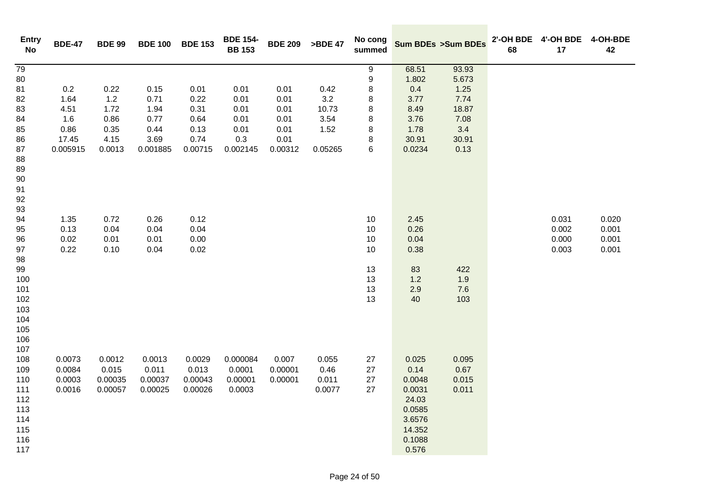| <b>Entry</b><br>No | <b>BDE-47</b> | <b>BDE 99</b> | <b>BDE 100</b> | <b>BDE 153</b> | <b>BDE 154-</b><br><b>BB 153</b> | <b>BDE 209</b> | >BDE 47 | No cong<br>summed |              | <b>Sum BDEs &gt;Sum BDEs</b> | 68 | 2'-OH BDE 4'-OH BDE<br>17 | 4-OH-BDE<br>42 |
|--------------------|---------------|---------------|----------------|----------------|----------------------------------|----------------|---------|-------------------|--------------|------------------------------|----|---------------------------|----------------|
| 79                 |               |               |                |                |                                  |                |         | $\boldsymbol{9}$  | 68.51        | 93.93                        |    |                           |                |
| 80                 |               |               |                |                |                                  |                |         | $\boldsymbol{9}$  | 1.802        | 5.673                        |    |                           |                |
| 81                 | 0.2           | 0.22          | 0.15           | 0.01           | 0.01                             | 0.01           | 0.42    | $\bf8$            | 0.4          | 1.25                         |    |                           |                |
| 82                 | 1.64          | 1.2           | 0.71           | 0.22           | 0.01                             | 0.01           | 3.2     | 8                 | 3.77         | 7.74                         |    |                           |                |
| 83                 | 4.51          | 1.72          | 1.94           | 0.31           | 0.01                             | 0.01           | 10.73   | 8                 | 8.49         | 18.87                        |    |                           |                |
| 84                 | 1.6           | 0.86          | 0.77           | 0.64           | 0.01                             | 0.01           | 3.54    | 8                 | 3.76         | 7.08                         |    |                           |                |
| 85                 | 0.86          | 0.35          | 0.44           | 0.13           | 0.01                             | 0.01           | 1.52    | $\,8\,$           | 1.78         | 3.4                          |    |                           |                |
| 86                 | 17.45         | 4.15          | 3.69           | 0.74           | 0.3                              | 0.01           |         | 8                 | 30.91        | 30.91                        |    |                           |                |
| 87                 | 0.005915      | 0.0013        | 0.001885       | 0.00715        | 0.002145                         | 0.00312        | 0.05265 | $\,6\,$           | 0.0234       | 0.13                         |    |                           |                |
| 88                 |               |               |                |                |                                  |                |         |                   |              |                              |    |                           |                |
| 89                 |               |               |                |                |                                  |                |         |                   |              |                              |    |                           |                |
| 90                 |               |               |                |                |                                  |                |         |                   |              |                              |    |                           |                |
| 91                 |               |               |                |                |                                  |                |         |                   |              |                              |    |                           |                |
| 92                 |               |               |                |                |                                  |                |         |                   |              |                              |    |                           |                |
| 93                 |               |               |                |                |                                  |                |         |                   |              |                              |    |                           |                |
| 94                 | 1.35          | 0.72          | 0.26           | 0.12           |                                  |                |         | 10                | 2.45         |                              |    | 0.031<br>0.002            | 0.020          |
| 95                 | 0.13<br>0.02  | 0.04<br>0.01  | 0.04<br>0.01   | 0.04<br>0.00   |                                  |                |         | 10<br>10          | 0.26<br>0.04 |                              |    | 0.000                     | 0.001<br>0.001 |
| 96<br>97           | 0.22          | 0.10          | 0.04           | 0.02           |                                  |                |         | 10                | 0.38         |                              |    | 0.003                     | 0.001          |
| 98                 |               |               |                |                |                                  |                |         |                   |              |                              |    |                           |                |
| 99                 |               |               |                |                |                                  |                |         | 13                | 83           | 422                          |    |                           |                |
| 100                |               |               |                |                |                                  |                |         | 13                | 1.2          | 1.9                          |    |                           |                |
| 101                |               |               |                |                |                                  |                |         | 13                | 2.9          | 7.6                          |    |                           |                |
| 102                |               |               |                |                |                                  |                |         | 13                | 40           | 103                          |    |                           |                |
| 103                |               |               |                |                |                                  |                |         |                   |              |                              |    |                           |                |
| 104                |               |               |                |                |                                  |                |         |                   |              |                              |    |                           |                |
| 105                |               |               |                |                |                                  |                |         |                   |              |                              |    |                           |                |
| 106                |               |               |                |                |                                  |                |         |                   |              |                              |    |                           |                |
| 107                |               |               |                |                |                                  |                |         |                   |              |                              |    |                           |                |
| 108                | 0.0073        | 0.0012        | 0.0013         | 0.0029         | 0.000084                         | 0.007          | 0.055   | 27                | 0.025        | 0.095                        |    |                           |                |
| 109                | 0.0084        | 0.015         | 0.011          | 0.013          | 0.0001                           | 0.00001        | 0.46    | 27                | 0.14         | 0.67                         |    |                           |                |
| 110                | 0.0003        | 0.00035       | 0.00037        | 0.00043        | 0.00001                          | 0.00001        | 0.011   | 27                | 0.0048       | 0.015                        |    |                           |                |
| 111                | 0.0016        | 0.00057       | 0.00025        | 0.00026        | 0.0003                           |                | 0.0077  | 27                | 0.0031       | 0.011                        |    |                           |                |
| 112                |               |               |                |                |                                  |                |         |                   | 24.03        |                              |    |                           |                |
| 113                |               |               |                |                |                                  |                |         |                   | 0.0585       |                              |    |                           |                |
| 114                |               |               |                |                |                                  |                |         |                   | 3.6576       |                              |    |                           |                |
| 115                |               |               |                |                |                                  |                |         |                   | 14.352       |                              |    |                           |                |
| 116                |               |               |                |                |                                  |                |         |                   | 0.1088       |                              |    |                           |                |
| 117                |               |               |                |                |                                  |                |         |                   | 0.576        |                              |    |                           |                |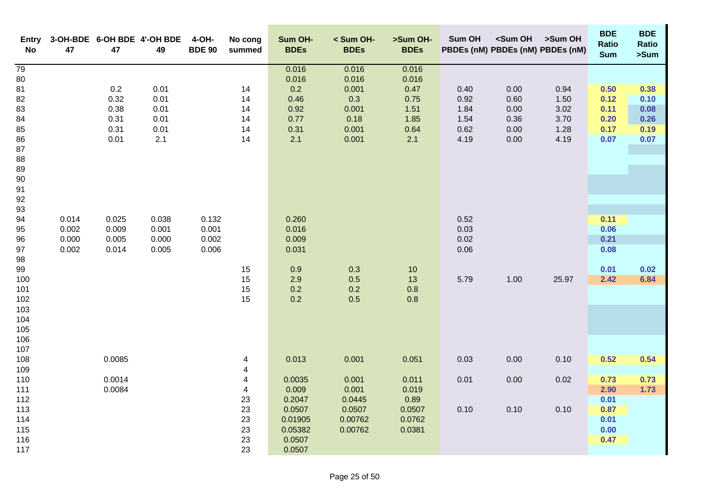| Entry<br>No | 47    | 47     | 3-OH-BDE 6-OH BDE 4'-OH BDE<br>49 | 4-OH-<br><b>BDE 90</b> | No cong<br>summed | Sum OH-<br><b>BDEs</b> | < Sum OH-<br><b>BDEs</b> | >Sum OH-<br><b>BDEs</b> | Sum OH | <sum oh<br="">PBDEs (nM) PBDEs (nM) PBDEs (nM)</sum> | >Sum OH | <b>BDE</b><br>Ratio<br><b>Sum</b> | <b>BDE</b><br>Ratio<br>>Sum |
|-------------|-------|--------|-----------------------------------|------------------------|-------------------|------------------------|--------------------------|-------------------------|--------|------------------------------------------------------|---------|-----------------------------------|-----------------------------|
| 79          |       |        |                                   |                        |                   | 0.016                  | 0.016                    | 0.016                   |        |                                                      |         |                                   |                             |
| 80          |       |        |                                   |                        |                   | 0.016                  | 0.016                    | 0.016                   |        |                                                      |         |                                   |                             |
| 81          |       | 0.2    | 0.01                              |                        | 14                | 0.2                    | 0.001                    | 0.47                    | 0.40   | 0.00                                                 | 0.94    | 0.50                              | 0.38                        |
| 82          |       | 0.32   | 0.01                              |                        | 14                | 0.46                   | 0.3                      | 0.75                    | 0.92   | 0.60                                                 | 1.50    | 0.12                              | 0.10                        |
| 83          |       | 0.38   | 0.01                              |                        | 14                | 0.92                   | 0.001                    | 1.51                    | 1.84   | 0.00                                                 | 3.02    | 0.11                              | 0.08                        |
| 84          |       | 0.31   | 0.01                              |                        | 14                | 0.77                   | 0.18                     | 1.85                    | 1.54   | 0.36                                                 | 3.70    | 0.20                              | 0.26                        |
| 85          |       | 0.31   | 0.01                              |                        | 14                | 0.31                   | 0.001                    | 0.64                    | 0.62   | 0.00                                                 | 1.28    | 0.17                              | 0.19                        |
| 86          |       | 0.01   | 2.1                               |                        | 14                | 2.1                    | 0.001                    | 2.1                     | 4.19   | 0.00                                                 | 4.19    | 0.07                              | 0.07                        |
| 87          |       |        |                                   |                        |                   |                        |                          |                         |        |                                                      |         |                                   |                             |
| 88          |       |        |                                   |                        |                   |                        |                          |                         |        |                                                      |         |                                   |                             |
| 89          |       |        |                                   |                        |                   |                        |                          |                         |        |                                                      |         |                                   |                             |
| 90          |       |        |                                   |                        |                   |                        |                          |                         |        |                                                      |         |                                   |                             |
| 91          |       |        |                                   |                        |                   |                        |                          |                         |        |                                                      |         |                                   |                             |
| 92          |       |        |                                   |                        |                   |                        |                          |                         |        |                                                      |         |                                   |                             |
| 93          |       |        |                                   |                        |                   |                        |                          |                         |        |                                                      |         |                                   |                             |
| 94          | 0.014 | 0.025  | 0.038                             | 0.132                  |                   | 0.260                  |                          |                         | 0.52   |                                                      |         | 0.11                              |                             |
| 95          | 0.002 | 0.009  | 0.001                             | 0.001                  |                   | 0.016                  |                          |                         | 0.03   |                                                      |         | 0.06                              |                             |
| 96          | 0.000 | 0.005  | 0.000                             | 0.002                  |                   | 0.009                  |                          |                         | 0.02   |                                                      |         | 0.21                              |                             |
| 97          | 0.002 | 0.014  | 0.005                             | 0.006                  |                   | 0.031                  |                          |                         | 0.06   |                                                      |         | 0.08                              |                             |
| 98          |       |        |                                   |                        |                   |                        |                          |                         |        |                                                      |         |                                   |                             |
| 99          |       |        |                                   |                        | 15                | 0.9                    | 0.3                      | 10                      |        |                                                      |         | 0.01                              | 0.02                        |
| 100         |       |        |                                   |                        | 15                | 2.9                    | 0.5                      | 13                      | 5.79   | 1.00                                                 | 25.97   | 2.42                              | 6.84                        |
| 101         |       |        |                                   |                        | 15                | 0.2                    | 0.2                      | 0.8                     |        |                                                      |         |                                   |                             |
| 102         |       |        |                                   |                        | 15                | 0.2                    | 0.5                      | 0.8                     |        |                                                      |         |                                   |                             |
| 103         |       |        |                                   |                        |                   |                        |                          |                         |        |                                                      |         |                                   |                             |
| 104         |       |        |                                   |                        |                   |                        |                          |                         |        |                                                      |         |                                   |                             |
| 105         |       |        |                                   |                        |                   |                        |                          |                         |        |                                                      |         |                                   |                             |
| 106         |       |        |                                   |                        |                   |                        |                          |                         |        |                                                      |         |                                   |                             |
| 107         |       |        |                                   |                        |                   |                        |                          |                         |        |                                                      |         |                                   |                             |
| 108         |       | 0.0085 |                                   |                        | 4                 | 0.013                  | 0.001                    | 0.051                   | 0.03   | 0.00                                                 | 0.10    | 0.52                              | 0.54                        |
| 109         |       |        |                                   |                        | 4                 |                        |                          |                         |        |                                                      |         |                                   |                             |
| 110         |       | 0.0014 |                                   |                        | 4                 | 0.0035                 | 0.001                    | 0.011                   | 0.01   | 0.00                                                 | 0.02    | 0.73                              | 0.73                        |
| 111         |       | 0.0084 |                                   |                        | 4                 | 0.009                  | 0.001                    | 0.019                   |        |                                                      |         | 2.90                              | 1.73                        |
| 112         |       |        |                                   |                        | 23                | 0.2047                 | 0.0445                   | 0.89                    |        |                                                      |         | 0.01                              |                             |
| 113         |       |        |                                   |                        | 23                | 0.0507                 | 0.0507                   | 0.0507                  | 0.10   | 0.10                                                 | 0.10    | 0.87                              |                             |
| 114         |       |        |                                   |                        | 23                | 0.01905                | 0.00762                  | 0.0762                  |        |                                                      |         | 0.01                              |                             |
| 115         |       |        |                                   |                        | 23                | 0.05382                | 0.00762                  | 0.0381                  |        |                                                      |         | 0.00                              |                             |
| 116         |       |        |                                   |                        | 23                | 0.0507                 |                          |                         |        |                                                      |         | 0.47                              |                             |
| 117         |       |        |                                   |                        | 23                | 0.0507                 |                          |                         |        |                                                      |         |                                   |                             |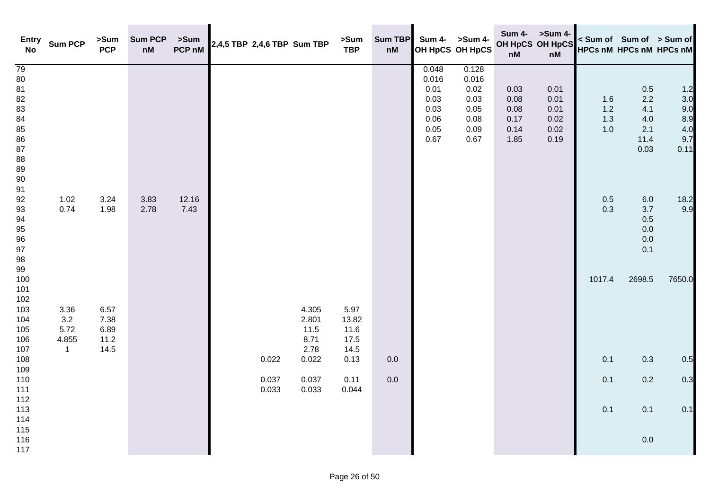| <b>Entry</b><br><b>No</b>                                                    | <b>Sum PCP</b>        | >Sum<br><b>PCP</b>   | <b>Sum PCP</b><br>nM | >Sum<br>PCP nM |                | 2,4,5 TBP 2,4,6 TBP Sum TBP | >Sum<br><b>TBP</b>    | Sum TBP<br>nM |                                                                | Sum 4- >Sum 4-<br>OH HpCS OH HpCS                              | <b>Sum 4-</b><br>nM                          | >Sum 4-<br>OH HpCS OH HpCS<br>nM             |                            | < Sum of Sum of > Sum of<br><b>HPCs nM HPCs nM HPCs nM</b> |                                                |
|------------------------------------------------------------------------------|-----------------------|----------------------|----------------------|----------------|----------------|-----------------------------|-----------------------|---------------|----------------------------------------------------------------|----------------------------------------------------------------|----------------------------------------------|----------------------------------------------|----------------------------|------------------------------------------------------------|------------------------------------------------|
| 79<br>$80\,$<br>81<br>82<br>83<br>84<br>85<br>86<br>87<br>88<br>89<br>$90\,$ |                       |                      |                      |                |                |                             |                       |               | 0.048<br>0.016<br>0.01<br>0.03<br>0.03<br>0.06<br>0.05<br>0.67 | 0.128<br>0.016<br>0.02<br>0.03<br>0.05<br>0.08<br>0.09<br>0.67 | 0.03<br>0.08<br>0.08<br>0.17<br>0.14<br>1.85 | 0.01<br>0.01<br>0.01<br>0.02<br>0.02<br>0.19 | 1.6<br>$1.2$<br>1.3<br>1.0 | 0.5<br>2.2<br>4.1<br>4.0<br>2.1<br>11.4<br>0.03            | 1.2<br>3.0<br>9.0<br>8.9<br>4.0<br>9.7<br>0.11 |
| 91<br>92<br>93<br>94<br>95<br>96<br>97<br>$98\,$                             | 1.02<br>0.74          | 3.24<br>1.98         | 3.83<br>2.78         | 12.16<br>7.43  |                |                             |                       |               |                                                                |                                                                |                                              |                                              | 0.5<br>0.3                 | $6.0\,$<br>$3.7$<br>$0.5\,$<br>$0.0\,$<br>$0.0\,$<br>0.1   | 18.2<br>9.9                                    |
| 99<br>100<br>101<br>102<br>103<br>104<br>105                                 | 3.36<br>3.2<br>5.72   | 6.57<br>7.38<br>6.89 |                      |                |                | 4.305<br>2.801<br>11.5      | 5.97<br>13.82<br>11.6 |               |                                                                |                                                                |                                              |                                              | 1017.4                     | 2698.5                                                     | 7650.0                                         |
| 106<br>107<br>108                                                            | 4.855<br>$\mathbf{1}$ | 11.2<br>14.5         |                      |                | 0.022          | 8.71<br>2.78<br>0.022       | 17.5<br>14.5<br>0.13  | 0.0           |                                                                |                                                                |                                              |                                              | 0.1                        | 0.3                                                        | 0.5                                            |
| 109<br>110<br>111                                                            |                       |                      |                      |                | 0.037<br>0.033 | 0.037<br>0.033              | 0.11<br>0.044         | 0.0           |                                                                |                                                                |                                              |                                              | 0.1                        | $0.2\,$                                                    | 0.3                                            |
| 112<br>113<br>114                                                            |                       |                      |                      |                |                |                             |                       |               |                                                                |                                                                |                                              |                                              | 0.1                        | 0.1                                                        | 0.1                                            |
| 115<br>116<br>117                                                            |                       |                      |                      |                |                |                             |                       |               |                                                                |                                                                |                                              |                                              |                            | $0.0\,$                                                    |                                                |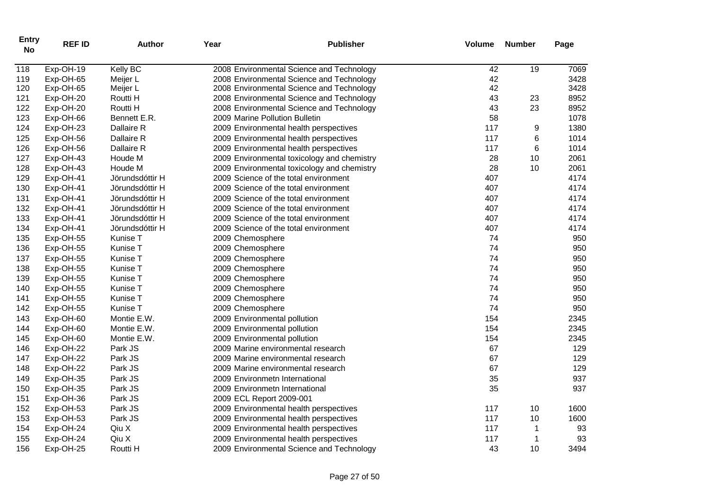| <b>Entry</b><br><b>No</b> | <b>REF ID</b> | <b>Author</b>   | Year             | <b>Publisher</b>                            | Volume | <b>Number</b> | Page |
|---------------------------|---------------|-----------------|------------------|---------------------------------------------|--------|---------------|------|
| 118                       | Exp-OH-19     | Kelly BC        |                  | 2008 Environmental Science and Technology   | 42     | 19            | 7069 |
| 119                       | Exp-OH-65     | Meijer L        |                  | 2008 Environmental Science and Technology   | 42     |               | 3428 |
| 120                       | Exp-OH-65     | Meijer L        |                  | 2008 Environmental Science and Technology   | 42     |               | 3428 |
| 121                       | Exp-OH-20     | Routti H        |                  | 2008 Environmental Science and Technology   | 43     | 23            | 8952 |
| 122                       | Exp-OH-20     | Routti H        |                  | 2008 Environmental Science and Technology   | 43     | 23            | 8952 |
| 123                       | Exp-OH-66     | Bennett E.R.    |                  | 2009 Marine Pollution Bulletin              | 58     |               | 1078 |
| 124                       | Exp-OH-23     | Dallaire R      |                  | 2009 Environmental health perspectives      | 117    | 9             | 1380 |
| 125                       | Exp-OH-56     | Dallaire R      |                  | 2009 Environmental health perspectives      | 117    | 6             | 1014 |
| 126                       | Exp-OH-56     | Dallaire R      |                  | 2009 Environmental health perspectives      | 117    | 6             | 1014 |
| 127                       | Exp-OH-43     | Houde M         |                  | 2009 Environmental toxicology and chemistry | 28     | 10            | 2061 |
| 128                       | Exp-OH-43     | Houde M         |                  | 2009 Environmental toxicology and chemistry | 28     | 10            | 2061 |
| 129                       | Exp-OH-41     | Jörundsdóttir H |                  | 2009 Science of the total environment       | 407    |               | 4174 |
| 130                       | Exp-OH-41     | Jörundsdóttir H |                  | 2009 Science of the total environment       | 407    |               | 4174 |
| 131                       | Exp-OH-41     | Jörundsdóttir H |                  | 2009 Science of the total environment       | 407    |               | 4174 |
| 132                       | Exp-OH-41     | Jörundsdóttir H |                  | 2009 Science of the total environment       | 407    |               | 4174 |
| 133                       | Exp-OH-41     | Jörundsdóttir H |                  | 2009 Science of the total environment       | 407    |               | 4174 |
| 134                       | Exp-OH-41     | Jörundsdóttir H |                  | 2009 Science of the total environment       | 407    |               | 4174 |
| 135                       | Exp-OH-55     | Kunise T        | 2009 Chemosphere |                                             | 74     |               | 950  |
| 136                       | Exp-OH-55     | Kunise T        | 2009 Chemosphere |                                             | 74     |               | 950  |
| 137                       | Exp-OH-55     | Kunise T        | 2009 Chemosphere |                                             | 74     |               | 950  |
| 138                       | Exp-OH-55     | Kunise T        | 2009 Chemosphere |                                             | 74     |               | 950  |
| 139                       | Exp-OH-55     | Kunise T        | 2009 Chemosphere |                                             | 74     |               | 950  |
| 140                       | Exp-OH-55     | Kunise T        | 2009 Chemosphere |                                             | 74     |               | 950  |
| 141                       | Exp-OH-55     | Kunise T        | 2009 Chemosphere |                                             | 74     |               | 950  |
| 142                       | Exp-OH-55     | Kunise T        | 2009 Chemosphere |                                             | 74     |               | 950  |
| 143                       | Exp-OH-60     | Montie E.W.     |                  | 2009 Environmental pollution                | 154    |               | 2345 |
| 144                       | Exp-OH-60     | Montie E.W.     |                  | 2009 Environmental pollution                | 154    |               | 2345 |
| 145                       | Exp-OH-60     | Montie E.W.     |                  | 2009 Environmental pollution                | 154    |               | 2345 |
| 146                       | Exp-OH-22     | Park JS         |                  | 2009 Marine environmental research          | 67     |               | 129  |
| 147                       | Exp-OH-22     | Park JS         |                  | 2009 Marine environmental research          | 67     |               | 129  |
| 148                       | Exp-OH-22     | Park JS         |                  | 2009 Marine environmental research          | 67     |               | 129  |
| 149                       | Exp-OH-35     | Park JS         |                  | 2009 Environmetn International              | 35     |               | 937  |
| 150                       | Exp-OH-35     | Park JS         |                  | 2009 Environmetn International              | 35     |               | 937  |
| 151                       | Exp-OH-36     | Park JS         |                  | 2009 ECL Report 2009-001                    |        |               |      |
| 152                       | Exp-OH-53     | Park JS         |                  | 2009 Environmental health perspectives      | 117    | 10            | 1600 |
| 153                       | Exp-OH-53     | Park JS         |                  | 2009 Environmental health perspectives      | 117    | 10            | 1600 |
| 154                       | Exp-OH-24     | Qiu X           |                  | 2009 Environmental health perspectives      | 117    | 1             | 93   |
| 155                       | Exp-OH-24     | Qiu X           |                  | 2009 Environmental health perspectives      | 117    | $\mathbf 1$   | 93   |
| 156                       | Exp-OH-25     | Routti H        |                  | 2009 Environmental Science and Technology   | 43     | 10            | 3494 |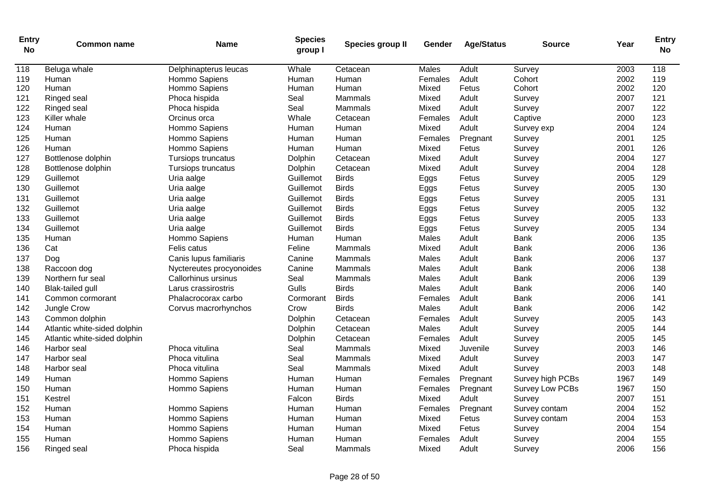| <b>Entry</b><br><b>No</b> | <b>Common name</b>           | Name                     | <b>Species</b><br>group I | Species group II | Gender  | <b>Age/Status</b> | <b>Source</b>    | Year | <b>Entry</b><br><b>No</b> |
|---------------------------|------------------------------|--------------------------|---------------------------|------------------|---------|-------------------|------------------|------|---------------------------|
| $\overline{118}$          | Beluga whale                 | Delphinapterus leucas    | Whale                     | Cetacean         | Males   | Adult             | Survey           | 2003 | 118                       |
| 119                       | Human                        | Hommo Sapiens            | Human                     | Human            | Females | Adult             | Cohort           | 2002 | 119                       |
| 120                       | Human                        | Hommo Sapiens            | Human                     | Human            | Mixed   | Fetus             | Cohort           | 2002 | 120                       |
| 121                       | Ringed seal                  | Phoca hispida            | Seal                      | Mammals          | Mixed   | Adult             | Survey           | 2007 | 121                       |
| 122                       | Ringed seal                  | Phoca hispida            | Seal                      | Mammals          | Mixed   | Adult             | Survey           | 2007 | 122                       |
| 123                       | Killer whale                 | Orcinus orca             | Whale                     | Cetacean         | Females | Adult             | Captive          | 2000 | 123                       |
| 124                       | Human                        | Hommo Sapiens            | Human                     | Human            | Mixed   | Adult             | Survey exp       | 2004 | 124                       |
| 125                       | Human                        | Hommo Sapiens            | Human                     | Human            | Females | Pregnant          | Survey           | 2001 | 125                       |
| 126                       | Human                        | Hommo Sapiens            | Human                     | Human            | Mixed   | Fetus             | Survey           | 2001 | 126                       |
| 127                       | Bottlenose dolphin           | Tursiops truncatus       | Dolphin                   | Cetacean         | Mixed   | Adult             | Survey           | 2004 | 127                       |
| 128                       | Bottlenose dolphin           | Tursiops truncatus       | Dolphin                   | Cetacean         | Mixed   | Adult             | Survey           | 2004 | 128                       |
| 129                       | Guillemot                    | Uria aalge               | Guillemot                 | <b>Birds</b>     | Eggs    | Fetus             | Survey           | 2005 | 129                       |
| 130                       | Guillemot                    | Uria aalge               | Guillemot                 | <b>Birds</b>     | Eggs    | Fetus             | Survey           | 2005 | 130                       |
| 131                       | Guillemot                    | Uria aalge               | Guillemot                 | <b>Birds</b>     | Eggs    | Fetus             | Survey           | 2005 | 131                       |
| 132                       | Guillemot                    | Uria aalge               | Guillemot                 | <b>Birds</b>     | Eggs    | Fetus             | Survey           | 2005 | 132                       |
| 133                       | Guillemot                    | Uria aalge               | Guillemot                 | <b>Birds</b>     | Eggs    | Fetus             | Survey           | 2005 | 133                       |
| 134                       | Guillemot                    | Uria aalge               | Guillemot                 | <b>Birds</b>     | Eggs    | Fetus             | Survey           | 2005 | 134                       |
| 135                       | Human                        | Hommo Sapiens            | Human                     | Human            | Males   | Adult             | <b>Bank</b>      | 2006 | 135                       |
| 136                       | Cat                          | Felis catus              | Feline                    | Mammals          | Mixed   | Adult             | <b>Bank</b>      | 2006 | 136                       |
| 137                       | Dog                          | Canis lupus familiaris   | Canine                    | Mammals          | Males   | Adult             | <b>Bank</b>      | 2006 | 137                       |
| 138                       | Raccoon dog                  | Nyctereutes procyonoides | Canine                    | Mammals          | Males   | Adult             | <b>Bank</b>      | 2006 | 138                       |
| 139                       | Northern fur seal            | Callorhinus ursinus      | Seal                      | Mammals          | Males   | Adult             | <b>Bank</b>      | 2006 | 139                       |
| 140                       | <b>Blak-tailed gull</b>      | Larus crassirostris      | Gulls                     | <b>Birds</b>     | Males   | Adult             | <b>Bank</b>      | 2006 | 140                       |
| 141                       | Common cormorant             | Phalacrocorax carbo      | Cormorant                 | <b>Birds</b>     | Females | Adult             | <b>Bank</b>      | 2006 | 141                       |
| 142                       | Jungle Crow                  | Corvus macrorhynchos     | Crow                      | <b>Birds</b>     | Males   | Adult             | <b>Bank</b>      | 2006 | 142                       |
| 143                       | Common dolphin               |                          | Dolphin                   | Cetacean         | Females | Adult             | Survey           | 2005 | 143                       |
| 144                       | Atlantic white-sided dolphin |                          | Dolphin                   | Cetacean         | Males   | Adult             | Survey           | 2005 | 144                       |
| 145                       | Atlantic white-sided dolphin |                          | Dolphin                   | Cetacean         | Females | Adult             | Survey           | 2005 | 145                       |
| 146                       | Harbor seal                  | Phoca vitulina           | Seal                      | Mammals          | Mixed   | Juvenile          | Survey           | 2003 | 146                       |
| 147                       | Harbor seal                  | Phoca vitulina           | Seal                      | Mammals          | Mixed   | Adult             | Survey           | 2003 | 147                       |
| 148                       | Harbor seal                  | Phoca vitulina           | Seal                      | Mammals          | Mixed   | Adult             | Survey           | 2003 | 148                       |
| 149                       | Human                        | Hommo Sapiens            | Human                     | Human            | Females | Pregnant          | Survey high PCBs | 1967 | 149                       |
| 150                       | Human                        | Hommo Sapiens            | Human                     | Human            | Females | Pregnant          | Survey Low PCBs  | 1967 | 150                       |
| 151                       | Kestrel                      |                          | Falcon                    | <b>Birds</b>     | Mixed   | Adult             | Survey           | 2007 | 151                       |
| 152                       | Human                        | Hommo Sapiens            | Human                     | Human            | Females | Pregnant          | Survey contam    | 2004 | 152                       |
| 153                       | Human                        | Hommo Sapiens            | Human                     | Human            | Mixed   | Fetus             | Survey contam    | 2004 | 153                       |
| 154                       | Human                        | Hommo Sapiens            | Human                     | Human            | Mixed   | Fetus             | Survey           | 2004 | 154                       |
| 155                       | Human                        | Hommo Sapiens            | Human                     | Human            | Females | Adult             | Survey           | 2004 | 155                       |
| 156                       | Ringed seal                  | Phoca hispida            | Seal                      | Mammals          | Mixed   | Adult             | Survey           | 2006 | 156                       |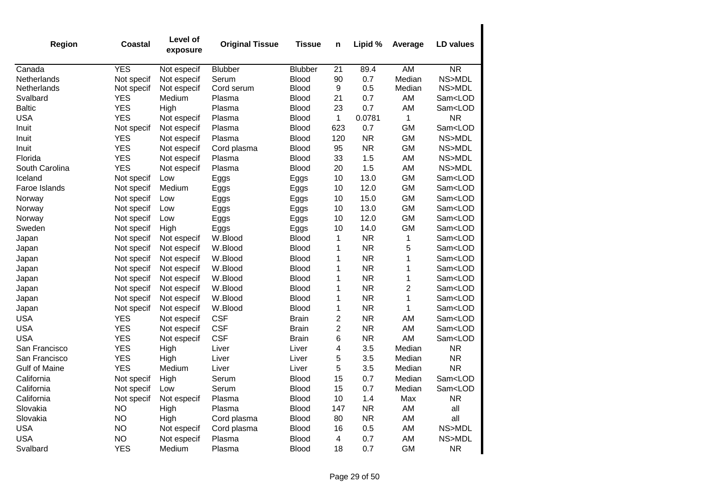| Region               | Coastal    | Level of<br>exposure | <b>Original Tissue</b> | <b>Tissue</b> | n              | Lipid %   | Average        | LD values               |
|----------------------|------------|----------------------|------------------------|---------------|----------------|-----------|----------------|-------------------------|
| Canada               | <b>YES</b> | Not especif          | <b>Blubber</b>         | Blubber       | 21             | 89.4      | AM             | <b>NR</b>               |
| Netherlands          | Not specif | Not especif          | Serum                  | Blood         | 90             | 0.7       | Median         | NS>MDL                  |
| Netherlands          | Not specif | Not especif          | Cord serum             | <b>Blood</b>  | 9              | 0.5       | Median         | NS>MDL                  |
| Svalbard             | <b>YES</b> | Medium               | Plasma                 | <b>Blood</b>  | 21             | 0.7       | AM             | Sam <lod< td=""></lod<> |
| <b>Baltic</b>        | <b>YES</b> | High                 | Plasma                 | <b>Blood</b>  | 23             | 0.7       | AM             | Sam <lod< td=""></lod<> |
| <b>USA</b>           | <b>YES</b> | Not especif          | Plasma                 | <b>Blood</b>  | 1              | 0.0781    | $\mathbf 1$    | <b>NR</b>               |
| Inuit                | Not specif | Not especif          | Plasma                 | <b>Blood</b>  | 623            | 0.7       | <b>GM</b>      | Sam <lod< td=""></lod<> |
| Inuit                | <b>YES</b> | Not especif          | Plasma                 | <b>Blood</b>  | 120            | <b>NR</b> | <b>GM</b>      | NS>MDL                  |
| Inuit                | <b>YES</b> | Not especif          | Cord plasma            | <b>Blood</b>  | 95             | <b>NR</b> | <b>GM</b>      | NS>MDL                  |
| Florida              | <b>YES</b> | Not especif          | Plasma                 | Blood         | 33             | 1.5       | AM             | NS>MDL                  |
| South Carolina       | <b>YES</b> | Not especif          | Plasma                 | <b>Blood</b>  | 20             | 1.5       | AM             | NS>MDL                  |
| Iceland              | Not specif | Low                  | Eggs                   | Eggs          | 10             | 13.0      | <b>GM</b>      | Sam <lod< td=""></lod<> |
| Faroe Islands        | Not specif | Medium               | Eggs                   | Eggs          | 10             | 12.0      | <b>GM</b>      | Sam <lod< td=""></lod<> |
| Norway               | Not specif | Low                  | Eggs                   | Eggs          | 10             | 15.0      | <b>GM</b>      | Sam <lod< td=""></lod<> |
| Norway               | Not specif | Low                  | Eggs                   | Eggs          | 10             | 13.0      | <b>GM</b>      | Sam <lod< td=""></lod<> |
| Norway               | Not specif | Low                  | Eggs                   | Eggs          | 10             | 12.0      | <b>GM</b>      | Sam <lod< td=""></lod<> |
| Sweden               | Not specif | High                 | Eggs                   | Eggs          | 10             | 14.0      | <b>GM</b>      | Sam <lod< td=""></lod<> |
| Japan                | Not specif | Not especif          | W.Blood                | <b>Blood</b>  | 1              | <b>NR</b> | $\mathbf 1$    | Sam <lod< td=""></lod<> |
| Japan                | Not specif | Not especif          | W.Blood                | Blood         | 1              | <b>NR</b> | 5              | Sam <lod< td=""></lod<> |
| Japan                | Not specif | Not especif          | W.Blood                | Blood         | 1              | <b>NR</b> | 1              | Sam <lod< td=""></lod<> |
| Japan                | Not specif | Not especif          | W.Blood                | Blood         | 1              | <b>NR</b> | $\mathbf 1$    | Sam <lod< td=""></lod<> |
| Japan                | Not specif | Not especif          | W.Blood                | <b>Blood</b>  | 1              | <b>NR</b> | $\mathbf 1$    | Sam <lod< td=""></lod<> |
| Japan                | Not specif | Not especif          | W.Blood                | <b>Blood</b>  | 1              | <b>NR</b> | $\overline{c}$ | Sam <lod< td=""></lod<> |
| Japan                | Not specif | Not especif          | W.Blood                | <b>Blood</b>  | 1              | <b>NR</b> | 1              | Sam <lod< td=""></lod<> |
| Japan                | Not specif | Not especif          | W.Blood                | <b>Blood</b>  | $\mathbf 1$    | <b>NR</b> | 1              | Sam <lod< td=""></lod<> |
| <b>USA</b>           | <b>YES</b> | Not especif          | <b>CSF</b>             | <b>Brain</b>  | $\overline{c}$ | <b>NR</b> | AM             | Sam <lod< td=""></lod<> |
| <b>USA</b>           | <b>YES</b> | Not especif          | <b>CSF</b>             | <b>Brain</b>  | $\overline{c}$ | <b>NR</b> | AM             | Sam <lod< td=""></lod<> |
| <b>USA</b>           | <b>YES</b> | Not especif          | <b>CSF</b>             | <b>Brain</b>  | 6              | <b>NR</b> | AM             | Sam <lod< td=""></lod<> |
| San Francisco        | <b>YES</b> | High                 | Liver                  | Liver         | 4              | 3.5       | Median         | <b>NR</b>               |
| San Francisco        | <b>YES</b> | High                 | Liver                  | Liver         | 5              | 3.5       | Median         | <b>NR</b>               |
| <b>Gulf of Maine</b> | <b>YES</b> | Medium               | Liver                  | Liver         | 5              | 3.5       | Median         | <b>NR</b>               |
| California           | Not specif | High                 | Serum                  | <b>Blood</b>  | 15             | 0.7       | Median         | Sam <lod< td=""></lod<> |
| California           | Not specif | Low                  | Serum                  | <b>Blood</b>  | 15             | 0.7       | Median         | Sam <lod< td=""></lod<> |
| California           | Not specif | Not especif          | Plasma                 | <b>Blood</b>  | 10             | 1.4       | Max            | <b>NR</b>               |
| Slovakia             | <b>NO</b>  | High                 | Plasma                 | Blood         | 147            | <b>NR</b> | AM             | all                     |
| Slovakia             | <b>NO</b>  | High                 | Cord plasma            | <b>Blood</b>  | 80             | <b>NR</b> | AM             | all                     |
| <b>USA</b>           | <b>NO</b>  | Not especif          | Cord plasma            | <b>Blood</b>  | 16             | 0.5       | AM             | NS>MDL                  |
| <b>USA</b>           | <b>NO</b>  | Not especif          | Plasma                 | <b>Blood</b>  | 4              | 0.7       | AM             | NS>MDL                  |
| Svalbard             | <b>YES</b> | Medium               | Plasma                 | Blood         | 18             | 0.7       | <b>GM</b>      | <b>NR</b>               |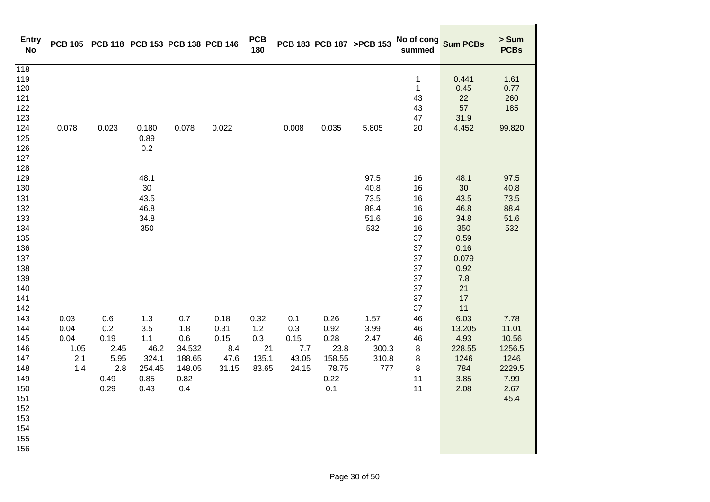| <b>Entry</b><br><b>No</b>                                                                             |                                            | PCB 105 PCB 118 PCB 153 PCB 138 PCB 146                   |                                                              |                                                                |                                              | <b>PCB</b><br>180                          |                                             |                                                                | PCB 183 PCB 187 >PCB 153                      | No of cong<br>summed                                                             | <b>Sum PCBs</b>                                                                                     | > Sum<br><b>PCBs</b>                                                       |
|-------------------------------------------------------------------------------------------------------|--------------------------------------------|-----------------------------------------------------------|--------------------------------------------------------------|----------------------------------------------------------------|----------------------------------------------|--------------------------------------------|---------------------------------------------|----------------------------------------------------------------|-----------------------------------------------|----------------------------------------------------------------------------------|-----------------------------------------------------------------------------------------------------|----------------------------------------------------------------------------|
| 118<br>119<br>120<br>121<br>122<br>123<br>124<br>125<br>126<br>127                                    | 0.078                                      | 0.023                                                     | 0.180<br>0.89<br>0.2                                         | 0.078                                                          | 0.022                                        |                                            | 0.008                                       | 0.035                                                          | 5.805                                         | $\mathbf 1$<br>$\mathbf{1}$<br>43<br>43<br>47<br>20                              | 0.441<br>0.45<br>22<br>57<br>31.9<br>4.452                                                          | 1.61<br>0.77<br>260<br>185<br>99.820                                       |
| 128<br>129<br>130<br>131<br>132<br>133<br>134<br>135<br>136<br>137<br>138<br>139<br>140<br>141<br>142 |                                            |                                                           | 48.1<br>30<br>43.5<br>46.8<br>34.8<br>350                    |                                                                |                                              |                                            |                                             |                                                                | 97.5<br>40.8<br>73.5<br>88.4<br>51.6<br>532   | 16<br>16<br>16<br>16<br>16<br>16<br>37<br>37<br>37<br>37<br>37<br>37<br>37<br>37 | 48.1<br>30<br>43.5<br>46.8<br>34.8<br>350<br>0.59<br>0.16<br>0.079<br>0.92<br>7.8<br>21<br>17<br>11 | 97.5<br>40.8<br>73.5<br>88.4<br>51.6<br>532                                |
| 143<br>144<br>145<br>146<br>147<br>148<br>149<br>150<br>151<br>152<br>153<br>154<br>155<br>156        | 0.03<br>0.04<br>0.04<br>1.05<br>2.1<br>1.4 | 0.6<br>0.2<br>0.19<br>2.45<br>5.95<br>2.8<br>0.49<br>0.29 | 1.3<br>3.5<br>1.1<br>46.2<br>324.1<br>254.45<br>0.85<br>0.43 | 0.7<br>1.8<br>0.6<br>34.532<br>188.65<br>148.05<br>0.82<br>0.4 | 0.18<br>0.31<br>0.15<br>8.4<br>47.6<br>31.15 | 0.32<br>1.2<br>0.3<br>21<br>135.1<br>83.65 | 0.1<br>0.3<br>0.15<br>7.7<br>43.05<br>24.15 | 0.26<br>0.92<br>0.28<br>23.8<br>158.55<br>78.75<br>0.22<br>0.1 | 1.57<br>3.99<br>2.47<br>300.3<br>310.8<br>777 | 46<br>46<br>46<br>8<br>8<br>8<br>11<br>11                                        | 6.03<br>13.205<br>4.93<br>228.55<br>1246<br>784<br>3.85<br>2.08                                     | 7.78<br>11.01<br>10.56<br>1256.5<br>1246<br>2229.5<br>7.99<br>2.67<br>45.4 |

 $\blacksquare$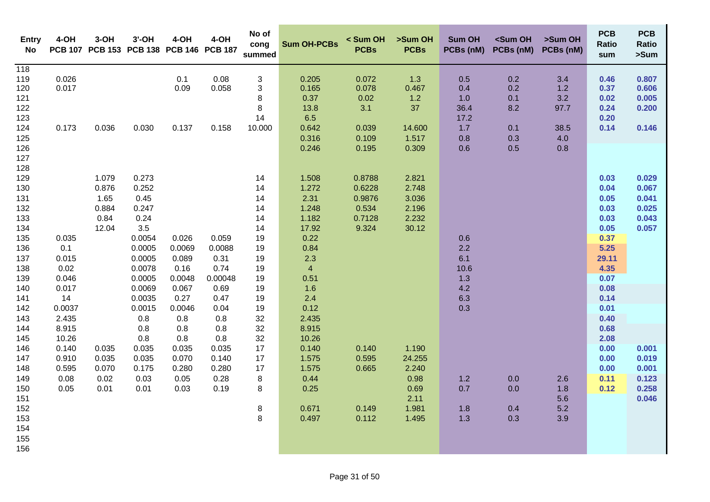| <b>Entry</b><br>No                                                                                                                                                                               | 4-OH                                                                                                                                  | $3-OH$                                                                                      | $3'$ -OH<br>PCB 107 PCB 153 PCB 138 PCB 146 PCB 187                                                                                                                                            | 4-OH                                                                                                                                  | 4-OH                                                                                                                               | No of<br>cong<br>summed                                                                                                                  | <b>Sum OH-PCBs</b>                                                                                                                                                                                               | < Sum OH<br><b>PCBs</b>                                                                             | >Sum OH<br><b>PCBs</b>                                                                                                   | <b>Sum OH</b><br>PCBs (nM)                                                        | <sum oh<br="">PCBs (nM)</sum>                 | >Sum OH<br>PCBs (nM)                            | <b>PCB</b><br><b>Ratio</b><br>sum                                                                                                                                             | <b>PCB</b><br><b>Ratio</b><br>>Sum                                                                       |
|--------------------------------------------------------------------------------------------------------------------------------------------------------------------------------------------------|---------------------------------------------------------------------------------------------------------------------------------------|---------------------------------------------------------------------------------------------|------------------------------------------------------------------------------------------------------------------------------------------------------------------------------------------------|---------------------------------------------------------------------------------------------------------------------------------------|------------------------------------------------------------------------------------------------------------------------------------|------------------------------------------------------------------------------------------------------------------------------------------|------------------------------------------------------------------------------------------------------------------------------------------------------------------------------------------------------------------|-----------------------------------------------------------------------------------------------------|--------------------------------------------------------------------------------------------------------------------------|-----------------------------------------------------------------------------------|-----------------------------------------------|-------------------------------------------------|-------------------------------------------------------------------------------------------------------------------------------------------------------------------------------|----------------------------------------------------------------------------------------------------------|
| 118<br>119<br>120<br>121<br>122<br>123<br>124<br>125<br>126<br>127                                                                                                                               | 0.026<br>0.017<br>0.173                                                                                                               | 0.036                                                                                       | 0.030                                                                                                                                                                                          | 0.1<br>0.09<br>0.137                                                                                                                  | 0.08<br>0.058<br>0.158                                                                                                             | 3<br>3<br>8<br>8<br>14<br>10.000                                                                                                         | 0.205<br>0.165<br>0.37<br>13.8<br>6.5<br>0.642<br>0.316<br>0.246                                                                                                                                                 | 0.072<br>0.078<br>0.02<br>3.1<br>0.039<br>0.109<br>0.195                                            | 1.3<br>0.467<br>1.2<br>37<br>14.600<br>1.517<br>0.309                                                                    | 0.5<br>0.4<br>1.0<br>36.4<br>17.2<br>1.7<br>0.8<br>0.6                            | 0.2<br>0.2<br>0.1<br>8.2<br>0.1<br>0.3<br>0.5 | 3.4<br>1.2<br>3.2<br>97.7<br>38.5<br>4.0<br>0.8 | 0.46<br>0.37<br>0.02<br>0.24<br>0.20<br>0.14                                                                                                                                  | 0.807<br>0.606<br>0.005<br>0.200<br>0.146                                                                |
| 128<br>129<br>130<br>131<br>132<br>133<br>134<br>135<br>136<br>137<br>138<br>139<br>140<br>141<br>142<br>143<br>144<br>145<br>146<br>147<br>148<br>149<br>150<br>151<br>152<br>153<br>154<br>155 | 0.035<br>0.1<br>0.015<br>0.02<br>0.046<br>0.017<br>14<br>0.0037<br>2.435<br>8.915<br>10.26<br>0.140<br>0.910<br>0.595<br>0.08<br>0.05 | 1.079<br>0.876<br>1.65<br>0.884<br>0.84<br>12.04<br>0.035<br>0.035<br>0.070<br>0.02<br>0.01 | 0.273<br>0.252<br>0.45<br>0.247<br>0.24<br>3.5<br>0.0054<br>0.0005<br>0.0005<br>0.0078<br>0.0005<br>0.0069<br>0.0035<br>0.0015<br>0.8<br>0.8<br>0.8<br>0.035<br>0.035<br>0.175<br>0.03<br>0.01 | 0.026<br>0.0069<br>0.089<br>0.16<br>0.0048<br>0.067<br>0.27<br>0.0046<br>0.8<br>0.8<br>0.8<br>0.035<br>0.070<br>0.280<br>0.05<br>0.03 | 0.059<br>0.0088<br>0.31<br>0.74<br>0.00048<br>0.69<br>0.47<br>0.04<br>0.8<br>0.8<br>0.8<br>0.035<br>0.140<br>0.280<br>0.28<br>0.19 | 14<br>14<br>14<br>14<br>14<br>14<br>19<br>19<br>19<br>19<br>19<br>19<br>19<br>19<br>32<br>32<br>32<br>17<br>17<br>17<br>8<br>8<br>8<br>8 | 1.508<br>1.272<br>2.31<br>1.248<br>1.182<br>17.92<br>0.22<br>0.84<br>2.3<br>$\overline{4}$<br>0.51<br>1.6<br>2.4<br>0.12<br>2.435<br>8.915<br>10.26<br>0.140<br>1.575<br>1.575<br>0.44<br>0.25<br>0.671<br>0.497 | 0.8788<br>0.6228<br>0.9876<br>0.534<br>0.7128<br>9.324<br>0.140<br>0.595<br>0.665<br>0.149<br>0.112 | 2.821<br>2.748<br>3.036<br>2.196<br>2.232<br>30.12<br>1.190<br>24.255<br>2.240<br>0.98<br>0.69<br>2.11<br>1.981<br>1.495 | 0.6<br>2.2<br>6.1<br>10.6<br>1.3<br>4.2<br>6.3<br>0.3<br>1.2<br>0.7<br>1.8<br>1.3 | 0.0<br>0.0<br>0.4<br>0.3                      | 2.6<br>1.8<br>5.6<br>5.2<br>3.9                 | 0.03<br>0.04<br>0.05<br>0.03<br>0.03<br>0.05<br>0.37<br>5.25<br>29.11<br>4.35<br>0.07<br>0.08<br>0.14<br>0.01<br>0.40<br>0.68<br>2.08<br>0.00<br>0.00<br>0.00<br>0.11<br>0.12 | 0.029<br>0.067<br>0.041<br>0.025<br>0.043<br>0.057<br>0.001<br>0.019<br>0.001<br>0.123<br>0.258<br>0.046 |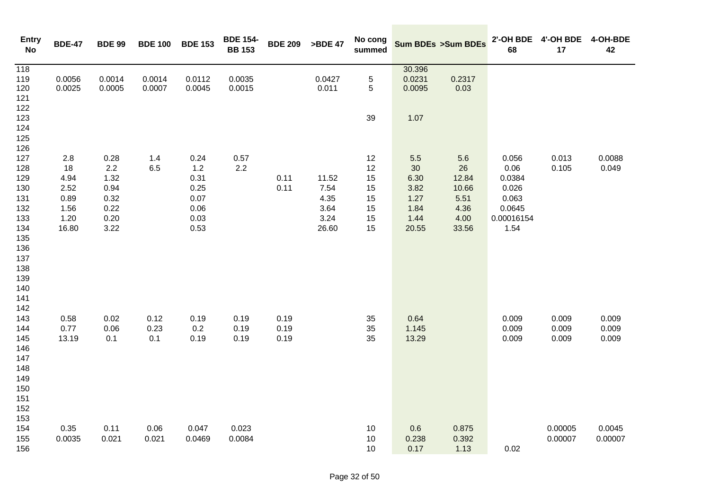| <b>Entry</b><br>No | <b>BDE-47</b> | <b>BDE 99</b> | <b>BDE 100</b> | <b>BDE 153</b> | <b>BDE 154-</b><br><b>BB 153</b> | <b>BDE 209</b> | >BDE 47 | No cong<br>summed |                  | Sum BDEs >Sum BDEs | 2'-OH BDE<br>68 | 4'-OH BDE<br>17 | 4-OH-BDE<br>42 |
|--------------------|---------------|---------------|----------------|----------------|----------------------------------|----------------|---------|-------------------|------------------|--------------------|-----------------|-----------------|----------------|
| 118<br>119         | 0.0056        | 0.0014        | 0.0014         | 0.0112         | 0.0035                           |                | 0.0427  | $\mathbf 5$       | 30.396<br>0.0231 | 0.2317             |                 |                 |                |
| 120                | 0.0025        | 0.0005        | 0.0007         | 0.0045         | 0.0015                           |                | 0.011   | $\mathbf 5$       | 0.0095           | 0.03               |                 |                 |                |
| 121                |               |               |                |                |                                  |                |         |                   |                  |                    |                 |                 |                |
| 122                |               |               |                |                |                                  |                |         |                   |                  |                    |                 |                 |                |
| 123                |               |               |                |                |                                  |                |         | 39                | 1.07             |                    |                 |                 |                |
| 124                |               |               |                |                |                                  |                |         |                   |                  |                    |                 |                 |                |
| 125                |               |               |                |                |                                  |                |         |                   |                  |                    |                 |                 |                |
| 126                |               |               |                |                |                                  |                |         |                   |                  |                    |                 |                 |                |
| 127                | 2.8           | 0.28          | 1.4            | 0.24           | 0.57                             |                |         | 12                | 5.5              | $5.6$              | 0.056           | 0.013           | 0.0088         |
| 128                | 18            | 2.2           | 6.5            | $1.2$          | $2.2\,$                          |                |         | 12                | 30 <sub>o</sub>  | 26                 | 0.06            | 0.105           | 0.049          |
| 129                | 4.94          | 1.32          |                | 0.31           |                                  | 0.11           | 11.52   | 15                | 6.30             | 12.84              | 0.0384          |                 |                |
| 130                | 2.52          | 0.94          |                | 0.25           |                                  | 0.11           | 7.54    | 15                | 3.82             | 10.66              | 0.026           |                 |                |
| 131                | 0.89          | 0.32          |                | 0.07           |                                  |                | 4.35    | 15                | 1.27             | 5.51               | 0.063           |                 |                |
| 132                | 1.56          | 0.22          |                | 0.06           |                                  |                | 3.64    | 15                | 1.84             | 4.36               | 0.0645          |                 |                |
| 133                | 1.20          | 0.20          |                | 0.03           |                                  |                | 3.24    | 15                | 1.44             | 4.00               | 0.00016154      |                 |                |
| 134                | 16.80         | 3.22          |                | 0.53           |                                  |                | 26.60   | 15                | 20.55            | 33.56              | 1.54            |                 |                |
| 135                |               |               |                |                |                                  |                |         |                   |                  |                    |                 |                 |                |
| 136<br>137         |               |               |                |                |                                  |                |         |                   |                  |                    |                 |                 |                |
| 138                |               |               |                |                |                                  |                |         |                   |                  |                    |                 |                 |                |
| 139                |               |               |                |                |                                  |                |         |                   |                  |                    |                 |                 |                |
| 140                |               |               |                |                |                                  |                |         |                   |                  |                    |                 |                 |                |
| 141                |               |               |                |                |                                  |                |         |                   |                  |                    |                 |                 |                |
| 142                |               |               |                |                |                                  |                |         |                   |                  |                    |                 |                 |                |
| 143                | 0.58          | 0.02          | 0.12           | 0.19           | 0.19                             | 0.19           |         | 35                | 0.64             |                    | 0.009           | 0.009           | 0.009          |
| 144                | 0.77          | 0.06          | 0.23           | 0.2            | 0.19                             | 0.19           |         | 35                | 1.145            |                    | 0.009           | 0.009           | 0.009          |
| 145                | 13.19         | 0.1           | 0.1            | 0.19           | 0.19                             | 0.19           |         | 35                | 13.29            |                    | 0.009           | 0.009           | 0.009          |
| 146                |               |               |                |                |                                  |                |         |                   |                  |                    |                 |                 |                |
| 147                |               |               |                |                |                                  |                |         |                   |                  |                    |                 |                 |                |
| 148                |               |               |                |                |                                  |                |         |                   |                  |                    |                 |                 |                |
| 149                |               |               |                |                |                                  |                |         |                   |                  |                    |                 |                 |                |
| 150                |               |               |                |                |                                  |                |         |                   |                  |                    |                 |                 |                |
| 151                |               |               |                |                |                                  |                |         |                   |                  |                    |                 |                 |                |
| 152                |               |               |                |                |                                  |                |         |                   |                  |                    |                 |                 |                |
| 153<br>154         | 0.35          | 0.11          | 0.06           | 0.047          | 0.023                            |                |         | 10                | 0.6              | 0.875              |                 | 0.00005         | 0.0045         |
| 155                | 0.0035        | 0.021         | 0.021          | 0.0469         | 0.0084                           |                |         | 10                | 0.238            | 0.392              |                 | 0.00007         | 0.00007        |
| 156                |               |               |                |                |                                  |                |         | 10                | 0.17             | 1.13               | 0.02            |                 |                |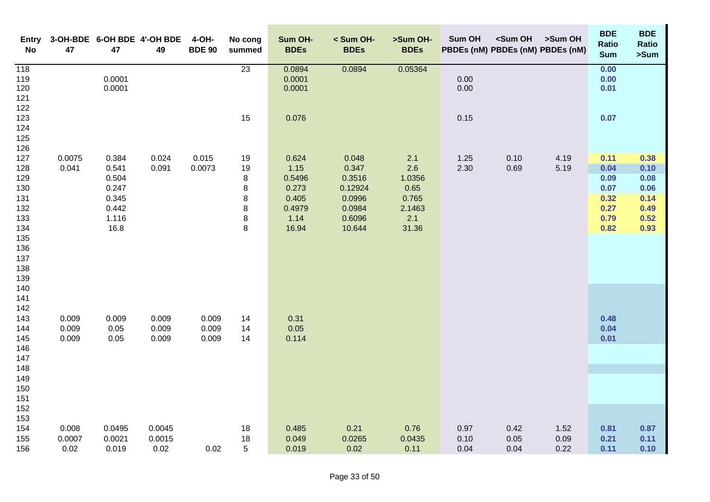| <b>Entry</b><br><b>No</b>                    | 47     | 47               | 3-OH-BDE 6-OH BDE 4'-OH BDE<br>49 | 4-OH-<br><b>BDE 90</b> | No cong<br>summed | Sum OH-<br><b>BDEs</b>     | < Sum OH-<br><b>BDEs</b> | >Sum OH-<br><b>BDEs</b> | Sum OH       | <sum oh<br="">PBDEs (nM) PBDEs (nM) PBDEs (nM)</sum> | >Sum OH | <b>BDE</b><br>Ratio<br><b>Sum</b> | <b>BDE</b><br><b>Ratio</b><br>>Sum |
|----------------------------------------------|--------|------------------|-----------------------------------|------------------------|-------------------|----------------------------|--------------------------|-------------------------|--------------|------------------------------------------------------|---------|-----------------------------------|------------------------------------|
| $\overline{118}$<br>119<br>120<br>121<br>122 |        | 0.0001<br>0.0001 |                                   |                        | 23                | 0.0894<br>0.0001<br>0.0001 | 0.0894                   | 0.05364                 | 0.00<br>0.00 |                                                      |         | 0.00<br>0.00<br>0.01              |                                    |
| 123<br>124<br>125<br>126                     |        |                  |                                   |                        | 15                | 0.076                      |                          |                         | 0.15         |                                                      |         | 0.07                              |                                    |
| 127                                          | 0.0075 | 0.384            | 0.024                             | 0.015                  | 19                | 0.624                      | 0.048                    | 2.1                     | 1.25         | 0.10                                                 | 4.19    | 0.11                              | 0.38                               |
| 128<br>129                                   | 0.041  | 0.541<br>0.504   | 0.091                             | 0.0073                 | 19<br>8           | 1.15<br>0.5496             | 0.347<br>0.3516          | 2.6<br>1.0356           | 2.30         | 0.69                                                 | 5.19    | 0.04<br>0.09                      | 0.10<br>0.08                       |
| 130                                          |        | 0.247            |                                   |                        | 8                 | 0.273                      | 0.12924                  | 0.65                    |              |                                                      |         | 0.07                              | 0.06                               |
| 131                                          |        | 0.345            |                                   |                        | 8                 | 0.405                      | 0.0996                   | 0.765                   |              |                                                      |         | 0.32                              | 0.14                               |
| 132                                          |        | 0.442            |                                   |                        | 8                 | 0.4979                     | 0.0984                   | 2.1463                  |              |                                                      |         | 0.27                              | 0.49                               |
| 133                                          |        | 1.116            |                                   |                        | 8                 | 1.14                       | 0.6096                   | 2.1                     |              |                                                      |         | 0.79                              | 0.52                               |
| 134<br>135                                   |        | 16.8             |                                   |                        | 8                 | 16.94                      | 10.644                   | 31.36                   |              |                                                      |         | 0.82                              | 0.93                               |
| 136                                          |        |                  |                                   |                        |                   |                            |                          |                         |              |                                                      |         |                                   |                                    |
| 137                                          |        |                  |                                   |                        |                   |                            |                          |                         |              |                                                      |         |                                   |                                    |
| 138                                          |        |                  |                                   |                        |                   |                            |                          |                         |              |                                                      |         |                                   |                                    |
| 139<br>140                                   |        |                  |                                   |                        |                   |                            |                          |                         |              |                                                      |         |                                   |                                    |
| 141                                          |        |                  |                                   |                        |                   |                            |                          |                         |              |                                                      |         |                                   |                                    |
| 142                                          |        |                  |                                   |                        |                   |                            |                          |                         |              |                                                      |         |                                   |                                    |
| 143                                          | 0.009  | 0.009            | 0.009                             | 0.009                  | 14                | 0.31                       |                          |                         |              |                                                      |         | 0.48                              |                                    |
| 144                                          | 0.009  | 0.05             | 0.009                             | 0.009                  | 14                | 0.05                       |                          |                         |              |                                                      |         | 0.04                              |                                    |
| 145<br>146                                   | 0.009  | 0.05             | 0.009                             | 0.009                  | 14                | 0.114                      |                          |                         |              |                                                      |         | 0.01                              |                                    |
| 147                                          |        |                  |                                   |                        |                   |                            |                          |                         |              |                                                      |         |                                   |                                    |
| 148                                          |        |                  |                                   |                        |                   |                            |                          |                         |              |                                                      |         |                                   |                                    |
| 149                                          |        |                  |                                   |                        |                   |                            |                          |                         |              |                                                      |         |                                   |                                    |
| 150                                          |        |                  |                                   |                        |                   |                            |                          |                         |              |                                                      |         |                                   |                                    |
| 151<br>152                                   |        |                  |                                   |                        |                   |                            |                          |                         |              |                                                      |         |                                   |                                    |
| 153                                          |        |                  |                                   |                        |                   |                            |                          |                         |              |                                                      |         |                                   |                                    |
| 154                                          | 0.008  | 0.0495           | 0.0045                            |                        | 18                | 0.485                      | 0.21                     | 0.76                    | 0.97         | 0.42                                                 | 1.52    | 0.81                              | 0.87                               |
| 155                                          | 0.0007 | 0.0021           | 0.0015                            |                        | 18                | 0.049                      | 0.0265                   | 0.0435                  | 0.10         | 0.05                                                 | 0.09    | 0.21                              | 0.11                               |
| 156                                          | 0.02   | 0.019            | 0.02                              | 0.02                   | 5                 | 0.019                      | 0.02                     | 0.11                    | 0.04         | 0.04                                                 | 0.22    | 0.11                              | 0.10                               |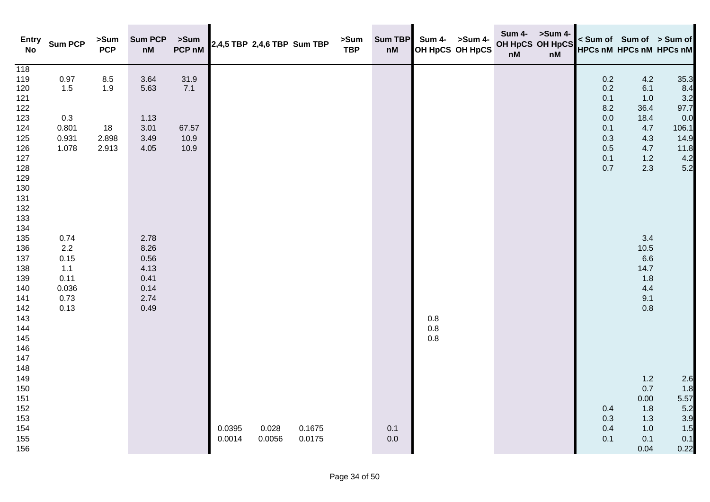| <b>Entry</b><br><b>No</b> | <b>Sum PCP</b> | >Sum<br><b>PCP</b> | <b>Sum PCP</b><br>$\mathsf{n}\mathsf{M}$ | >Sum<br>PCP nM | 2,4,5 TBP 2,4,6 TBP Sum TBP |        |        | >Sum<br><b>TBP</b> | <b>Sum TBP</b><br>nM |                                           | Sum 4- >Sum 4-<br>OH HpCS OH HpCS | OH HpCS OH HpCS<br>$\mathsf{n}\mathsf{M}$ | Sum 4- >Sum 4-<br>nM |            | < Sum of Sum of > Sum of<br>HPCs nM HPCs nM HPCs nM |            |
|---------------------------|----------------|--------------------|------------------------------------------|----------------|-----------------------------|--------|--------|--------------------|----------------------|-------------------------------------------|-----------------------------------|-------------------------------------------|----------------------|------------|-----------------------------------------------------|------------|
| $\overline{118}$<br>119   | 0.97           | $8.5\,$            | 3.64                                     | 31.9           |                             |        |        |                    |                      |                                           |                                   |                                           |                      | 0.2        | 4.2                                                 | 35.3       |
| 120                       | 1.5            | 1.9                | 5.63                                     | 7.1            |                             |        |        |                    |                      |                                           |                                   |                                           |                      | 0.2        | 6.1                                                 | 8.4        |
| 121                       |                |                    |                                          |                |                             |        |        |                    |                      |                                           |                                   |                                           |                      | 0.1        | 1.0                                                 | 3.2        |
| 122                       |                |                    |                                          |                |                             |        |        |                    |                      |                                           |                                   |                                           |                      | 8.2        | 36.4                                                | 97.7       |
| 123                       | 0.3            |                    | 1.13                                     |                |                             |        |        |                    |                      |                                           |                                   |                                           |                      | 0.0        | 18.4                                                | 0.0        |
| 124                       | 0.801          | 18                 | 3.01                                     | 67.57          |                             |        |        |                    |                      |                                           |                                   |                                           |                      | 0.1        | 4.7                                                 | 106.1      |
| 125                       | 0.931          | 2.898              | 3.49                                     | 10.9           |                             |        |        |                    |                      |                                           |                                   |                                           |                      | 0.3        | $4.3$                                               | 14.9       |
| 126<br>127                | 1.078          | 2.913              | 4.05                                     | 10.9           |                             |        |        |                    |                      |                                           |                                   |                                           |                      | 0.5        | 4.7<br>1.2                                          | 11.8       |
| 128                       |                |                    |                                          |                |                             |        |        |                    |                      |                                           |                                   |                                           |                      | 0.1<br>0.7 | 2.3                                                 | 4.2<br>5.2 |
| 129                       |                |                    |                                          |                |                             |        |        |                    |                      |                                           |                                   |                                           |                      |            |                                                     |            |
| 130                       |                |                    |                                          |                |                             |        |        |                    |                      |                                           |                                   |                                           |                      |            |                                                     |            |
| 131                       |                |                    |                                          |                |                             |        |        |                    |                      |                                           |                                   |                                           |                      |            |                                                     |            |
| 132                       |                |                    |                                          |                |                             |        |        |                    |                      |                                           |                                   |                                           |                      |            |                                                     |            |
| 133                       |                |                    |                                          |                |                             |        |        |                    |                      |                                           |                                   |                                           |                      |            |                                                     |            |
| 134                       |                |                    |                                          |                |                             |        |        |                    |                      |                                           |                                   |                                           |                      |            |                                                     |            |
| 135                       | 0.74           |                    | 2.78                                     |                |                             |        |        |                    |                      |                                           |                                   |                                           |                      |            | 3.4                                                 |            |
| 136                       | $2.2\,$        |                    | 8.26                                     |                |                             |        |        |                    |                      |                                           |                                   |                                           |                      |            | 10.5                                                |            |
| 137                       | 0.15           |                    | 0.56                                     |                |                             |        |        |                    |                      |                                           |                                   |                                           |                      |            | 6.6                                                 |            |
| 138<br>139                | 1.1<br>0.11    |                    | 4.13<br>0.41                             |                |                             |        |        |                    |                      |                                           |                                   |                                           |                      |            | 14.7<br>1.8                                         |            |
| 140                       | 0.036          |                    | 0.14                                     |                |                             |        |        |                    |                      |                                           |                                   |                                           |                      |            | 4.4                                                 |            |
| 141                       | 0.73           |                    | 2.74                                     |                |                             |        |        |                    |                      |                                           |                                   |                                           |                      |            | 9.1                                                 |            |
| 142                       | 0.13           |                    | 0.49                                     |                |                             |        |        |                    |                      |                                           |                                   |                                           |                      |            | 0.8                                                 |            |
| 143                       |                |                    |                                          |                |                             |        |        |                    |                      |                                           |                                   |                                           |                      |            |                                                     |            |
| 144                       |                |                    |                                          |                |                             |        |        |                    |                      | $\begin{array}{c} 0.8 \\ 0.8 \end{array}$ |                                   |                                           |                      |            |                                                     |            |
| 145                       |                |                    |                                          |                |                             |        |        |                    |                      | $0.8\,$                                   |                                   |                                           |                      |            |                                                     |            |
| 146                       |                |                    |                                          |                |                             |        |        |                    |                      |                                           |                                   |                                           |                      |            |                                                     |            |
| 147                       |                |                    |                                          |                |                             |        |        |                    |                      |                                           |                                   |                                           |                      |            |                                                     |            |
| 148                       |                |                    |                                          |                |                             |        |        |                    |                      |                                           |                                   |                                           |                      |            |                                                     |            |
| 149<br>150                |                |                    |                                          |                |                             |        |        |                    |                      |                                           |                                   |                                           |                      |            | 1.2<br>0.7                                          | 2.6<br>1.8 |
| 151                       |                |                    |                                          |                |                             |        |        |                    |                      |                                           |                                   |                                           |                      |            | 0.00                                                | 5.57       |
| 152                       |                |                    |                                          |                |                             |        |        |                    |                      |                                           |                                   |                                           |                      | 0.4        | 1.8                                                 | 5.2        |
| 153                       |                |                    |                                          |                |                             |        |        |                    |                      |                                           |                                   |                                           |                      | 0.3        | 1.3                                                 | 3.9        |
| 154                       |                |                    |                                          |                | 0.0395                      | 0.028  | 0.1675 |                    | 0.1                  |                                           |                                   |                                           |                      | 0.4        | 1.0                                                 | 1.5        |
| 155                       |                |                    |                                          |                | 0.0014                      | 0.0056 | 0.0175 |                    | 0.0                  |                                           |                                   |                                           |                      | 0.1        | 0.1                                                 | 0.1        |
| 156                       |                |                    |                                          |                |                             |        |        |                    |                      |                                           |                                   |                                           |                      |            | 0.04                                                | 0.22       |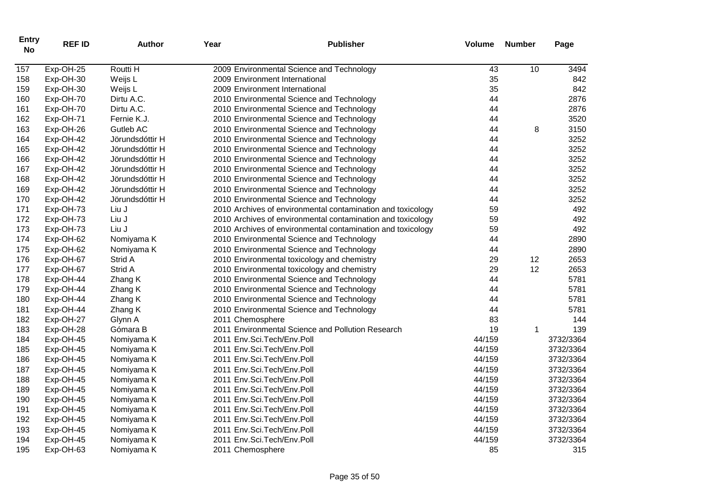| <b>Entry</b><br><b>No</b> | <b>REF ID</b> | <b>Author</b>   | Year             | <b>Publisher</b>                                            | <b>Volume</b> | <b>Number</b> | Page      |
|---------------------------|---------------|-----------------|------------------|-------------------------------------------------------------|---------------|---------------|-----------|
| 157                       | Exp-OH-25     | Routti H        |                  | 2009 Environmental Science and Technology                   | 43            | 10            | 3494      |
| 158                       | Exp-OH-30     | Weijs L         |                  | 2009 Environment International                              | 35            |               | 842       |
| 159                       | Exp-OH-30     | Weijs L         |                  | 2009 Environment International                              | 35            |               | 842       |
| 160                       | Exp-OH-70     | Dirtu A.C.      |                  | 2010 Environmental Science and Technology                   | 44            |               | 2876      |
| 161                       | Exp-OH-70     | Dirtu A.C.      |                  | 2010 Environmental Science and Technology                   | 44            |               | 2876      |
| 162                       | Exp-OH-71     | Fernie K.J.     |                  | 2010 Environmental Science and Technology                   | 44            |               | 3520      |
| 163                       | Exp-OH-26     | Gutleb AC       |                  | 2010 Environmental Science and Technology                   | 44            | 8             | 3150      |
| 164                       | Exp-OH-42     | Jörundsdóttir H |                  | 2010 Environmental Science and Technology                   | 44            |               | 3252      |
| 165                       | Exp-OH-42     | Jörundsdóttir H |                  | 2010 Environmental Science and Technology                   | 44            |               | 3252      |
| 166                       | Exp-OH-42     | Jörundsdóttir H |                  | 2010 Environmental Science and Technology                   | 44            |               | 3252      |
| 167                       | Exp-OH-42     | Jörundsdóttir H |                  | 2010 Environmental Science and Technology                   | 44            |               | 3252      |
| 168                       | Exp-OH-42     | Jörundsdóttir H |                  | 2010 Environmental Science and Technology                   | 44            |               | 3252      |
| 169                       | Exp-OH-42     | Jörundsdóttir H |                  | 2010 Environmental Science and Technology                   | 44            |               | 3252      |
| 170                       | Exp-OH-42     | Jörundsdóttir H |                  | 2010 Environmental Science and Technology                   | 44            |               | 3252      |
| 171                       | Exp-OH-73     | Liu J           |                  | 2010 Archives of environmental contamination and toxicology | 59            |               | 492       |
| 172                       | Exp-OH-73     | Liu J           |                  | 2010 Archives of environmental contamination and toxicology | 59            |               | 492       |
| 173                       | Exp-OH-73     | Liu J           |                  | 2010 Archives of environmental contamination and toxicology | 59            |               | 492       |
| 174                       | Exp-OH-62     | Nomiyama K      |                  | 2010 Environmental Science and Technology                   | 44            |               | 2890      |
| 175                       | Exp-OH-62     | Nomiyama K      |                  | 2010 Environmental Science and Technology                   | 44            |               | 2890      |
| 176                       | Exp-OH-67     | Strid A         |                  | 2010 Environmental toxicology and chemistry                 | 29            | 12            | 2653      |
| 177                       | Exp-OH-67     | Strid A         |                  | 2010 Environmental toxicology and chemistry                 | 29            | 12            | 2653      |
| 178                       | Exp-OH-44     | Zhang K         |                  | 2010 Environmental Science and Technology                   | 44            |               | 5781      |
| 179                       | Exp-OH-44     | Zhang K         |                  | 2010 Environmental Science and Technology                   | 44            |               | 5781      |
| 180                       | Exp-OH-44     | Zhang K         |                  | 2010 Environmental Science and Technology                   | 44            |               | 5781      |
| 181                       | Exp-OH-44     | Zhang K         |                  | 2010 Environmental Science and Technology                   | 44            |               | 5781      |
| 182                       | Exp-OH-27     | Glynn A         | 2011 Chemosphere |                                                             | 83            |               | 144       |
| 183                       | Exp-OH-28     | Gómara B        |                  | 2011 Environmental Science and Pollution Research           | 19            | 1             | 139       |
| 184                       | Exp-OH-45     | Nomiyama K      |                  | 2011 Env.Sci.Tech/Env.Poll                                  | 44/159        |               | 3732/3364 |
| 185                       | Exp-OH-45     | Nomiyama K      |                  | 2011 Env.Sci.Tech/Env.Poll                                  | 44/159        |               | 3732/3364 |
| 186                       | Exp-OH-45     | Nomiyama K      |                  | 2011 Env.Sci.Tech/Env.Poll                                  | 44/159        |               | 3732/3364 |
| 187                       | Exp-OH-45     | Nomiyama K      |                  | 2011 Env.Sci.Tech/Env.Poll                                  | 44/159        |               | 3732/3364 |
| 188                       | Exp-OH-45     | Nomiyama K      |                  | 2011 Env.Sci.Tech/Env.Poll                                  | 44/159        |               | 3732/3364 |
| 189                       | Exp-OH-45     | Nomiyama K      |                  | 2011 Env.Sci.Tech/Env.Poll                                  | 44/159        |               | 3732/3364 |
| 190                       | Exp-OH-45     | Nomiyama K      |                  | 2011 Env.Sci.Tech/Env.Poll                                  | 44/159        |               | 3732/3364 |
| 191                       | Exp-OH-45     | Nomiyama K      |                  | 2011 Env.Sci.Tech/Env.Poll                                  | 44/159        |               | 3732/3364 |
| 192                       | Exp-OH-45     | Nomiyama K      |                  | 2011 Env.Sci.Tech/Env.Poll                                  | 44/159        |               | 3732/3364 |
| 193                       | Exp-OH-45     | Nomiyama K      |                  | 2011 Env.Sci.Tech/Env.Poll                                  | 44/159        |               | 3732/3364 |
| 194                       | Exp-OH-45     | Nomiyama K      |                  | 2011 Env.Sci.Tech/Env.Poll                                  | 44/159        |               | 3732/3364 |
| 195                       | Exp-OH-63     | Nomiyama K      | 2011 Chemosphere |                                                             | 85            |               | 315       |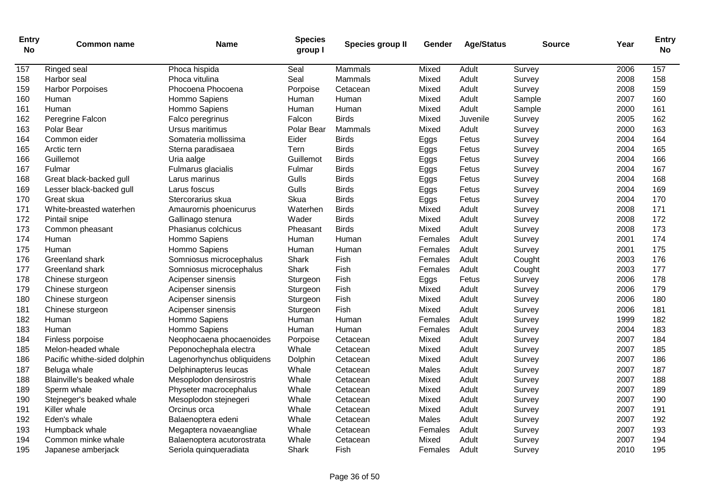| <b>Entry</b><br><b>No</b> | <b>Common name</b>           | <b>Name</b>                | <b>Species</b><br>group I | Species group II | Gender  | <b>Age/Status</b> | <b>Source</b> | Year | <b>Entry</b><br><b>No</b> |
|---------------------------|------------------------------|----------------------------|---------------------------|------------------|---------|-------------------|---------------|------|---------------------------|
| 157                       | Ringed seal                  | Phoca hispida              | Seal                      | Mammals          | Mixed   | Adult             | Survey        | 2006 | 157                       |
| 158                       | Harbor seal                  | Phoca vitulina             | Seal                      | Mammals          | Mixed   | Adult             | Survey        | 2008 | 158                       |
| 159                       | <b>Harbor Porpoises</b>      | Phocoena Phocoena          | Porpoise                  | Cetacean         | Mixed   | Adult             | Survey        | 2008 | 159                       |
| 160                       | Human                        | Hommo Sapiens              | Human                     | Human            | Mixed   | Adult             | Sample        | 2007 | 160                       |
| 161                       | Human                        | Hommo Sapiens              | Human                     | Human            | Mixed   | Adult             | Sample        | 2000 | 161                       |
| 162                       | Peregrine Falcon             | Falco peregrinus           | Falcon                    | <b>Birds</b>     | Mixed   | Juvenile          | Survey        | 2005 | 162                       |
| 163                       | Polar Bear                   | Ursus maritimus            | Polar Bear                | Mammals          | Mixed   | Adult             | Survey        | 2000 | 163                       |
| 164                       | Common eider                 | Somateria mollissima       | Eider                     | <b>Birds</b>     | Eggs    | Fetus             | Survey        | 2004 | 164                       |
| 165                       | Arctic tern                  | Sterna paradisaea          | Tern                      | <b>Birds</b>     | Eggs    | Fetus             | Survey        | 2004 | 165                       |
| 166                       | Guillemot                    | Uria aalge                 | Guillemot                 | <b>Birds</b>     | Eggs    | Fetus             | Survey        | 2004 | 166                       |
| 167                       | Fulmar                       | Fulmarus glacialis         | Fulmar                    | <b>Birds</b>     | Eggs    | Fetus             | Survey        | 2004 | 167                       |
| 168                       | Great black-backed gull      | Larus marinus              | Gulls                     | <b>Birds</b>     | Eggs    | Fetus             | Survey        | 2004 | 168                       |
| 169                       | Lesser black-backed gull     | Larus foscus               | Gulls                     | <b>Birds</b>     | Eggs    | Fetus             | Survey        | 2004 | 169                       |
| 170                       | Great skua                   | Stercorarius skua          | Skua                      | <b>Birds</b>     | Eggs    | Fetus             | Survey        | 2004 | 170                       |
| 171                       | White-breasted waterhen      | Amaurornis phoenicurus     | Waterhen                  | <b>Birds</b>     | Mixed   | Adult             | Survey        | 2008 | 171                       |
| 172                       | Pintail snipe                | Gallinago stenura          | Wader                     | <b>Birds</b>     | Mixed   | Adult             | Survey        | 2008 | 172                       |
| 173                       | Common pheasant              | Phasianus colchicus        | Pheasant                  | <b>Birds</b>     | Mixed   | Adult             | Survey        | 2008 | 173                       |
| 174                       | Human                        | Hommo Sapiens              | Human                     | Human            | Females | Adult             | Survey        | 2001 | 174                       |
| 175                       | Human                        | Hommo Sapiens              | Human                     | Human            | Females | Adult             | Survey        | 2001 | 175                       |
| 176                       | Greenland shark              | Somniosus microcephalus    | Shark                     | Fish             | Females | Adult             | Cought        | 2003 | 176                       |
| 177                       | Greenland shark              | Somniosus microcephalus    | Shark                     | Fish             | Females | Adult             | Cought        | 2003 | 177                       |
| 178                       | Chinese sturgeon             | Acipenser sinensis         | Sturgeon                  | Fish             | Eggs    | Fetus             | Survey        | 2006 | 178                       |
| 179                       | Chinese sturgeon             | Acipenser sinensis         | Sturgeon                  | Fish             | Mixed   | Adult             | Survey        | 2006 | 179                       |
| 180                       | Chinese sturgeon             | Acipenser sinensis         | Sturgeon                  | Fish             | Mixed   | Adult             | Survey        | 2006 | 180                       |
| 181                       | Chinese sturgeon             | Acipenser sinensis         | Sturgeon                  | Fish             | Mixed   | Adult             | Survey        | 2006 | 181                       |
| 182                       | Human                        | Hommo Sapiens              | Human                     | Human            | Females | Adult             | Survey        | 1999 | 182                       |
| 183                       | Human                        | Hommo Sapiens              | Human                     | Human            | Females | Adult             | Survey        | 2004 | 183                       |
| 184                       | Finless porpoise             | Neophocaena phocaenoides   | Porpoise                  | Cetacean         | Mixed   | Adult             | Survey        | 2007 | 184                       |
| 185                       | Melon-headed whale           | Peponochephala electra     | Whale                     | Cetacean         | Mixed   | Adult             | Survey        | 2007 | 185                       |
| 186                       | Pacific whithe-sided dolphin | Lagenorhynchus obliquidens | Dolphin                   | Cetacean         | Mixed   | Adult             | Survey        | 2007 | 186                       |
| 187                       | Beluga whale                 | Delphinapterus leucas      | Whale                     | Cetacean         | Males   | Adult             | Survey        | 2007 | 187                       |
| 188                       | Blainville's beaked whale    | Mesoplodon densirostris    | Whale                     | Cetacean         | Mixed   | Adult             | Survey        | 2007 | 188                       |
| 189                       | Sperm whale                  | Physeter macrocephalus     | Whale                     | Cetacean         | Mixed   | Adult             | Survey        | 2007 | 189                       |
| 190                       | Stejneger's beaked whale     | Mesoplodon stejnegeri      | Whale                     | Cetacean         | Mixed   | Adult             | Survey        | 2007 | 190                       |
| 191                       | Killer whale                 | Orcinus orca               | Whale                     | Cetacean         | Mixed   | Adult             | Survey        | 2007 | 191                       |
| 192                       | Eden's whale                 | Balaenoptera edeni         | Whale                     | Cetacean         | Males   | Adult             | Survey        | 2007 | 192                       |
| 193                       | Humpback whale               | Megaptera novaeangliae     | Whale                     | Cetacean         | Females | Adult             | Survey        | 2007 | 193                       |
| 194                       | Common minke whale           | Balaenoptera acutorostrata | Whale                     | Cetacean         | Mixed   | Adult             | Survey        | 2007 | 194                       |
| 195                       | Japanese amberjack           | Seriola quinqueradiata     | Shark                     | Fish             | Females | Adult             | Survey        | 2010 | 195                       |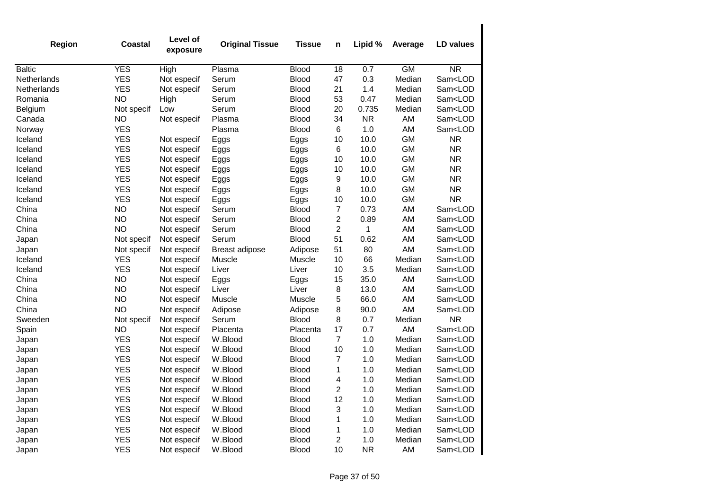| <b>Region</b> | <b>Coastal</b> | Level of<br>exposure | <b>Original Tissue</b> | <b>Tissue</b> | n              | Lipid %      | Average         | <b>LD values</b>        |
|---------------|----------------|----------------------|------------------------|---------------|----------------|--------------|-----------------|-------------------------|
| <b>Baltic</b> | <b>YES</b>     | High                 | Plasma                 | <b>Blood</b>  | 18             | 0.7          | $\overline{GM}$ | $\overline{\text{NR}}$  |
| Netherlands   | <b>YES</b>     | Not especif          | Serum                  | <b>Blood</b>  | 47             | 0.3          | Median          | Sam <lod< td=""></lod<> |
| Netherlands   | <b>YES</b>     | Not especif          | Serum                  | <b>Blood</b>  | 21             | 1.4          | Median          | Sam <lod< td=""></lod<> |
| Romania       | <b>NO</b>      | High                 | Serum                  | <b>Blood</b>  | 53             | 0.47         | Median          | Sam <lod< td=""></lod<> |
| Belgium       | Not specif     | Low                  | Serum                  | <b>Blood</b>  | 20             | 0.735        | Median          | Sam <lod< td=""></lod<> |
| Canada        | <b>NO</b>      | Not especif          | Plasma                 | <b>Blood</b>  | 34             | <b>NR</b>    | AM              | Sam <lod< td=""></lod<> |
| Norway        | <b>YES</b>     |                      | Plasma                 | <b>Blood</b>  | 6              | 1.0          | AM              | Sam <lod< td=""></lod<> |
| Iceland       | <b>YES</b>     | Not especif          | Eggs                   | Eggs          | 10             | 10.0         | <b>GM</b>       | <b>NR</b>               |
| Iceland       | <b>YES</b>     | Not especif          | Eggs                   | Eggs          | 6              | 10.0         | <b>GM</b>       | <b>NR</b>               |
| Iceland       | <b>YES</b>     | Not especif          | Eggs                   | Eggs          | 10             | 10.0         | <b>GM</b>       | <b>NR</b>               |
| Iceland       | <b>YES</b>     | Not especif          | Eggs                   | Eggs          | 10             | 10.0         | <b>GM</b>       | <b>NR</b>               |
| Iceland       | <b>YES</b>     | Not especif          | Eggs                   | Eggs          | 9              | 10.0         | GM              | <b>NR</b>               |
| Iceland       | <b>YES</b>     | Not especif          | Eggs                   | Eggs          | 8              | 10.0         | <b>GM</b>       | <b>NR</b>               |
| Iceland       | <b>YES</b>     | Not especif          | Eggs                   | Eggs          | 10             | 10.0         | <b>GM</b>       | <b>NR</b>               |
| China         | <b>NO</b>      | Not especif          | Serum                  | <b>Blood</b>  | 7              | 0.73         | AM              | Sam <lod< td=""></lod<> |
| China         | <b>NO</b>      | Not especif          | Serum                  | <b>Blood</b>  | $\overline{c}$ | 0.89         | AM              | Sam <lod< td=""></lod<> |
| China         | <b>NO</b>      | Not especif          | Serum                  | <b>Blood</b>  | $\overline{c}$ | $\mathbf{1}$ | AM              | Sam <lod< td=""></lod<> |
| Japan         | Not specif     | Not especif          | Serum                  | <b>Blood</b>  | 51             | 0.62         | AM              | Sam <lod< td=""></lod<> |
| Japan         | Not specif     | Not especif          | Breast adipose         | Adipose       | 51             | 80           | AM              | Sam <lod< td=""></lod<> |
| Iceland       | <b>YES</b>     | Not especif          | Muscle                 | Muscle        | 10             | 66           | Median          | Sam <lod< td=""></lod<> |
| Iceland       | <b>YES</b>     | Not especif          | Liver                  | Liver         | 10             | 3.5          | Median          | Sam <lod< td=""></lod<> |
| China         | <b>NO</b>      | Not especif          | Eggs                   | Eggs          | 15             | 35.0         | AM              | Sam <lod< td=""></lod<> |
| China         | <b>NO</b>      | Not especif          | Liver                  | Liver         | 8              | 13.0         | AM              | Sam <lod< td=""></lod<> |
| China         | <b>NO</b>      | Not especif          | Muscle                 | Muscle        | 5              | 66.0         | AM              | Sam <lod< td=""></lod<> |
| China         | <b>NO</b>      | Not especif          | Adipose                | Adipose       | 8              | 90.0         | AM              | Sam <lod< td=""></lod<> |
| Sweeden       | Not specif     | Not especif          | Serum                  | <b>Blood</b>  | 8              | 0.7          | Median          | <b>NR</b>               |
| Spain         | <b>NO</b>      | Not especif          | Placenta               | Placenta      | 17             | 0.7          | AM              | Sam <lod< td=""></lod<> |
| Japan         | <b>YES</b>     | Not especif          | W.Blood                | <b>Blood</b>  | 7              | 1.0          | Median          | Sam <lod< td=""></lod<> |
| Japan         | <b>YES</b>     | Not especif          | W.Blood                | <b>Blood</b>  | 10             | 1.0          | Median          | Sam <lod< td=""></lod<> |
| Japan         | <b>YES</b>     | Not especif          | W.Blood                | <b>Blood</b>  | 7              | 1.0          | Median          | Sam <lod< td=""></lod<> |
| Japan         | <b>YES</b>     | Not especif          | W.Blood                | <b>Blood</b>  | 1              | 1.0          | Median          | Sam <lod< td=""></lod<> |
| Japan         | <b>YES</b>     | Not especif          | W.Blood                | <b>Blood</b>  | 4              | 1.0          | Median          | Sam <lod< td=""></lod<> |
| Japan         | <b>YES</b>     | Not especif          | W.Blood                | <b>Blood</b>  | 2              | 1.0          | Median          | Sam <lod< td=""></lod<> |
| Japan         | <b>YES</b>     | Not especif          | W.Blood                | <b>Blood</b>  | 12             | 1.0          | Median          | Sam <lod< td=""></lod<> |
| Japan         | <b>YES</b>     | Not especif          | W.Blood                | <b>Blood</b>  | 3              | 1.0          | Median          | Sam <lod< td=""></lod<> |
| Japan         | <b>YES</b>     | Not especif          | W.Blood                | <b>Blood</b>  | 1              | 1.0          | Median          | Sam <lod< td=""></lod<> |
| Japan         | <b>YES</b>     | Not especif          | W.Blood                | <b>Blood</b>  | 1              | 1.0          | Median          | Sam <lod< td=""></lod<> |
| Japan         | <b>YES</b>     | Not especif          | W.Blood                | <b>Blood</b>  | 2              | 1.0          | Median          | Sam <lod< td=""></lod<> |
| Japan         | <b>YES</b>     | Not especif          | W.Blood                | <b>Blood</b>  | 10             | <b>NR</b>    | AM              | Sam <lod< td=""></lod<> |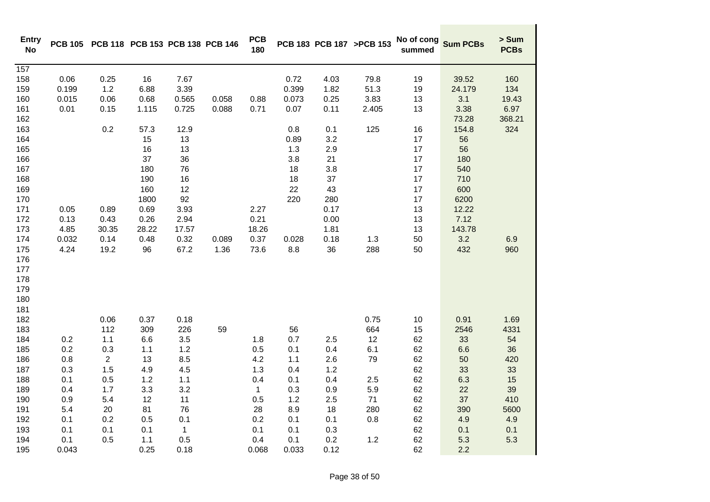| <b>Entry</b><br><b>No</b> | <b>PCB 105</b> | PCB 118 PCB 153 PCB 138 PCB 146 |       |       |       | <b>PCB</b><br>180 |       |      | PCB 183 PCB 187 >PCB 153 | No of cong<br>summed | <b>Sum PCBs</b> | > Sum<br><b>PCBs</b> |
|---------------------------|----------------|---------------------------------|-------|-------|-------|-------------------|-------|------|--------------------------|----------------------|-----------------|----------------------|
| 157                       |                |                                 |       |       |       |                   |       |      |                          |                      |                 |                      |
| 158                       | 0.06           | 0.25                            | 16    | 7.67  |       |                   | 0.72  | 4.03 | 79.8                     | 19                   | 39.52           | 160                  |
| 159                       | 0.199          | 1.2                             | 6.88  | 3.39  |       |                   | 0.399 | 1.82 | 51.3                     | 19                   | 24.179          | 134                  |
| 160                       | 0.015          | 0.06                            | 0.68  | 0.565 | 0.058 | 0.88              | 0.073 | 0.25 | 3.83                     | 13                   | 3.1             | 19.43                |
| 161                       | 0.01           | 0.15                            | 1.115 | 0.725 | 0.088 | 0.71              | 0.07  | 0.11 | 2.405                    | 13                   | 3.38            | 6.97                 |
| 162                       |                |                                 |       |       |       |                   |       |      |                          |                      | 73.28           | 368.21               |
| 163                       |                | 0.2                             | 57.3  | 12.9  |       |                   | 0.8   | 0.1  | 125                      | 16                   | 154.8           | 324                  |
| 164                       |                |                                 | 15    | 13    |       |                   | 0.89  | 3.2  |                          | 17                   | 56              |                      |
| 165                       |                |                                 | 16    | 13    |       |                   | 1.3   | 2.9  |                          | 17                   | 56              |                      |
| 166                       |                |                                 | 37    | 36    |       |                   | 3.8   | 21   |                          | 17                   | 180             |                      |
| 167                       |                |                                 | 180   | 76    |       |                   | 18    | 3.8  |                          | 17                   | 540             |                      |
| 168                       |                |                                 | 190   | 16    |       |                   | 18    | 37   |                          | 17                   | 710             |                      |
| 169                       |                |                                 | 160   | 12    |       |                   | 22    | 43   |                          | $17$                 | 600             |                      |
| 170                       |                |                                 | 1800  | 92    |       |                   | 220   | 280  |                          | 17                   | 6200            |                      |
| 171                       | 0.05           | 0.89                            | 0.69  | 3.93  |       | 2.27              |       | 0.17 |                          | 13                   | 12.22           |                      |
| 172                       | 0.13           | 0.43                            | 0.26  | 2.94  |       | 0.21              |       | 0.00 |                          | 13                   | 7.12            |                      |
| 173                       | 4.85           | 30.35                           | 28.22 | 17.57 |       | 18.26             |       | 1.81 |                          | 13                   | 143.78          |                      |
| 174                       | 0.032          | 0.14                            | 0.48  | 0.32  | 0.089 | 0.37              | 0.028 | 0.18 | 1.3                      | 50                   | 3.2             | 6.9                  |
| 175                       | 4.24           | 19.2                            | 96    | 67.2  | 1.36  | 73.6              | 8.8   | 36   | 288                      | 50                   | 432             | 960                  |
| 176                       |                |                                 |       |       |       |                   |       |      |                          |                      |                 |                      |
| 177                       |                |                                 |       |       |       |                   |       |      |                          |                      |                 |                      |
| 178                       |                |                                 |       |       |       |                   |       |      |                          |                      |                 |                      |
| 179                       |                |                                 |       |       |       |                   |       |      |                          |                      |                 |                      |
| 180                       |                |                                 |       |       |       |                   |       |      |                          |                      |                 |                      |
| 181                       |                |                                 |       |       |       |                   |       |      |                          |                      |                 |                      |
| 182                       |                | 0.06                            | 0.37  | 0.18  |       |                   |       |      | 0.75                     | 10                   | 0.91            | 1.69                 |
| 183                       |                | 112                             | 309   | 226   | 59    |                   | 56    |      | 664                      | 15                   | 2546            | 4331                 |
| 184                       | 0.2            | 1.1                             | 6.6   | 3.5   |       | 1.8               | 0.7   | 2.5  | 12                       | 62                   | 33              | 54                   |
| 185                       | 0.2            | 0.3                             | 1.1   | 1.2   |       | 0.5               | 0.1   | 0.4  | 6.1                      | 62                   | 6.6             | 36                   |
| 186                       | 0.8            | $\overline{2}$                  | 13    | 8.5   |       | 4.2               | 1.1   | 2.6  | 79                       | 62                   | 50              | 420                  |
| 187                       | 0.3            | 1.5                             | 4.9   | 4.5   |       | 1.3               | 0.4   | 1.2  |                          | 62                   | 33              | 33                   |
| 188                       | 0.1            | 0.5                             | 1.2   | 1.1   |       | 0.4               | 0.1   | 0.4  | 2.5                      | 62                   | 6.3             | 15                   |
| 189                       | 0.4            | 1.7                             | 3.3   | 3.2   |       | $\mathbf{1}$      | 0.3   | 0.9  | 5.9                      | 62                   | 22              | 39                   |
| 190                       | 0.9            | 5.4                             | 12    | 11    |       | 0.5               | 1.2   | 2.5  | 71                       | 62                   | 37              | 410                  |
| 191                       | 5.4            | 20                              | 81    | 76    |       | 28                | 8.9   | 18   | 280                      | 62                   | 390             | 5600                 |
| 192                       | 0.1            | 0.2                             | 0.5   | 0.1   |       | 0.2               | 0.1   | 0.1  | 0.8                      | 62                   | 4.9             | 4.9                  |
| 193                       | 0.1            | 0.1                             | 0.1   | 1     |       | 0.1               | 0.1   | 0.3  |                          | 62                   | 0.1             | 0.1                  |
| 194                       | 0.1            | 0.5                             | 1.1   | 0.5   |       | 0.4               | 0.1   | 0.2  | 1.2                      | 62                   | 5.3             | 5.3                  |
| 195                       | 0.043          |                                 | 0.25  | 0.18  |       | 0.068             | 0.033 | 0.12 |                          | 62                   | 2.2             |                      |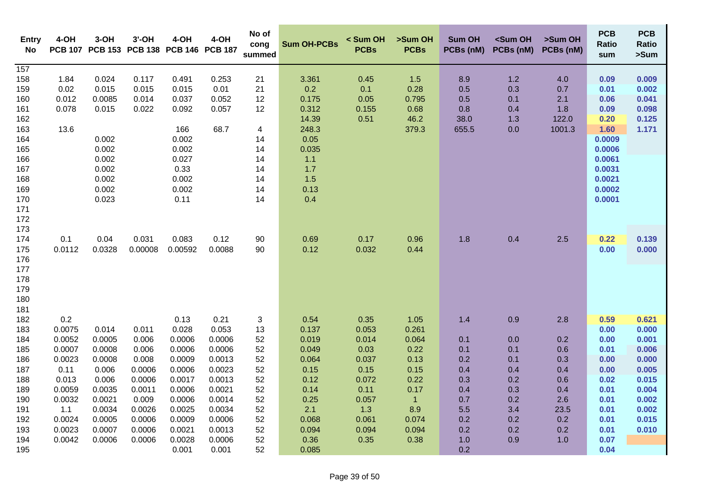| Entry<br>No                                                                                                | 4-OH                                                                                                                  | $3-OH$                                                                                                            | $3'$ -OH<br>PCB 107 PCB 153 PCB 138 PCB 146 PCB 187                                                             | 4-OH                                                                                                                                 | 4-OH                                                                                                                                 | No of<br>cong<br>summed                                                         | <b>Sum OH-PCBs</b>                                                                                                 | < Sum OH<br><b>PCBs</b>                                                                                    | >Sum OH<br><b>PCBs</b>                                                                                          | <b>Sum OH</b><br>PCBs (nM)                                                              | <sum oh<br="">PCBs (nM)</sum>                                                    | >Sum OH<br>PCBs (nM)                                                              | <b>PCB</b><br>Ratio<br>sum                                                                                         | <b>PCB</b><br><b>Ratio</b><br>>Sum                                                                       |
|------------------------------------------------------------------------------------------------------------|-----------------------------------------------------------------------------------------------------------------------|-------------------------------------------------------------------------------------------------------------------|-----------------------------------------------------------------------------------------------------------------|--------------------------------------------------------------------------------------------------------------------------------------|--------------------------------------------------------------------------------------------------------------------------------------|---------------------------------------------------------------------------------|--------------------------------------------------------------------------------------------------------------------|------------------------------------------------------------------------------------------------------------|-----------------------------------------------------------------------------------------------------------------|-----------------------------------------------------------------------------------------|----------------------------------------------------------------------------------|-----------------------------------------------------------------------------------|--------------------------------------------------------------------------------------------------------------------|----------------------------------------------------------------------------------------------------------|
| $\frac{1}{157}$<br>158<br>159<br>160<br>161<br>162<br>163<br>164<br>165<br>166<br>167<br>168<br>169<br>170 | 1.84<br>0.02<br>0.012<br>0.078<br>13.6                                                                                | 0.024<br>0.015<br>0.0085<br>0.015<br>0.002<br>0.002<br>0.002<br>0.002<br>0.002<br>0.002<br>0.023                  | 0.117<br>0.015<br>0.014<br>0.022                                                                                | 0.491<br>0.015<br>0.037<br>0.092<br>166<br>0.002<br>0.002<br>0.027<br>0.33<br>0.002<br>0.002<br>0.11                                 | 0.253<br>0.01<br>0.052<br>0.057<br>68.7                                                                                              | 21<br>21<br>12<br>12<br>4<br>14<br>14<br>14<br>14<br>14<br>14<br>14             | 3.361<br>0.2<br>0.175<br>0.312<br>14.39<br>248.3<br>0.05<br>0.035<br>1.1<br>1.7<br>1.5<br>0.13<br>0.4              | 0.45<br>0.1<br>0.05<br>0.155<br>0.51                                                                       | $1.5$<br>0.28<br>0.795<br>0.68<br>46.2<br>379.3                                                                 | 8.9<br>0.5<br>0.5<br>0.8<br>38.0<br>655.5                                               | $1.2$<br>0.3<br>0.1<br>0.4<br>1.3<br>0.0                                         | 4.0<br>0.7<br>2.1<br>1.8<br>122.0<br>1001.3                                       | 0.09<br>0.01<br>0.06<br>0.09<br>0.20<br>1.60<br>0.0009<br>0.0006<br>0.0061<br>0.0031<br>0.0021<br>0.0002<br>0.0001 | 0.009<br>0.002<br>0.041<br>0.098<br>0.125<br>1.171                                                       |
| 171<br>172<br>173<br>174<br>175<br>176<br>177<br>178<br>179<br>180<br>181                                  | 0.1<br>0.0112                                                                                                         | 0.04<br>0.0328                                                                                                    | 0.031<br>0.00008                                                                                                | 0.083<br>0.00592                                                                                                                     | 0.12<br>0.0088                                                                                                                       | 90<br>90                                                                        | 0.69<br>0.12                                                                                                       | 0.17<br>0.032                                                                                              | 0.96<br>0.44                                                                                                    | 1.8                                                                                     | 0.4                                                                              | 2.5                                                                               | 0.22<br>0.00                                                                                                       | 0.139<br>0.000                                                                                           |
| 182<br>183<br>184<br>185<br>186<br>187<br>188<br>189<br>190<br>191<br>192<br>193<br>194<br>195             | 0.2<br>0.0075<br>0.0052<br>0.0007<br>0.0023<br>0.11<br>0.013<br>0.0059<br>0.0032<br>1.1<br>0.0024<br>0.0023<br>0.0042 | 0.014<br>0.0005<br>0.0008<br>0.0008<br>0.006<br>0.006<br>0.0035<br>0.0021<br>0.0034<br>0.0005<br>0.0007<br>0.0006 | 0.011<br>0.006<br>0.006<br>0.008<br>0.0006<br>0.0006<br>0.0011<br>0.009<br>0.0026<br>0.0006<br>0.0006<br>0.0006 | 0.13<br>0.028<br>0.0006<br>0.0006<br>0.0009<br>0.0006<br>0.0017<br>0.0006<br>0.0006<br>0.0025<br>0.0009<br>0.0021<br>0.0028<br>0.001 | 0.21<br>0.053<br>0.0006<br>0.0006<br>0.0013<br>0.0023<br>0.0013<br>0.0021<br>0.0014<br>0.0034<br>0.0006<br>0.0013<br>0.0006<br>0.001 | 3<br>13<br>52<br>52<br>52<br>52<br>52<br>52<br>52<br>52<br>52<br>52<br>52<br>52 | 0.54<br>0.137<br>0.019<br>0.049<br>0.064<br>0.15<br>0.12<br>0.14<br>0.25<br>2.1<br>0.068<br>0.094<br>0.36<br>0.085 | 0.35<br>0.053<br>0.014<br>0.03<br>0.037<br>0.15<br>0.072<br>0.11<br>0.057<br>1.3<br>0.061<br>0.094<br>0.35 | 1.05<br>0.261<br>0.064<br>0.22<br>0.13<br>0.15<br>0.22<br>0.17<br>$\mathbf{1}$<br>8.9<br>0.074<br>0.094<br>0.38 | 1.4<br>0.1<br>0.1<br>0.2<br>0.4<br>0.3<br>0.4<br>0.7<br>5.5<br>0.2<br>0.2<br>1.0<br>0.2 | 0.9<br>0.0<br>0.1<br>0.1<br>0.4<br>0.2<br>0.3<br>0.2<br>3.4<br>0.2<br>0.2<br>0.9 | 2.8<br>0.2<br>0.6<br>0.3<br>0.4<br>0.6<br>0.4<br>2.6<br>23.5<br>0.2<br>0.2<br>1.0 | 0.59<br>0.00<br>0.00<br>0.01<br>0.00<br>0.00<br>0.02<br>0.01<br>0.01<br>0.01<br>0.01<br>0.01<br>0.07<br>0.04       | 0.621<br>0.000<br>0.001<br>0.006<br>0.000<br>0.005<br>0.015<br>0.004<br>0.002<br>0.002<br>0.015<br>0.010 |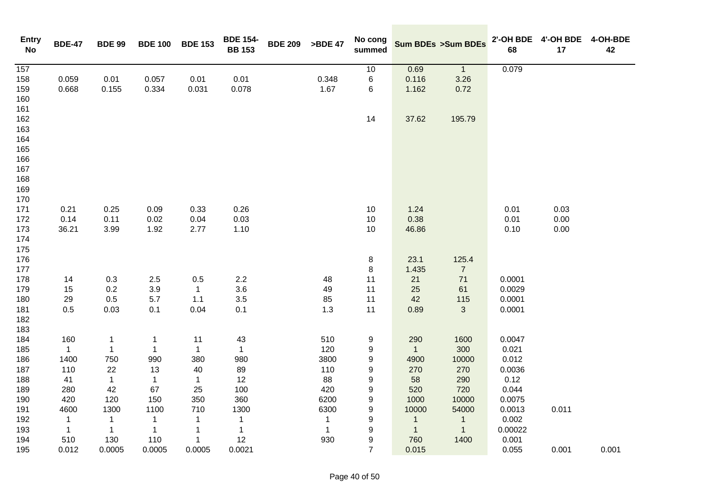| <b>Entry</b><br>No | <b>BDE-47</b> | <b>BDE 99</b> | <b>BDE 100</b> | <b>BDE 153</b> | <b>BDE 154-</b><br><b>BB 153</b> | <b>BDE 209</b> | >BDE 47      | No cong<br>summed |                | Sum BDEs >Sum BDEs | 68      | 2'-OH BDE 4'-OH BDE<br>17 | 4-OH-BDE<br>42 |
|--------------------|---------------|---------------|----------------|----------------|----------------------------------|----------------|--------------|-------------------|----------------|--------------------|---------|---------------------------|----------------|
| $\overline{157}$   |               |               |                |                |                                  |                |              | 10                | 0.69           | $\overline{1}$     | 0.079   |                           |                |
| 158                | 0.059         | 0.01          | 0.057          | 0.01           | 0.01                             |                | 0.348        | $\,6$             | 0.116          | 3.26               |         |                           |                |
| 159                | 0.668         | 0.155         | 0.334          | 0.031          | 0.078                            |                | 1.67         | 6                 | 1.162          | 0.72               |         |                           |                |
| 160                |               |               |                |                |                                  |                |              |                   |                |                    |         |                           |                |
| 161                |               |               |                |                |                                  |                |              |                   |                |                    |         |                           |                |
| 162                |               |               |                |                |                                  |                |              | 14                | 37.62          | 195.79             |         |                           |                |
| 163                |               |               |                |                |                                  |                |              |                   |                |                    |         |                           |                |
| 164                |               |               |                |                |                                  |                |              |                   |                |                    |         |                           |                |
| 165                |               |               |                |                |                                  |                |              |                   |                |                    |         |                           |                |
| 166                |               |               |                |                |                                  |                |              |                   |                |                    |         |                           |                |
| 167                |               |               |                |                |                                  |                |              |                   |                |                    |         |                           |                |
| 168                |               |               |                |                |                                  |                |              |                   |                |                    |         |                           |                |
| 169                |               |               |                |                |                                  |                |              |                   |                |                    |         |                           |                |
| 170                |               |               |                |                |                                  |                |              |                   |                |                    |         |                           |                |
| 171                | 0.21          | 0.25          | 0.09           | 0.33           | 0.26                             |                |              | $10$              | 1.24           |                    | 0.01    | 0.03                      |                |
| 172                | 0.14          | 0.11          | 0.02           | 0.04           | 0.03                             |                |              | 10                | 0.38           |                    | 0.01    | 0.00                      |                |
| 173                | 36.21         | 3.99          | 1.92           | 2.77           | 1.10                             |                |              | 10                | 46.86          |                    | 0.10    | 0.00                      |                |
| 174                |               |               |                |                |                                  |                |              |                   |                |                    |         |                           |                |
| 175                |               |               |                |                |                                  |                |              |                   |                |                    |         |                           |                |
| 176                |               |               |                |                |                                  |                |              | 8                 | 23.1           | 125.4              |         |                           |                |
| 177                |               |               |                |                |                                  |                |              | 8                 | 1.435          | $\overline{7}$     |         |                           |                |
| 178                | 14            | 0.3           | $2.5\,$        | 0.5            | $2.2\,$                          |                | 48           | 11                | 21             | 71                 | 0.0001  |                           |                |
| 179                | 15            | 0.2           | 3.9            | $\mathbf{1}$   | 3.6                              |                | 49           | 11                | 25             | 61                 | 0.0029  |                           |                |
| 180                | 29            | 0.5           | 5.7            | 1.1            | 3.5                              |                | 85           | 11                | 42             | 115                | 0.0001  |                           |                |
| 181                | 0.5           | 0.03          | 0.1            | 0.04           | 0.1                              |                | 1.3          | 11                | 0.89           | $\mathbf{3}$       | 0.0001  |                           |                |
| 182                |               |               |                |                |                                  |                |              |                   |                |                    |         |                           |                |
| 183                |               |               |                |                |                                  |                |              |                   |                |                    |         |                           |                |
| 184                | 160           | 1             | $\mathbf{1}$   | 11             | 43                               |                | 510          | 9                 | 290            | 1600               | 0.0047  |                           |                |
| 185                | $\mathbf{1}$  | $\mathbf{1}$  | $\mathbf{1}$   | $\mathbf{1}$   | $\mathbf{1}$                     |                | 120          | 9                 | $\overline{1}$ | 300                | 0.021   |                           |                |
| 186                | 1400          | 750           | 990            | 380            | 980                              |                | 3800         | 9                 | 4900           | 10000              | 0.012   |                           |                |
| 187                | 110           | 22            | 13             | 40             | 89                               |                | 110          | 9                 | 270            | 270                | 0.0036  |                           |                |
| 188                | 41            | $\mathbf{1}$  | $\mathbf{1}$   | $\mathbf{1}$   | 12                               |                | 88           | 9                 | 58             | 290                | 0.12    |                           |                |
| 189                | 280           | 42            | 67             | 25             | 100                              |                | 420          | 9                 | 520            | 720                | 0.044   |                           |                |
| 190                | 420           | 120           | 150            | 350            | 360                              |                | 6200         | $\boldsymbol{9}$  | 1000           | 10000              | 0.0075  |                           |                |
| 191                | 4600          | 1300          | 1100           | 710            | 1300                             |                | 6300         | $\boldsymbol{9}$  | 10000          | 54000              | 0.0013  | 0.011                     |                |
| 192                | $\mathbf{1}$  | $\mathbf{1}$  | $\mathbf{1}$   | $\mathbf{1}$   | $\mathbf{1}$                     |                | $\mathbf{1}$ | 9                 | $\mathbf{1}$   | $\overline{1}$     | 0.002   |                           |                |
| 193                | 1             | $\mathbf{1}$  | $\mathbf{1}$   | 1              | $\mathbf{1}$                     |                | $\mathbf{1}$ | 9                 | $\mathbf{1}$   | $\overline{1}$     | 0.00022 |                           |                |
| 194                | 510           | 130           | 110            | $\mathbf{1}$   | 12                               |                | 930          | 9                 | 760            | 1400               | 0.001   |                           |                |
| 195                | 0.012         | 0.0005        | 0.0005         | 0.0005         | 0.0021                           |                |              | $\overline{7}$    | 0.015          |                    | 0.055   | 0.001                     | 0.001          |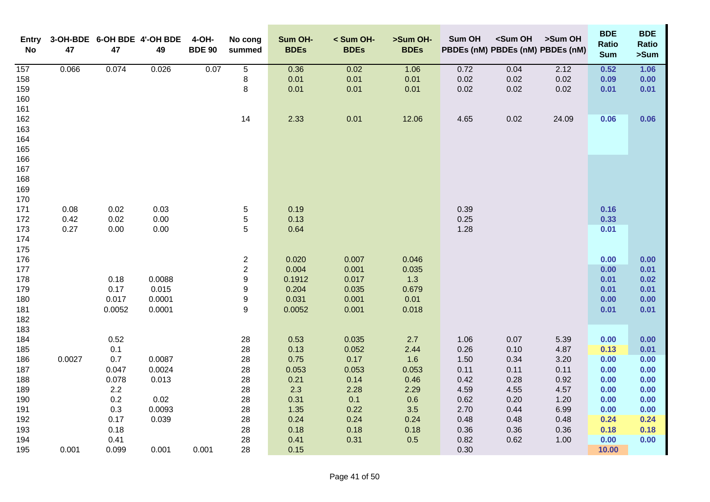| <b>Entry</b><br>No | 47     | 47         | 3-OH-BDE 6-OH BDE 4'-OH BDE<br>49 | 4-OH-<br><b>BDE 90</b> | No cong<br>summed | Sum OH-<br><b>BDEs</b> | < Sum OH-<br><b>BDEs</b> | >Sum OH-<br><b>BDEs</b> | Sum OH       | <sum oh<="" th=""><th>&gt;Sum OH<br/>PBDEs (nM) PBDEs (nM) PBDEs (nM)</th><th><b>BDE</b><br/><b>Ratio</b><br/><b>Sum</b></th><th><b>BDE</b><br/><b>Ratio</b><br/>&gt;Sum</th></sum> | >Sum OH<br>PBDEs (nM) PBDEs (nM) PBDEs (nM) | <b>BDE</b><br><b>Ratio</b><br><b>Sum</b> | <b>BDE</b><br><b>Ratio</b><br>>Sum |
|--------------------|--------|------------|-----------------------------------|------------------------|-------------------|------------------------|--------------------------|-------------------------|--------------|-------------------------------------------------------------------------------------------------------------------------------------------------------------------------------------|---------------------------------------------|------------------------------------------|------------------------------------|
| 157                | 0.066  | 0.074      | 0.026                             | 0.07                   | $\overline{5}$    | 0.36                   | 0.02                     | 1.06                    | 0.72         | 0.04                                                                                                                                                                                | 2.12                                        | 0.52                                     | 1.06                               |
| 158                |        |            |                                   |                        | 8                 | 0.01                   | 0.01                     | 0.01                    | 0.02         | 0.02                                                                                                                                                                                | 0.02                                        | 0.09                                     | 0.00                               |
| 159                |        |            |                                   |                        | 8                 | 0.01                   | 0.01                     | 0.01                    | 0.02         | 0.02                                                                                                                                                                                | 0.02                                        | 0.01                                     | 0.01                               |
| 160                |        |            |                                   |                        |                   |                        |                          |                         |              |                                                                                                                                                                                     |                                             |                                          |                                    |
| 161                |        |            |                                   |                        |                   |                        |                          |                         |              |                                                                                                                                                                                     |                                             |                                          |                                    |
| 162                |        |            |                                   |                        | 14                | 2.33                   | 0.01                     | 12.06                   | 4.65         | 0.02                                                                                                                                                                                | 24.09                                       | 0.06                                     | 0.06                               |
| 163                |        |            |                                   |                        |                   |                        |                          |                         |              |                                                                                                                                                                                     |                                             |                                          |                                    |
| 164                |        |            |                                   |                        |                   |                        |                          |                         |              |                                                                                                                                                                                     |                                             |                                          |                                    |
| 165<br>166         |        |            |                                   |                        |                   |                        |                          |                         |              |                                                                                                                                                                                     |                                             |                                          |                                    |
| 167                |        |            |                                   |                        |                   |                        |                          |                         |              |                                                                                                                                                                                     |                                             |                                          |                                    |
| 168                |        |            |                                   |                        |                   |                        |                          |                         |              |                                                                                                                                                                                     |                                             |                                          |                                    |
| 169                |        |            |                                   |                        |                   |                        |                          |                         |              |                                                                                                                                                                                     |                                             |                                          |                                    |
| 170                |        |            |                                   |                        |                   |                        |                          |                         |              |                                                                                                                                                                                     |                                             |                                          |                                    |
| 171                | 0.08   | 0.02       | 0.03                              |                        | 5                 | 0.19                   |                          |                         | 0.39         |                                                                                                                                                                                     |                                             | 0.16                                     |                                    |
| 172                | 0.42   | 0.02       | 0.00                              |                        | $\mathbf 5$       | 0.13                   |                          |                         | 0.25         |                                                                                                                                                                                     |                                             | 0.33                                     |                                    |
| 173                | 0.27   | 0.00       | 0.00                              |                        | 5                 | 0.64                   |                          |                         | 1.28         |                                                                                                                                                                                     |                                             | 0.01                                     |                                    |
| 174                |        |            |                                   |                        |                   |                        |                          |                         |              |                                                                                                                                                                                     |                                             |                                          |                                    |
| 175                |        |            |                                   |                        |                   |                        |                          |                         |              |                                                                                                                                                                                     |                                             |                                          |                                    |
| 176                |        |            |                                   |                        | $\boldsymbol{2}$  | 0.020                  | 0.007                    | 0.046                   |              |                                                                                                                                                                                     |                                             | 0.00                                     | 0.00                               |
| 177                |        |            |                                   |                        | $\boldsymbol{2}$  | 0.004                  | 0.001                    | 0.035                   |              |                                                                                                                                                                                     |                                             | 0.00                                     | 0.01                               |
| 178                |        | 0.18       | 0.0088                            |                        | $\boldsymbol{9}$  | 0.1912                 | 0.017                    | 1.3                     |              |                                                                                                                                                                                     |                                             | 0.01                                     | 0.02                               |
| 179                |        | 0.17       | 0.015                             |                        | $\boldsymbol{9}$  | 0.204                  | 0.035                    | 0.679                   |              |                                                                                                                                                                                     |                                             | 0.01                                     | 0.01                               |
| 180                |        | 0.017      | 0.0001                            |                        | $\boldsymbol{9}$  | 0.031                  | 0.001                    | 0.01                    |              |                                                                                                                                                                                     |                                             | 0.00                                     | 0.00                               |
| 181                |        | 0.0052     | 0.0001                            |                        | $\boldsymbol{9}$  | 0.0052                 | 0.001                    | 0.018                   |              |                                                                                                                                                                                     |                                             | 0.01                                     | 0.01                               |
| 182                |        |            |                                   |                        |                   |                        |                          |                         |              |                                                                                                                                                                                     |                                             |                                          |                                    |
| 183                |        |            |                                   |                        |                   |                        |                          |                         |              |                                                                                                                                                                                     |                                             |                                          |                                    |
| 184                |        | 0.52       |                                   |                        | 28                | 0.53                   | 0.035                    | 2.7                     | 1.06         | 0.07                                                                                                                                                                                | 5.39                                        | 0.00                                     | 0.00                               |
| 185<br>186         | 0.0027 | 0.1<br>0.7 | 0.0087                            |                        | 28<br>28          | 0.13<br>0.75           | 0.052<br>0.17            | 2.44<br>1.6             | 0.26<br>1.50 | 0.10<br>0.34                                                                                                                                                                        | 4.87<br>3.20                                | 0.13<br>0.00                             | 0.01                               |
| 187                |        | 0.047      | 0.0024                            |                        | 28                | 0.053                  | 0.053                    | 0.053                   | 0.11         | 0.11                                                                                                                                                                                | 0.11                                        | 0.00                                     | 0.00<br>0.00                       |
| 188                |        | 0.078      | 0.013                             |                        | 28                | 0.21                   | 0.14                     | 0.46                    | 0.42         | 0.28                                                                                                                                                                                | 0.92                                        | 0.00                                     | 0.00                               |
| 189                |        | 2.2        |                                   |                        | 28                | 2.3                    | 2.28                     | 2.29                    | 4.59         | 4.55                                                                                                                                                                                | 4.57                                        | 0.00                                     | 0.00                               |
| 190                |        | 0.2        | 0.02                              |                        | 28                | 0.31                   | 0.1                      | 0.6                     | 0.62         | 0.20                                                                                                                                                                                | 1.20                                        | 0.00                                     | 0.00                               |
| 191                |        | 0.3        | 0.0093                            |                        | 28                | 1.35                   | 0.22                     | 3.5                     | 2.70         | 0.44                                                                                                                                                                                | 6.99                                        | 0.00                                     | 0.00                               |
| 192                |        | 0.17       | 0.039                             |                        | 28                | 0.24                   | 0.24                     | 0.24                    | 0.48         | 0.48                                                                                                                                                                                | 0.48                                        | 0.24                                     | 0.24                               |
| 193                |        | 0.18       |                                   |                        | 28                | 0.18                   | 0.18                     | 0.18                    | 0.36         | 0.36                                                                                                                                                                                | 0.36                                        | 0.18                                     | 0.18                               |
| 194                |        | 0.41       |                                   |                        | 28                | 0.41                   | 0.31                     | 0.5                     | 0.82         | 0.62                                                                                                                                                                                | 1.00                                        | 0.00                                     | 0.00                               |
| 195                | 0.001  | 0.099      | 0.001                             | 0.001                  | 28                | 0.15                   |                          |                         | 0.30         |                                                                                                                                                                                     |                                             | 10.00                                    |                                    |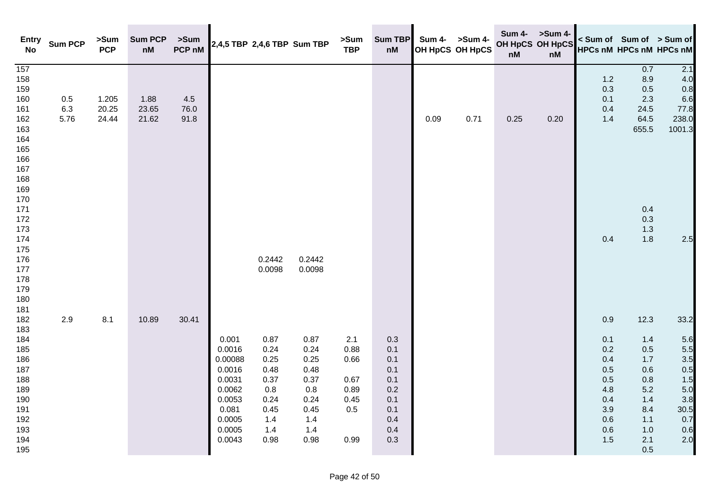| <b>Entry</b><br><b>No</b>                                                                                                                                            | <b>Sum PCP</b>     | >Sum<br><b>PCP</b>      | <b>Sum PCP</b><br>$\mathsf{n}\mathsf{M}$ | >Sum<br>PCP nM      | 2,4,5 TBP 2,4,6 TBP Sum TBP                                                                               |                                                                                   |                                                                                   | >Sum<br><b>TBP</b>                                         | <b>Sum TBP</b><br>nM                                                      |      | Sum 4- >Sum 4-<br>OH HpCS OH HpCS | <b>Sum 4-</b><br>nM | >Sum 4-<br>OH HpCS OH HpCS<br>nM | < Sum of Sum of > Sum of<br><b>HPCs nM HPCs nM HPCs nM</b>                       |                                                                                                  |                                                                                    |
|----------------------------------------------------------------------------------------------------------------------------------------------------------------------|--------------------|-------------------------|------------------------------------------|---------------------|-----------------------------------------------------------------------------------------------------------|-----------------------------------------------------------------------------------|-----------------------------------------------------------------------------------|------------------------------------------------------------|---------------------------------------------------------------------------|------|-----------------------------------|---------------------|----------------------------------|----------------------------------------------------------------------------------|--------------------------------------------------------------------------------------------------|------------------------------------------------------------------------------------|
| 157<br>158<br>159<br>160<br>161<br>162<br>163<br>164<br>165<br>166<br>167<br>168<br>169<br>170<br>171<br>172<br>173<br>174<br>175<br>176<br>177<br>178<br>179<br>180 | 0.5<br>6.3<br>5.76 | 1.205<br>20.25<br>24.44 | 1.88<br>23.65<br>21.62                   | 4.5<br>76.0<br>91.8 |                                                                                                           | 0.2442<br>0.0098                                                                  | 0.2442<br>0.0098                                                                  |                                                            |                                                                           | 0.09 | 0.71                              | 0.25                | 0.20                             | 1.2<br>0.3<br>0.1<br>0.4<br>1.4<br>0.4                                           | 0.7<br>8.9<br>0.5<br>2.3<br>24.5<br>64.5<br>655.5<br>0.4<br>0.3<br>1.3<br>1.8                    | 2.1<br>4.0<br>0.8<br>6.6<br>77.8<br>238.0<br>1001.3<br>2.5                         |
| 181<br>182<br>183<br>184<br>185<br>186<br>187<br>188<br>189<br>190<br>191<br>192<br>193<br>194<br>195                                                                | 2.9                | 8.1                     | 10.89                                    | 30.41               | 0.001<br>0.0016<br>0.00088<br>0.0016<br>0.0031<br>0.0062<br>0.0053<br>0.081<br>0.0005<br>0.0005<br>0.0043 | 0.87<br>0.24<br>0.25<br>0.48<br>0.37<br>0.8<br>0.24<br>0.45<br>1.4<br>1.4<br>0.98 | 0.87<br>0.24<br>0.25<br>0.48<br>0.37<br>0.8<br>0.24<br>0.45<br>1.4<br>1.4<br>0.98 | 2.1<br>0.88<br>0.66<br>0.67<br>0.89<br>0.45<br>0.5<br>0.99 | 0.3<br>0.1<br>0.1<br>0.1<br>0.1<br>0.2<br>0.1<br>0.1<br>0.4<br>0.4<br>0.3 |      |                                   |                     |                                  | 0.9<br>0.1<br>0.2<br>0.4<br>0.5<br>0.5<br>4.8<br>0.4<br>3.9<br>0.6<br>0.6<br>1.5 | 12.3<br>1.4<br>$0.5\,$<br>1.7<br>0.6<br>$0.8\,$<br>5.2<br>1.4<br>8.4<br>1.1<br>1.0<br>2.1<br>0.5 | 33.2<br>5.6<br>5.5<br>3.5<br>0.5<br>1.5<br>5.0<br>3.8<br>30.5<br>0.7<br>0.6<br>2.0 |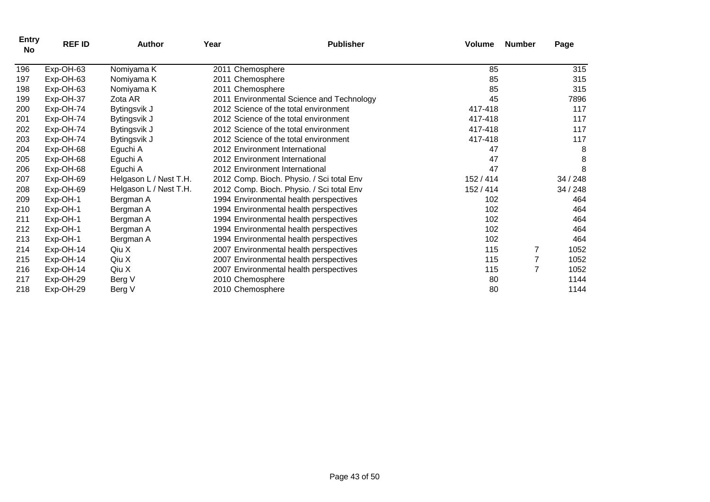| <b>Entry</b><br>No | <b>REF ID</b> | <b>Author</b>          | Year | <b>Publisher</b>                          | <b>Volume</b> | <b>Number</b> | Page     |
|--------------------|---------------|------------------------|------|-------------------------------------------|---------------|---------------|----------|
| 196                | Exp-OH-63     | Nomiyama K             |      | 2011 Chemosphere                          | 85            |               | 315      |
| 197                | Exp-OH-63     | Nomiyama K             |      | 2011 Chemosphere                          | 85            |               | 315      |
| 198                | Exp-OH-63     | Nomiyama K             |      | 2011 Chemosphere                          | 85            |               | 315      |
| 199                | Exp-OH-37     | Zota AR                |      | 2011 Environmental Science and Technology | 45            |               | 7896     |
| 200                | Exp-OH-74     | Bytingsvik J           |      | 2012 Science of the total environment     | 417-418       |               | 117      |
| 201                | Exp-OH-74     | Bytingsvik J           |      | 2012 Science of the total environment     | 417-418       |               | 117      |
| 202                | Exp-OH-74     | Bytingsvik J           |      | 2012 Science of the total environment     | 417-418       |               | 117      |
| 203                | Exp-OH-74     | Bytingsvik J           |      | 2012 Science of the total environment     | 417-418       |               | 117      |
| 204                | Exp-OH-68     | Eguchi A               |      | 2012 Environment International            | 47            |               | 8        |
| 205                | Exp-OH-68     | Eguchi A               |      | 2012 Environment International            | 47            |               | 8        |
| 206                | Exp-OH-68     | Eguchi A               |      | 2012 Environment International            | 47            |               | 8        |
| 207                | Exp-OH-69     | Helgason L / Nøst T.H. |      | 2012 Comp. Bioch. Physio. / Sci total Env | 152 / 414     |               | 34 / 248 |
| 208                | Exp-OH-69     | Helgason L / Nøst T.H. |      | 2012 Comp. Bioch. Physio. / Sci total Env | 152 / 414     |               | 34/248   |
| 209                | Exp-OH-1      | Bergman A              |      | 1994 Environmental health perspectives    | 102           |               | 464      |
| 210                | Exp-OH-1      | Bergman A              |      | 1994 Environmental health perspectives    | 102           |               | 464      |
| 211                | Exp-OH-1      | Bergman A              |      | 1994 Environmental health perspectives    | 102           |               | 464      |
| 212                | Exp-OH-1      | Bergman A              |      | 1994 Environmental health perspectives    | 102           |               | 464      |
| 213                | Exp-OH-1      | Bergman A              |      | 1994 Environmental health perspectives    | 102           |               | 464      |
| 214                | Exp-OH-14     | Qiu X                  |      | 2007 Environmental health perspectives    | 115           |               | 1052     |
| 215                | Exp-OH-14     | Qiu X                  |      | 2007 Environmental health perspectives    | 115           |               | 1052     |
| 216                | Exp-OH-14     | Qiu X                  |      | 2007 Environmental health perspectives    | 115           | 7             | 1052     |
| 217                | Exp-OH-29     | Berg V                 |      | 2010 Chemosphere                          | 80            |               | 1144     |
| 218                | Exp-OH-29     | Berg V                 |      | 2010 Chemosphere                          | 80            |               | 1144     |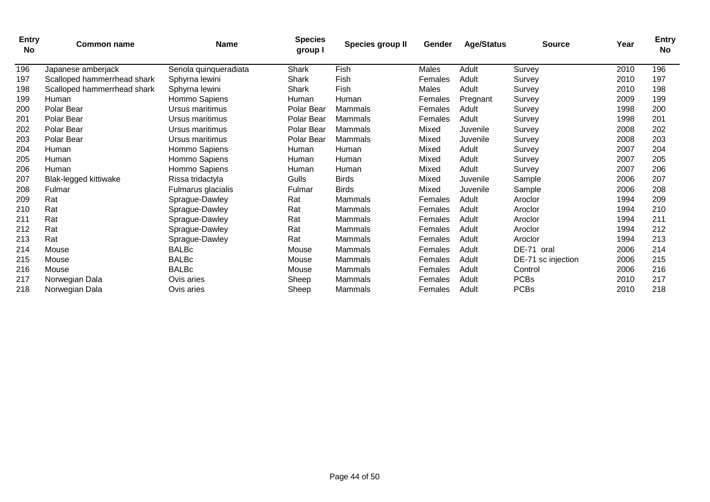| <b>Entry</b><br><b>No</b> | <b>Common name</b>          | <b>Name</b>            | <b>Species</b><br>group I | Species group II | Gender  | <b>Age/Status</b> | <b>Source</b>      | Year | <b>Entry</b><br><b>No</b> |
|---------------------------|-----------------------------|------------------------|---------------------------|------------------|---------|-------------------|--------------------|------|---------------------------|
| 196                       | Japanese amberjack          | Seriola quinqueradiata | Shark                     | Fish             | Males   | Adult             | Survey             | 2010 | 196                       |
| 197                       | Scalloped hammerrhead shark | Sphyrna lewini         | Shark                     | Fish             | Females | Adult             | Survev             | 2010 | 197                       |
| 198                       | Scalloped hammerrhead shark | Sphyrna lewini         | Shark                     | Fish             | Males   | Adult             | Survey             | 2010 | 198                       |
| 199                       | Human                       | Hommo Sapiens          | <b>Human</b>              | Human            | Females | Pregnant          | Survey             | 2009 | 199                       |
| 200                       | Polar Bear                  | Ursus maritimus        | Polar Bear                | Mammals          | Females | Adult             | Survey             | 1998 | 200                       |
| 201                       | Polar Bear                  | Ursus maritimus        | Polar Bear                | Mammals          | Females | Adult             | Survey             | 1998 | 201                       |
| 202                       | Polar Bear                  | Ursus maritimus        | Polar Bear                | Mammals          | Mixed   | Juvenile          | Survey             | 2008 | 202                       |
| 203                       | Polar Bear                  | Ursus maritimus        | Polar Bear                | Mammals          | Mixed   | Juvenile          | Survey             | 2008 | 203                       |
| 204                       | Human                       | Hommo Sapiens          | Human                     | Human            | Mixed   | Adult             | Survey             | 2007 | 204                       |
| 205                       | Human                       | Hommo Sapiens          | Human                     | Human            | Mixed   | Adult             | Survey             | 2007 | 205                       |
| 206                       | Human                       | Hommo Sapiens          | Human                     | Human            | Mixed   | Adult             | Survey             | 2007 | 206                       |
| 207                       | Blak-legged kittiwake       | Rissa tridactyla       | Gulls                     | <b>Birds</b>     | Mixed   | Juvenile          | Sample             | 2006 | 207                       |
| 208                       | Fulmar                      | Fulmarus glacialis     | Fulmar                    | <b>Birds</b>     | Mixed   | Juvenile          | Sample             | 2006 | 208                       |
| 209                       | Rat                         | Sprague-Dawley         | Rat                       | Mammals          | Females | Adult             | Aroclor            | 1994 | 209                       |
| 210                       | Rat                         | Sprague-Dawley         | Rat                       | Mammals          | Females | Adult             | Aroclor            | 1994 | 210                       |
| 211                       | Rat                         | Sprague-Dawley         | Rat                       | Mammals          | Females | Adult             | Aroclor            | 1994 | 211                       |
| 212                       | Rat                         | Sprague-Dawley         | Rat                       | Mammals          | Females | Adult             | Aroclor            | 1994 | 212                       |
| 213                       | Rat                         | Sprague-Dawley         | Rat                       | Mammals          | Females | Adult             | Aroclor            | 1994 | 213                       |
| 214                       | Mouse                       | <b>BALBc</b>           | Mouse                     | Mammals          | Females | Adult             | DE-71 oral         | 2006 | 214                       |
| 215                       | Mouse                       | <b>BALBc</b>           | Mouse                     | Mammals          | Females | Adult             | DE-71 sc injection | 2006 | 215                       |
| 216                       | Mouse                       | <b>BALBc</b>           | Mouse                     | Mammals          | Females | Adult             | Control            | 2006 | 216                       |
| 217                       | Norwegian Dala              | Ovis aries             | Sheep                     | Mammals          | Females | Adult             | <b>PCBs</b>        | 2010 | 217                       |
| 218                       | Norwegian Dala              | Ovis aries             | Sheep                     | Mammals          | Females | Adult             | <b>PCBs</b>        | 2010 | 218                       |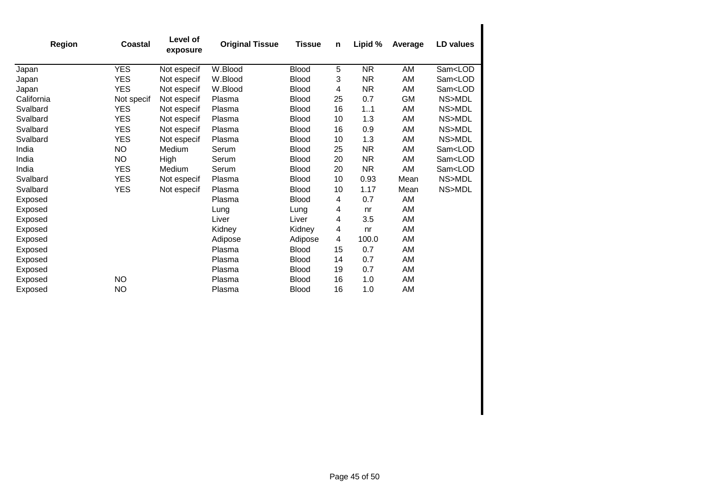| <b>Region</b> | <b>Coastal</b> | Level of<br>exposure | <b>Original Tissue</b> | <b>Tissue</b> | n  | Lipid %   | Average   | LD values               |
|---------------|----------------|----------------------|------------------------|---------------|----|-----------|-----------|-------------------------|
| Japan         | <b>YES</b>     | Not especif          | W.Blood                | <b>Blood</b>  | 5  | <b>NR</b> | AM        | Sam <lod< td=""></lod<> |
| Japan         | <b>YES</b>     | Not especif          | W.Blood                | <b>Blood</b>  | 3  | NR.       | AM        | Sam <lod< td=""></lod<> |
| Japan         | <b>YES</b>     | Not especif          | W.Blood                | <b>Blood</b>  | 4  | <b>NR</b> | AM        | Sam <lod< td=""></lod<> |
| California    | Not specif     | Not especif          | Plasma                 | <b>Blood</b>  | 25 | 0.7       | <b>GM</b> | NS>MDL                  |
| Svalbard      | <b>YES</b>     | Not especif          | Plasma                 | <b>Blood</b>  | 16 | 11        | AM        | NS>MDL                  |
| Svalbard      | <b>YES</b>     | Not especif          | Plasma                 | <b>Blood</b>  | 10 | 1.3       | AM        | NS>MDL                  |
| Svalbard      | <b>YES</b>     | Not especif          | Plasma                 | <b>Blood</b>  | 16 | 0.9       | AM        | NS>MDL                  |
| Svalbard      | <b>YES</b>     | Not especif          | Plasma                 | <b>Blood</b>  | 10 | 1.3       | AM        | NS>MDL                  |
| India         | <b>NO</b>      | Medium               | Serum                  | <b>Blood</b>  | 25 | <b>NR</b> | AM        | Sam <lod< td=""></lod<> |
| India         | <b>NO</b>      | High                 | Serum                  | <b>Blood</b>  | 20 | NR.       | AM        | Sam <lod< td=""></lod<> |
| India         | <b>YES</b>     | Medium               | Serum                  | <b>Blood</b>  | 20 | <b>NR</b> | AM        | Sam <lod< td=""></lod<> |
| Svalbard      | <b>YES</b>     | Not especif          | Plasma                 | <b>Blood</b>  | 10 | 0.93      | Mean      | NS>MDL                  |
| Svalbard      | <b>YES</b>     | Not especif          | Plasma                 | <b>Blood</b>  | 10 | 1.17      | Mean      | NS>MDL                  |
| Exposed       |                |                      | Plasma                 | <b>Blood</b>  | 4  | 0.7       | AM        |                         |
| Exposed       |                |                      | Lung                   | Lung          | 4  | nr        | AM        |                         |
| Exposed       |                |                      | Liver                  | Liver         | 4  | 3.5       | AM        |                         |
| Exposed       |                |                      | Kidney                 | Kidney        | 4  | nr        | AM        |                         |
| Exposed       |                |                      | Adipose                | Adipose       | 4  | 100.0     | AM        |                         |
| Exposed       |                |                      | Plasma                 | <b>Blood</b>  | 15 | 0.7       | AM        |                         |
| Exposed       |                |                      | Plasma                 | <b>Blood</b>  | 14 | 0.7       | AM        |                         |
| Exposed       |                |                      | Plasma                 | <b>Blood</b>  | 19 | 0.7       | AM        |                         |
| Exposed       | <b>NO</b>      |                      | Plasma                 | <b>Blood</b>  | 16 | 1.0       | AM        |                         |
| Exposed       | <b>NO</b>      |                      | Plasma                 | <b>Blood</b>  | 16 | 1.0       | AM        |                         |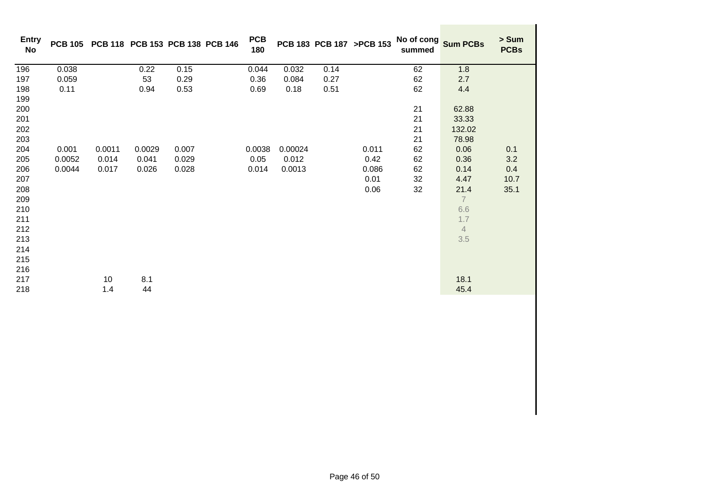| <b>Entry</b><br>No                                                                                                                |                           |                                |                                 | PCB 105 PCB 118 PCB 153 PCB 138 PCB 146 | <b>PCB</b><br>180       |                            |      | PCB 183 PCB 187 >PCB 153               | No of cong<br>summed                               | <b>Sum PCBs</b>                                                                                                                            | > Sum<br><b>PCBs</b>              |
|-----------------------------------------------------------------------------------------------------------------------------------|---------------------------|--------------------------------|---------------------------------|-----------------------------------------|-------------------------|----------------------------|------|----------------------------------------|----------------------------------------------------|--------------------------------------------------------------------------------------------------------------------------------------------|-----------------------------------|
| 196                                                                                                                               | 0.038                     |                                | 0.22                            | 0.15                                    | 0.044                   | 0.032                      | 0.14 |                                        | 62                                                 | 1.8                                                                                                                                        |                                   |
| 197                                                                                                                               | 0.059                     |                                | 53                              | 0.29                                    | 0.36                    | 0.084                      | 0.27 |                                        | 62                                                 | 2.7                                                                                                                                        |                                   |
| 198                                                                                                                               | 0.11                      |                                | 0.94                            | 0.53                                    | 0.69                    | 0.18                       | 0.51 |                                        | 62                                                 | 4.4                                                                                                                                        |                                   |
| 199<br>200<br>201<br>202<br>203<br>204<br>205<br>206<br>207<br>208<br>209<br>210<br>211<br>212<br>213<br>214<br>215<br>216<br>217 | 0.001<br>0.0052<br>0.0044 | 0.0011<br>0.014<br>0.017<br>10 | 0.0029<br>0.041<br>0.026<br>8.1 | 0.007<br>0.029<br>0.028                 | 0.0038<br>0.05<br>0.014 | 0.00024<br>0.012<br>0.0013 |      | 0.011<br>0.42<br>0.086<br>0.01<br>0.06 | 21<br>21<br>21<br>21<br>62<br>62<br>62<br>32<br>32 | 62.88<br>33.33<br>132.02<br>78.98<br>0.06<br>0.36<br>0.14<br>4.47<br>21.4<br>$\overline{7}$<br>6.6<br>1.7<br>$\overline{4}$<br>3.5<br>18.1 | 0.1<br>3.2<br>0.4<br>10.7<br>35.1 |
| 218                                                                                                                               |                           | 1.4                            | 44                              |                                         |                         |                            |      |                                        |                                                    | 45.4                                                                                                                                       |                                   |
|                                                                                                                                   |                           |                                |                                 |                                         |                         |                            |      |                                        |                                                    |                                                                                                                                            |                                   |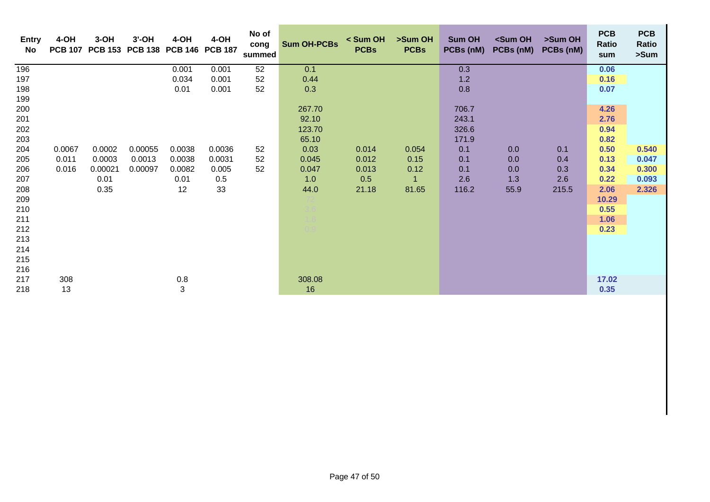| <b>Entry</b><br>No | 4-OH   | $3-OH$  | $3'$ -OH<br>PCB 107 PCB 153 PCB 138 | $4-OH$<br>PCB 146 PCB 187 | 4-OH   | No of<br>cong<br>summed | <b>Sum OH-PCBs</b> | < Sum OH<br><b>PCBs</b> | >Sum OH<br><b>PCBs</b> | Sum OH<br>PCBs (nM) | <sum oh<br="">PCBs (nM)</sum> | >Sum OH<br>PCBs (nM) | <b>PCB</b><br>Ratio<br>sum | <b>PCB</b><br>Ratio<br>>Sum |
|--------------------|--------|---------|-------------------------------------|---------------------------|--------|-------------------------|--------------------|-------------------------|------------------------|---------------------|-------------------------------|----------------------|----------------------------|-----------------------------|
| 196                |        |         |                                     | 0.001                     | 0.001  | 52                      | 0.1                |                         |                        | 0.3                 |                               |                      | 0.06                       |                             |
| 197                |        |         |                                     | 0.034                     | 0.001  | 52                      | 0.44               |                         |                        | 1.2                 |                               |                      | 0.16                       |                             |
| 198                |        |         |                                     | 0.01                      | 0.001  | 52                      | 0.3                |                         |                        | 0.8                 |                               |                      | 0.07                       |                             |
| 199                |        |         |                                     |                           |        |                         |                    |                         |                        |                     |                               |                      |                            |                             |
| 200                |        |         |                                     |                           |        |                         | 267.70             |                         |                        | 706.7               |                               |                      | 4.26                       |                             |
| 201                |        |         |                                     |                           |        |                         | 92.10              |                         |                        | 243.1               |                               |                      | 2.76                       |                             |
| 202                |        |         |                                     |                           |        |                         | 123.70             |                         |                        | 326.6               |                               |                      | 0.94                       |                             |
| 203                |        |         |                                     |                           |        |                         | 65.10              |                         |                        | 171.9               |                               |                      | 0.82                       |                             |
| 204                | 0.0067 | 0.0002  | 0.00055                             | 0.0038                    | 0.0036 | 52                      | 0.03               | 0.014                   | 0.054                  | 0.1                 | 0.0                           | 0.1                  | 0.50                       | 0.540                       |
| 205                | 0.011  | 0.0003  | 0.0013                              | 0.0038                    | 0.0031 | 52                      | 0.045              | 0.012                   | 0.15                   | 0.1                 | 0.0                           | 0.4                  | 0.13                       | 0.047                       |
| 206                | 0.016  | 0.00021 | 0.00097                             | 0.0082                    | 0.005  | 52                      | 0.047              | 0.013                   | 0.12                   | 0.1                 | 0.0                           | 0.3                  | 0.34                       | 0.300                       |
| 207                |        | 0.01    |                                     | 0.01                      | 0.5    |                         | 1.0                | 0.5                     | $\overline{1}$         | 2.6                 | 1.3                           | 2.6                  | 0.22                       | 0.093                       |
| 208                |        | 0.35    |                                     | 12                        | 33     |                         | 44.0               | 21.18                   | 81.65                  | 116.2               | 55.9                          | 215.5                | 2.06                       | 2.326                       |
| 209                |        |         |                                     |                           |        |                         |                    |                         |                        |                     |                               |                      | 10.29                      |                             |
| 210                |        |         |                                     |                           |        |                         |                    |                         |                        |                     |                               |                      | 0.55                       |                             |
| 211                |        |         |                                     |                           |        |                         |                    |                         |                        |                     |                               |                      | 1.06                       |                             |
| 212                |        |         |                                     |                           |        |                         |                    |                         |                        |                     |                               |                      | 0.23                       |                             |
| 213                |        |         |                                     |                           |        |                         |                    |                         |                        |                     |                               |                      |                            |                             |
| 214                |        |         |                                     |                           |        |                         |                    |                         |                        |                     |                               |                      |                            |                             |
| 215<br>216         |        |         |                                     |                           |        |                         |                    |                         |                        |                     |                               |                      |                            |                             |
| 217                | 308    |         |                                     | 0.8                       |        |                         | 308.08             |                         |                        |                     |                               |                      | 17.02                      |                             |
| 218                | 13     |         |                                     | 3                         |        |                         | 16                 |                         |                        |                     |                               |                      | 0.35                       |                             |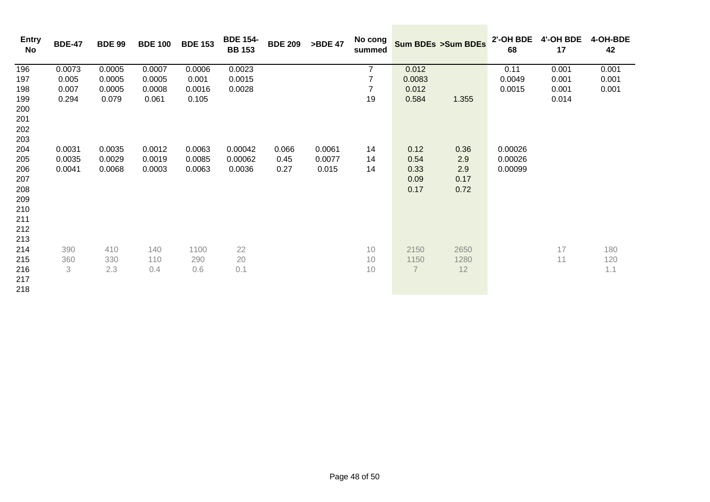| <b>Entry</b><br>No | <b>BDE-47</b> | <b>BDE 99</b> | <b>BDE 100</b> | <b>BDE 153</b> | <b>BDE 154-</b><br><b>BB 153</b> | <b>BDE 209</b> | >BDE 47 | No cong<br>summed |                | Sum BDEs >Sum BDEs | 2'-OH BDE<br>68 | 4'-OH BDE<br>17 | 4-OH-BDE<br>42 |
|--------------------|---------------|---------------|----------------|----------------|----------------------------------|----------------|---------|-------------------|----------------|--------------------|-----------------|-----------------|----------------|
| 196                | 0.0073        | 0.0005        | 0.0007         | 0.0006         | 0.0023                           |                |         | $\overline{7}$    | 0.012          |                    | 0.11            | 0.001           | 0.001          |
| 197                | 0.005         | 0.0005        | 0.0005         | 0.001          | 0.0015                           |                |         | 7                 | 0.0083         |                    | 0.0049          | 0.001           | 0.001          |
| 198                | 0.007         | 0.0005        | 0.0008         | 0.0016         | 0.0028                           |                |         | $\overline{7}$    | 0.012          |                    | 0.0015          | 0.001           | 0.001          |
| 199                | 0.294         | 0.079         | 0.061          | 0.105          |                                  |                |         | 19                | 0.584          | 1.355              |                 | 0.014           |                |
| 200                |               |               |                |                |                                  |                |         |                   |                |                    |                 |                 |                |
| 201                |               |               |                |                |                                  |                |         |                   |                |                    |                 |                 |                |
| 202                |               |               |                |                |                                  |                |         |                   |                |                    |                 |                 |                |
| 203                |               |               |                |                |                                  |                |         |                   |                |                    |                 |                 |                |
| 204                | 0.0031        | 0.0035        | 0.0012         | 0.0063         | 0.00042                          | 0.066          | 0.0061  | 14                | 0.12           | 0.36               | 0.00026         |                 |                |
| 205                | 0.0035        | 0.0029        | 0.0019         | 0.0085         | 0.00062                          | 0.45           | 0.0077  | 14                | 0.54           | 2.9                | 0.00026         |                 |                |
| 206                | 0.0041        | 0.0068        | 0.0003         | 0.0063         | 0.0036                           | 0.27           | 0.015   | 14                | 0.33           | 2.9                | 0.00099         |                 |                |
| 207                |               |               |                |                |                                  |                |         |                   | 0.09           | 0.17               |                 |                 |                |
| 208                |               |               |                |                |                                  |                |         |                   | 0.17           | 0.72               |                 |                 |                |
| 209                |               |               |                |                |                                  |                |         |                   |                |                    |                 |                 |                |
| 210                |               |               |                |                |                                  |                |         |                   |                |                    |                 |                 |                |
| 211                |               |               |                |                |                                  |                |         |                   |                |                    |                 |                 |                |
| 212                |               |               |                |                |                                  |                |         |                   |                |                    |                 |                 |                |
| 213                |               |               |                |                |                                  |                |         |                   |                |                    |                 |                 |                |
| 214                | 390           | 410           | 140            | 1100           | 22                               |                |         | 10                | 2150           | 2650               |                 | 17              | 180            |
| 215                | 360           | 330           | 110            | 290            | 20                               |                |         | 10                | 1150           | 1280               |                 | 11              | 120            |
| 216                | 3             | 2.3           | 0.4            | 0.6            | 0.1                              |                |         | 10                | $\overline{7}$ | 12                 |                 |                 | 1.1            |
| 217                |               |               |                |                |                                  |                |         |                   |                |                    |                 |                 |                |
| 218                |               |               |                |                |                                  |                |         |                   |                |                    |                 |                 |                |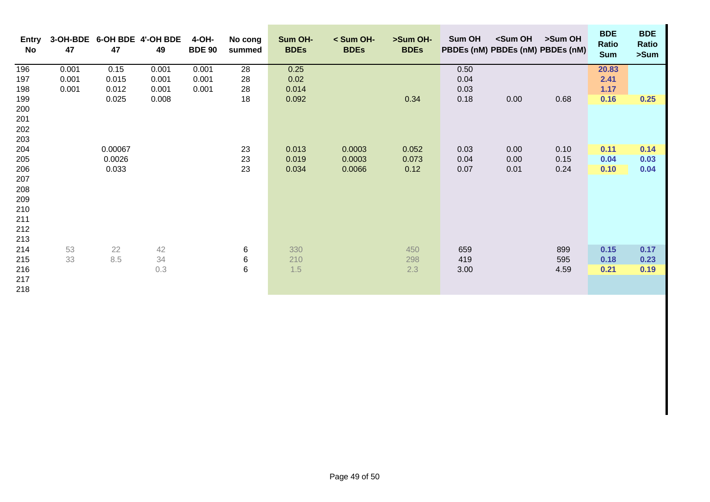| <b>Entry</b><br>No | 47    | 47      | 3-OH-BDE 6-OH BDE 4'-OH BDE<br>49 | 4-OH-<br><b>BDE 90</b> | No cong<br>summed | Sum OH-<br><b>BDEs</b> | $<$ Sum OH-<br><b>BDEs</b> | >Sum OH-<br><b>BDEs</b> | Sum OH | <sum oh<="" th=""><th>&gt;Sum OH<br/>PBDEs (nM) PBDEs (nM) PBDEs (nM)</th><th><b>BDE</b><br/>Ratio<br/><b>Sum</b></th><th><b>BDE</b><br/>Ratio<br/>&gt;Sum</th></sum> | >Sum OH<br>PBDEs (nM) PBDEs (nM) PBDEs (nM) | <b>BDE</b><br>Ratio<br><b>Sum</b> | <b>BDE</b><br>Ratio<br>>Sum |
|--------------------|-------|---------|-----------------------------------|------------------------|-------------------|------------------------|----------------------------|-------------------------|--------|-----------------------------------------------------------------------------------------------------------------------------------------------------------------------|---------------------------------------------|-----------------------------------|-----------------------------|
| 196                | 0.001 | 0.15    | 0.001                             | 0.001                  | 28                | 0.25                   |                            |                         | 0.50   |                                                                                                                                                                       |                                             | 20.83                             |                             |
| 197                | 0.001 | 0.015   | 0.001                             | 0.001                  | 28                | 0.02                   |                            |                         | 0.04   |                                                                                                                                                                       |                                             | 2.41                              |                             |
| 198                | 0.001 | 0.012   | 0.001                             | 0.001                  | 28                | 0.014                  |                            |                         | 0.03   |                                                                                                                                                                       |                                             | 1.17                              |                             |
| 199                |       | 0.025   | 0.008                             |                        | 18                | 0.092                  |                            | 0.34                    | 0.18   | 0.00                                                                                                                                                                  | 0.68                                        | 0.16                              | 0.25                        |
| 200                |       |         |                                   |                        |                   |                        |                            |                         |        |                                                                                                                                                                       |                                             |                                   |                             |
| 201                |       |         |                                   |                        |                   |                        |                            |                         |        |                                                                                                                                                                       |                                             |                                   |                             |
| 202<br>203         |       |         |                                   |                        |                   |                        |                            |                         |        |                                                                                                                                                                       |                                             |                                   |                             |
| 204                |       | 0.00067 |                                   |                        | 23                | 0.013                  | 0.0003                     | 0.052                   | 0.03   | 0.00                                                                                                                                                                  | 0.10                                        | 0.11                              | 0.14                        |
| 205                |       | 0.0026  |                                   |                        | 23                | 0.019                  | 0.0003                     | 0.073                   | 0.04   | 0.00                                                                                                                                                                  | 0.15                                        | 0.04                              | 0.03                        |
| 206                |       | 0.033   |                                   |                        | 23                | 0.034                  | 0.0066                     | 0.12                    | 0.07   | 0.01                                                                                                                                                                  | 0.24                                        | 0.10                              | 0.04                        |
| 207                |       |         |                                   |                        |                   |                        |                            |                         |        |                                                                                                                                                                       |                                             |                                   |                             |
| 208                |       |         |                                   |                        |                   |                        |                            |                         |        |                                                                                                                                                                       |                                             |                                   |                             |
| 209                |       |         |                                   |                        |                   |                        |                            |                         |        |                                                                                                                                                                       |                                             |                                   |                             |
| 210                |       |         |                                   |                        |                   |                        |                            |                         |        |                                                                                                                                                                       |                                             |                                   |                             |
| 211                |       |         |                                   |                        |                   |                        |                            |                         |        |                                                                                                                                                                       |                                             |                                   |                             |
| 212                |       |         |                                   |                        |                   |                        |                            |                         |        |                                                                                                                                                                       |                                             |                                   |                             |
| 213                |       |         |                                   |                        |                   |                        |                            |                         |        |                                                                                                                                                                       |                                             |                                   |                             |
| 214                | 53    | 22      | 42                                |                        | 6                 | 330                    |                            | 450                     | 659    |                                                                                                                                                                       | 899                                         | 0.15                              | 0.17                        |
| 215                | 33    | 8.5     | 34                                |                        | 6                 | 210                    |                            | 298                     | 419    |                                                                                                                                                                       | 595                                         | 0.18                              | 0.23                        |
| 216                |       |         | 0.3                               |                        | $\,6\,$           | 1.5                    |                            | 2.3                     | 3.00   |                                                                                                                                                                       | 4.59                                        | 0.21                              | 0.19                        |
| 217                |       |         |                                   |                        |                   |                        |                            |                         |        |                                                                                                                                                                       |                                             |                                   |                             |
| 218                |       |         |                                   |                        |                   |                        |                            |                         |        |                                                                                                                                                                       |                                             |                                   |                             |